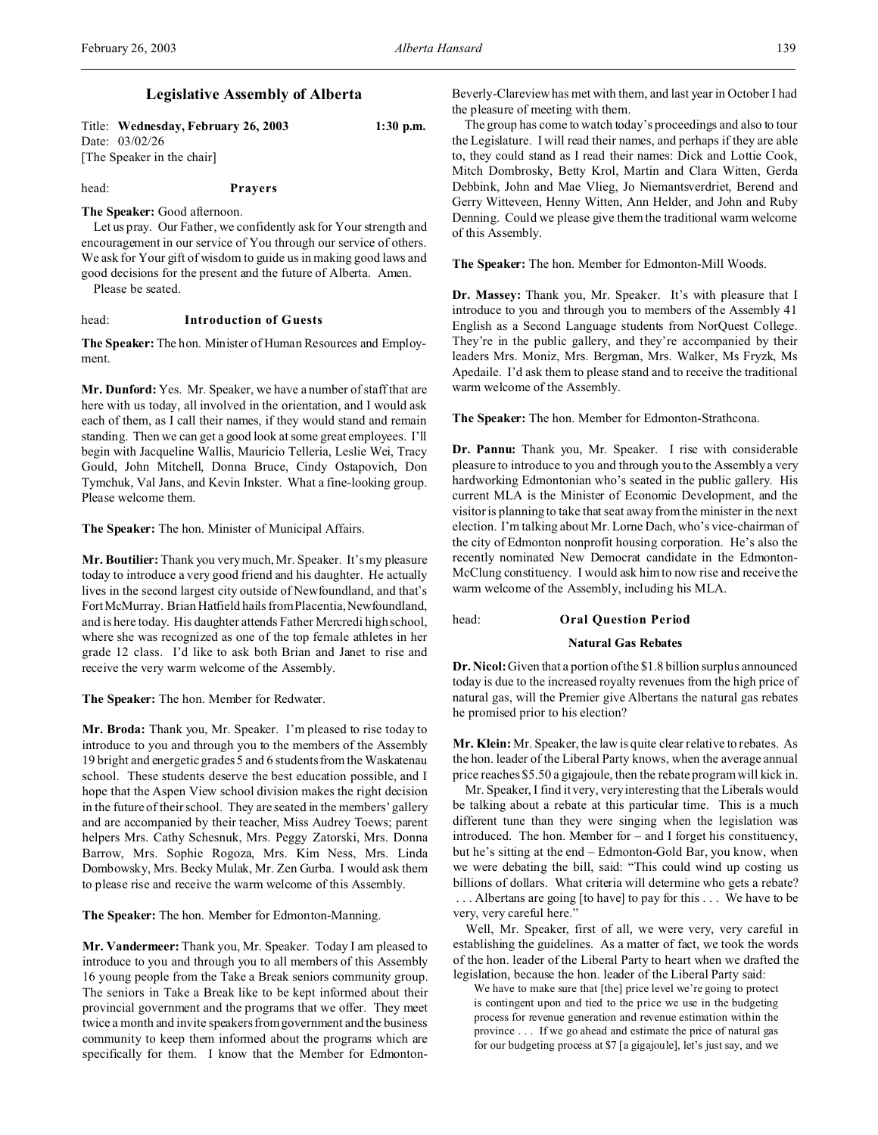Title: **Wednesday, February 26, 2003 1:30 p.m.** Date: 03/02/26 [The Speaker in the chair]

head: **Prayers**

**The Speaker:** Good afternoon.

Let us pray. Our Father, we confidently ask for Your strength and encouragement in our service of You through our service of others. We ask for Your gift of wisdom to guide us in making good laws and good decisions for the present and the future of Alberta. Amen. Please be seated.

## head: **Introduction of Guests**

**The Speaker:** The hon. Minister of Human Resources and Employment.

**Mr. Dunford:** Yes. Mr. Speaker, we have a number of staff that are here with us today, all involved in the orientation, and I would ask each of them, as I call their names, if they would stand and remain standing. Then we can get a good look at some great employees. I'll begin with Jacqueline Wallis, Mauricio Telleria, Leslie Wei, Tracy Gould, John Mitchell, Donna Bruce, Cindy Ostapovich, Don Tymchuk, Val Jans, and Kevin Inkster. What a fine-looking group. Please welcome them.

**The Speaker:** The hon. Minister of Municipal Affairs.

**Mr. Boutilier:** Thank you very much, Mr. Speaker. It's my pleasure today to introduce a very good friend and his daughter. He actually lives in the second largest city outside of Newfoundland, and that's FortMcMurray. Brian Hatfield hails from Placentia, Newfoundland, and is here today. His daughter attends Father Mercredi high school, where she was recognized as one of the top female athletes in her grade 12 class. I'd like to ask both Brian and Janet to rise and receive the very warm welcome of the Assembly.

**The Speaker:** The hon. Member for Redwater.

**Mr. Broda:** Thank you, Mr. Speaker. I'm pleased to rise today to introduce to you and through you to the members of the Assembly 19 bright and energetic grades 5 and 6 students from the Waskatenau school. These students deserve the best education possible, and I hope that the Aspen View school division makes the right decision in the future of their school. They are seated in the members' gallery and are accompanied by their teacher, Miss Audrey Toews; parent helpers Mrs. Cathy Schesnuk, Mrs. Peggy Zatorski, Mrs. Donna Barrow, Mrs. Sophie Rogoza, Mrs. Kim Ness, Mrs. Linda Dombowsky, Mrs. Becky Mulak, Mr. Zen Gurba. I would ask them to please rise and receive the warm welcome of this Assembly.

**The Speaker:** The hon. Member for Edmonton-Manning.

**Mr. Vandermeer:** Thank you, Mr. Speaker. Today I am pleased to introduce to you and through you to all members of this Assembly 16 young people from the Take a Break seniors community group. The seniors in Take a Break like to be kept informed about their provincial government and the programs that we offer. They meet twice a month and invite speakers from government and the business community to keep them informed about the programs which are specifically for them. I know that the Member for EdmontonBeverly-Clareview has met with them, and last year in October I had the pleasure of meeting with them.

The group has come to watch today's proceedings and also to tour the Legislature. I will read their names, and perhaps if they are able to, they could stand as I read their names: Dick and Lottie Cook, Mitch Dombrosky, Betty Krol, Martin and Clara Witten, Gerda Debbink, John and Mae Vlieg, Jo Niemantsverdriet, Berend and Gerry Witteveen, Henny Witten, Ann Helder, and John and Ruby Denning. Could we please give them the traditional warm welcome of this Assembly.

**The Speaker:** The hon. Member for Edmonton-Mill Woods.

**Dr. Massey:** Thank you, Mr. Speaker. It's with pleasure that I introduce to you and through you to members of the Assembly 41 English as a Second Language students from NorQuest College. They're in the public gallery, and they're accompanied by their leaders Mrs. Moniz, Mrs. Bergman, Mrs. Walker, Ms Fryzk, Ms Apedaile. I'd ask them to please stand and to receive the traditional warm welcome of the Assembly.

**The Speaker:** The hon. Member for Edmonton-Strathcona.

**Dr. Pannu:** Thank you, Mr. Speaker. I rise with considerable pleasure to introduce to you and through you to the Assembly a very hardworking Edmontonian who's seated in the public gallery. His current MLA is the Minister of Economic Development, and the visitor is planning to take that seat away from the minister in the next election. I'm talking about Mr. Lorne Dach, who's vice-chairman of the city of Edmonton nonprofit housing corporation. He's also the recently nominated New Democrat candidate in the Edmonton-McClung constituency. I would ask him to now rise and receive the warm welcome of the Assembly, including his MLA.

head: **Oral Question Period**

## **Natural Gas Rebates**

**Dr. Nicol:** Given that a portion of the \$1.8 billion surplus announced today is due to the increased royalty revenues from the high price of natural gas, will the Premier give Albertans the natural gas rebates he promised prior to his election?

**Mr. Klein:** Mr. Speaker, the law is quite clear relative to rebates. As the hon. leader of the Liberal Party knows, when the average annual price reaches \$5.50 a gigajoule, then the rebate program will kick in.

Mr. Speaker, I find it very, very interesting that the Liberals would be talking about a rebate at this particular time. This is a much different tune than they were singing when the legislation was introduced. The hon. Member for – and I forget his constituency, but he's sitting at the end – Edmonton-Gold Bar, you know, when we were debating the bill, said: "This could wind up costing us billions of dollars. What criteria will determine who gets a rebate? . . . Albertans are going [to have] to pay for this . . . We have to be very, very careful here."

Well, Mr. Speaker, first of all, we were very, very careful in establishing the guidelines. As a matter of fact, we took the words of the hon. leader of the Liberal Party to heart when we drafted the legislation, because the hon. leader of the Liberal Party said:

We have to make sure that [the] price level we're going to protect is contingent upon and tied to the price we use in the budgeting process for revenue generation and revenue estimation within the province . . . If we go ahead and estimate the price of natural gas for our budgeting process at \$7 [a gigajoule], let's just say, and we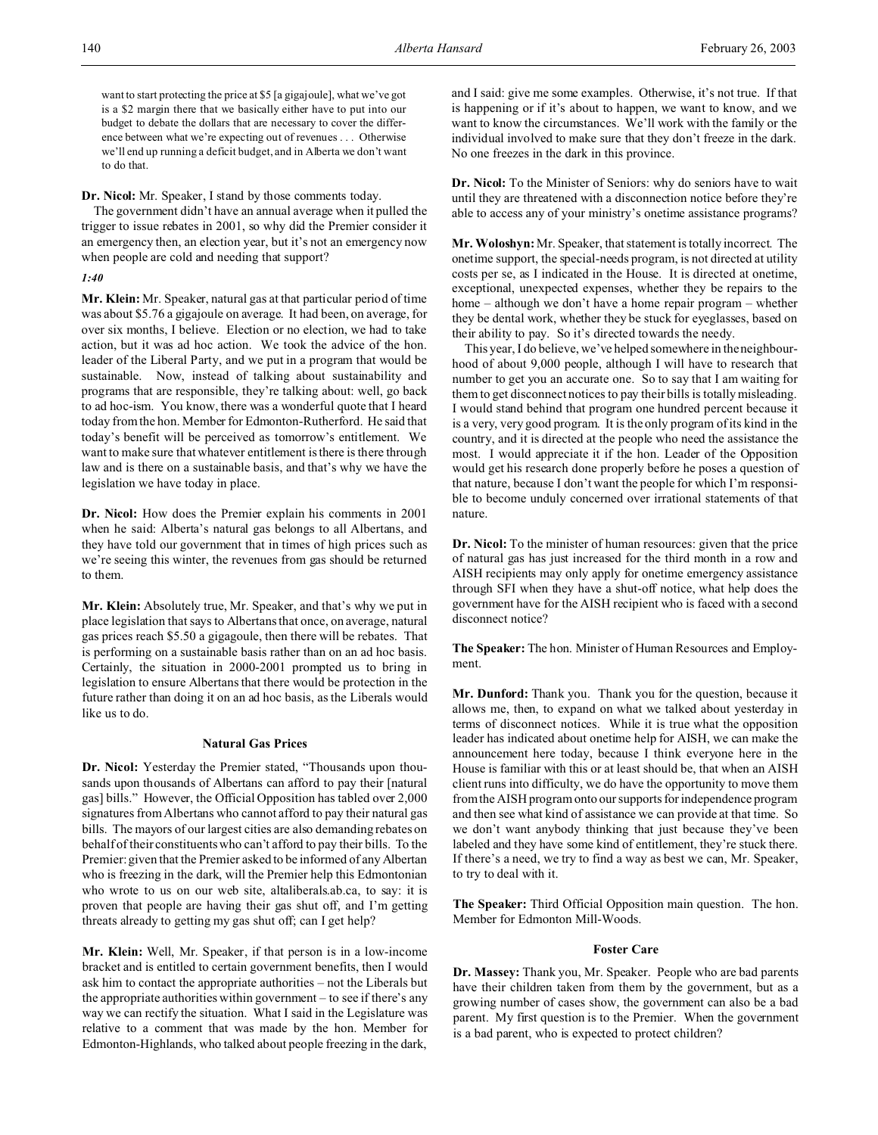want to start protecting the price at \$5 [a gigajoule], what we've got is a \$2 margin there that we basically either have to put into our budget to debate the dollars that are necessary to cover the difference between what we're expecting out of revenues . . . Otherwise we'll end up running a deficit budget, and in Alberta we don't want to do that.

**Dr. Nicol:** Mr. Speaker, I stand by those comments today.

The government didn't have an annual average when it pulled the trigger to issue rebates in 2001, so why did the Premier consider it an emergency then, an election year, but it's not an emergency now when people are cold and needing that support?

## *1:40*

**Mr. Klein:** Mr. Speaker, natural gas at that particular period of time was about \$5.76 a gigajoule on average. It had been, on average, for over six months, I believe. Election or no election, we had to take action, but it was ad hoc action. We took the advice of the hon. leader of the Liberal Party, and we put in a program that would be sustainable. Now, instead of talking about sustainability and programs that are responsible, they're talking about: well, go back to ad hoc-ism. You know, there was a wonderful quote that I heard today from the hon. Member for Edmonton-Rutherford. He said that today's benefit will be perceived as tomorrow's entitlement. We want to make sure that whatever entitlement is there is there through law and is there on a sustainable basis, and that's why we have the legislation we have today in place.

**Dr. Nicol:** How does the Premier explain his comments in 2001 when he said: Alberta's natural gas belongs to all Albertans, and they have told our government that in times of high prices such as we're seeing this winter, the revenues from gas should be returned to them.

**Mr. Klein:** Absolutely true, Mr. Speaker, and that's why we put in place legislation that says to Albertans that once, on average, natural gas prices reach \$5.50 a gigagoule, then there will be rebates. That is performing on a sustainable basis rather than on an ad hoc basis. Certainly, the situation in 2000-2001 prompted us to bring in legislation to ensure Albertans that there would be protection in the future rather than doing it on an ad hoc basis, as the Liberals would like us to do.

## **Natural Gas Prices**

**Dr. Nicol:** Yesterday the Premier stated, "Thousands upon thousands upon thousands of Albertans can afford to pay their [natural gas] bills." However, the Official Opposition has tabled over 2,000 signatures from Albertans who cannot afford to pay their natural gas bills. The mayors of our largest cities are also demanding rebates on behalf of their constituents who can't afford to pay their bills. To the Premier: given that the Premier asked to be informed of any Albertan who is freezing in the dark, will the Premier help this Edmontonian who wrote to us on our web site, altaliberals.ab.ca, to say: it is proven that people are having their gas shut off, and I'm getting threats already to getting my gas shut off; can I get help?

**Mr. Klein:** Well, Mr. Speaker, if that person is in a low-income bracket and is entitled to certain government benefits, then I would ask him to contact the appropriate authorities – not the Liberals but the appropriate authorities within government – to see if there's any way we can rectify the situation. What I said in the Legislature was relative to a comment that was made by the hon. Member for Edmonton-Highlands, who talked about people freezing in the dark,

and I said: give me some examples. Otherwise, it's not true. If that is happening or if it's about to happen, we want to know, and we want to know the circumstances. We'll work with the family or the individual involved to make sure that they don't freeze in the dark. No one freezes in the dark in this province.

**Dr. Nicol:** To the Minister of Seniors: why do seniors have to wait until they are threatened with a disconnection notice before they're able to access any of your ministry's onetime assistance programs?

**Mr. Woloshyn:** Mr. Speaker, that statement is totally incorrect. The onetime support, the special-needs program, is not directed at utility costs per se, as I indicated in the House. It is directed at onetime, exceptional, unexpected expenses, whether they be repairs to the home – although we don't have a home repair program – whether they be dental work, whether they be stuck for eyeglasses, based on their ability to pay. So it's directed towards the needy.

This year, I do believe, we've helped somewhere in the neighbourhood of about 9,000 people, although I will have to research that number to get you an accurate one. So to say that I am waiting for them to get disconnect notices to pay their bills is totally misleading. I would stand behind that program one hundred percent because it is a very, very good program. It is the only program of its kind in the country, and it is directed at the people who need the assistance the most. I would appreciate it if the hon. Leader of the Opposition would get his research done properly before he poses a question of that nature, because I don't want the people for which I'm responsible to become unduly concerned over irrational statements of that nature.

**Dr. Nicol:** To the minister of human resources: given that the price of natural gas has just increased for the third month in a row and AISH recipients may only apply for onetime emergency assistance through SFI when they have a shut-off notice, what help does the government have for the AISH recipient who is faced with a second disconnect notice?

**The Speaker:** The hon. Minister of Human Resources and Employment.

**Mr. Dunford:** Thank you. Thank you for the question, because it allows me, then, to expand on what we talked about yesterday in terms of disconnect notices. While it is true what the opposition leader has indicated about onetime help for AISH, we can make the announcement here today, because I think everyone here in the House is familiar with this or at least should be, that when an AISH client runs into difficulty, we do have the opportunity to move them from the AISH program onto our supports for independence program and then see what kind of assistance we can provide at that time. So we don't want anybody thinking that just because they've been labeled and they have some kind of entitlement, they're stuck there. If there's a need, we try to find a way as best we can, Mr. Speaker, to try to deal with it.

**The Speaker:** Third Official Opposition main question. The hon. Member for Edmonton Mill-Woods.

## **Foster Care**

**Dr. Massey:** Thank you, Mr. Speaker. People who are bad parents have their children taken from them by the government, but as a growing number of cases show, the government can also be a bad parent. My first question is to the Premier. When the government is a bad parent, who is expected to protect children?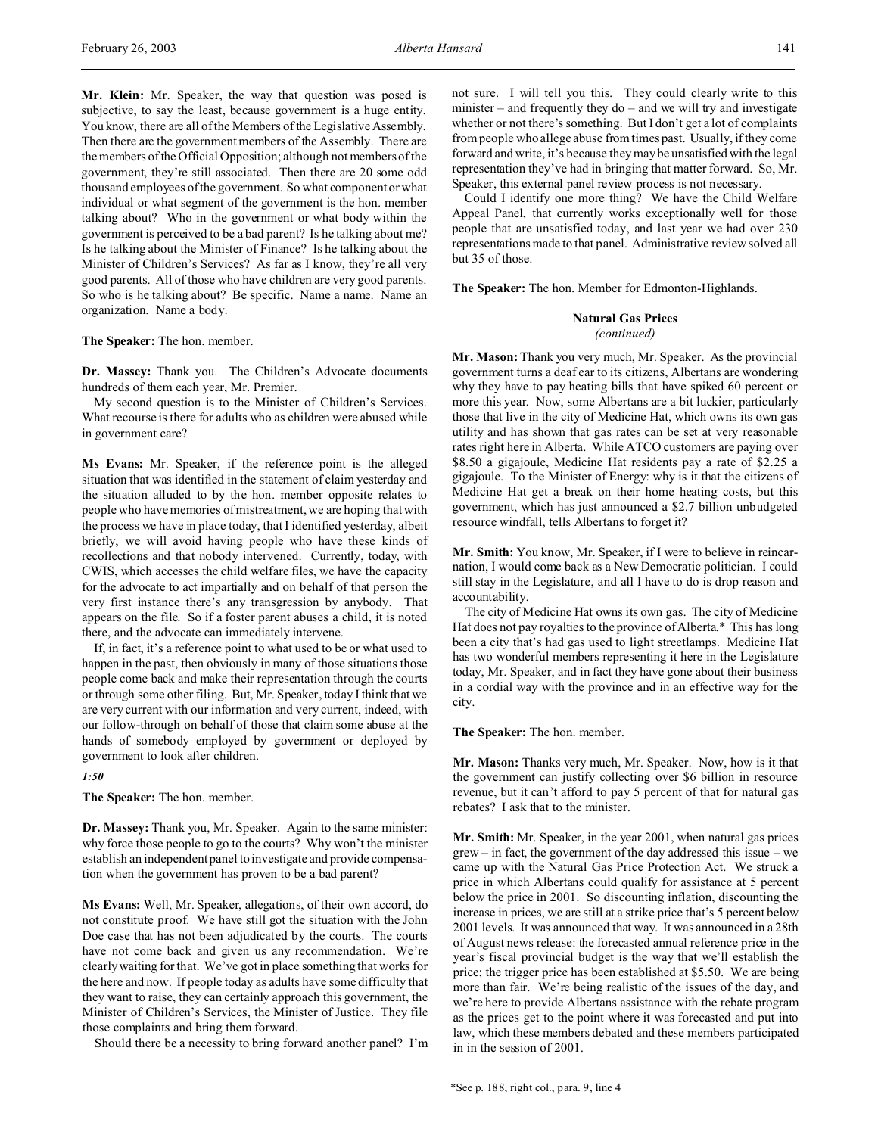**Mr. Klein:** Mr. Speaker, the way that question was posed is subjective, to say the least, because government is a huge entity. You know, there are all of the Members of the Legislative Assembly. Then there are the government members of the Assembly. There are the members of the Official Opposition; although not members of the government, they're still associated. Then there are 20 some odd thousand employees of the government. So what component or what individual or what segment of the government is the hon. member talking about? Who in the government or what body within the government is perceived to be a bad parent? Is he talking about me? Is he talking about the Minister of Finance? Is he talking about the Minister of Children's Services? As far as I know, they're all very good parents. All of those who have children are very good parents. So who is he talking about? Be specific. Name a name. Name an organization. Name a body.

**The Speaker:** The hon. member.

**Dr. Massey:** Thank you. The Children's Advocate documents hundreds of them each year, Mr. Premier.

My second question is to the Minister of Children's Services. What recourse is there for adults who as children were abused while in government care?

**Ms Evans:** Mr. Speaker, if the reference point is the alleged situation that was identified in the statement of claim yesterday and the situation alluded to by the hon. member opposite relates to people who have memories of mistreatment, we are hoping that with the process we have in place today, that I identified yesterday, albeit briefly, we will avoid having people who have these kinds of recollections and that nobody intervened. Currently, today, with CWIS, which accesses the child welfare files, we have the capacity for the advocate to act impartially and on behalf of that person the very first instance there's any transgression by anybody. That appears on the file. So if a foster parent abuses a child, it is noted there, and the advocate can immediately intervene.

If, in fact, it's a reference point to what used to be or what used to happen in the past, then obviously in many of those situations those people come back and make their representation through the courts or through some other filing. But, Mr. Speaker, today I think that we are very current with our information and very current, indeed, with our follow-through on behalf of those that claim some abuse at the hands of somebody employed by government or deployed by government to look after children.

#### *1:50*

**The Speaker:** The hon. member.

**Dr. Massey:** Thank you, Mr. Speaker. Again to the same minister: why force those people to go to the courts? Why won't the minister establish an independent panel to investigate and provide compensation when the government has proven to be a bad parent?

**Ms Evans:** Well, Mr. Speaker, allegations, of their own accord, do not constitute proof. We have still got the situation with the John Doe case that has not been adjudicated by the courts. The courts have not come back and given us any recommendation. We're clearly waiting for that. We've got in place something that works for the here and now. If people today as adults have some difficulty that they want to raise, they can certainly approach this government, the Minister of Children's Services, the Minister of Justice. They file those complaints and bring them forward.

Should there be a necessity to bring forward another panel? I'm

not sure. I will tell you this. They could clearly write to this minister – and frequently they do – and we will try and investigate whether or not there's something. But I don't get a lot of complaints from people who allege abuse from times past. Usually, if they come forward and write, it's because they may be unsatisfied with the legal representation they've had in bringing that matter forward. So, Mr. Speaker, this external panel review process is not necessary.

Could I identify one more thing? We have the Child Welfare Appeal Panel, that currently works exceptionally well for those people that are unsatisfied today, and last year we had over 230 representations made to that panel. Administrative review solved all but 35 of those.

**The Speaker:** The hon. Member for Edmonton-Highlands.

### **Natural Gas Prices** *(continued)*

**Mr. Mason:** Thank you very much, Mr. Speaker. As the provincial government turns a deaf ear to its citizens, Albertans are wondering why they have to pay heating bills that have spiked 60 percent or more this year. Now, some Albertans are a bit luckier, particularly those that live in the city of Medicine Hat, which owns its own gas utility and has shown that gas rates can be set at very reasonable rates right here in Alberta. While ATCO customers are paying over \$8.50 a gigajoule, Medicine Hat residents pay a rate of \$2.25 a gigajoule. To the Minister of Energy: why is it that the citizens of Medicine Hat get a break on their home heating costs, but this government, which has just announced a \$2.7 billion unbudgeted resource windfall, tells Albertans to forget it?

**Mr. Smith:** You know, Mr. Speaker, if I were to believe in reincarnation, I would come back as a New Democratic politician. I could still stay in the Legislature, and all I have to do is drop reason and accountability.

The city of Medicine Hat owns its own gas. The city of Medicine Hat does not pay royalties to the province of Alberta.\* This has long been a city that's had gas used to light streetlamps. Medicine Hat has two wonderful members representing it here in the Legislature today, Mr. Speaker, and in fact they have gone about their business in a cordial way with the province and in an effective way for the city.

**The Speaker:** The hon. member.

**Mr. Mason:** Thanks very much, Mr. Speaker. Now, how is it that the government can justify collecting over \$6 billion in resource revenue, but it can't afford to pay 5 percent of that for natural gas rebates? I ask that to the minister.

**Mr. Smith:** Mr. Speaker, in the year 2001, when natural gas prices grew – in fact, the government of the day addressed this issue – we came up with the Natural Gas Price Protection Act. We struck a price in which Albertans could qualify for assistance at 5 percent below the price in 2001. So discounting inflation, discounting the increase in prices, we are still at a strike price that's 5 percent below 2001 levels. It was announced that way. It was announced in a 28th of August news release: the forecasted annual reference price in the year's fiscal provincial budget is the way that we'll establish the price; the trigger price has been established at \$5.50. We are being more than fair. We're being realistic of the issues of the day, and we're here to provide Albertans assistance with the rebate program as the prices get to the point where it was forecasted and put into law, which these members debated and these members participated in in the session of 2001.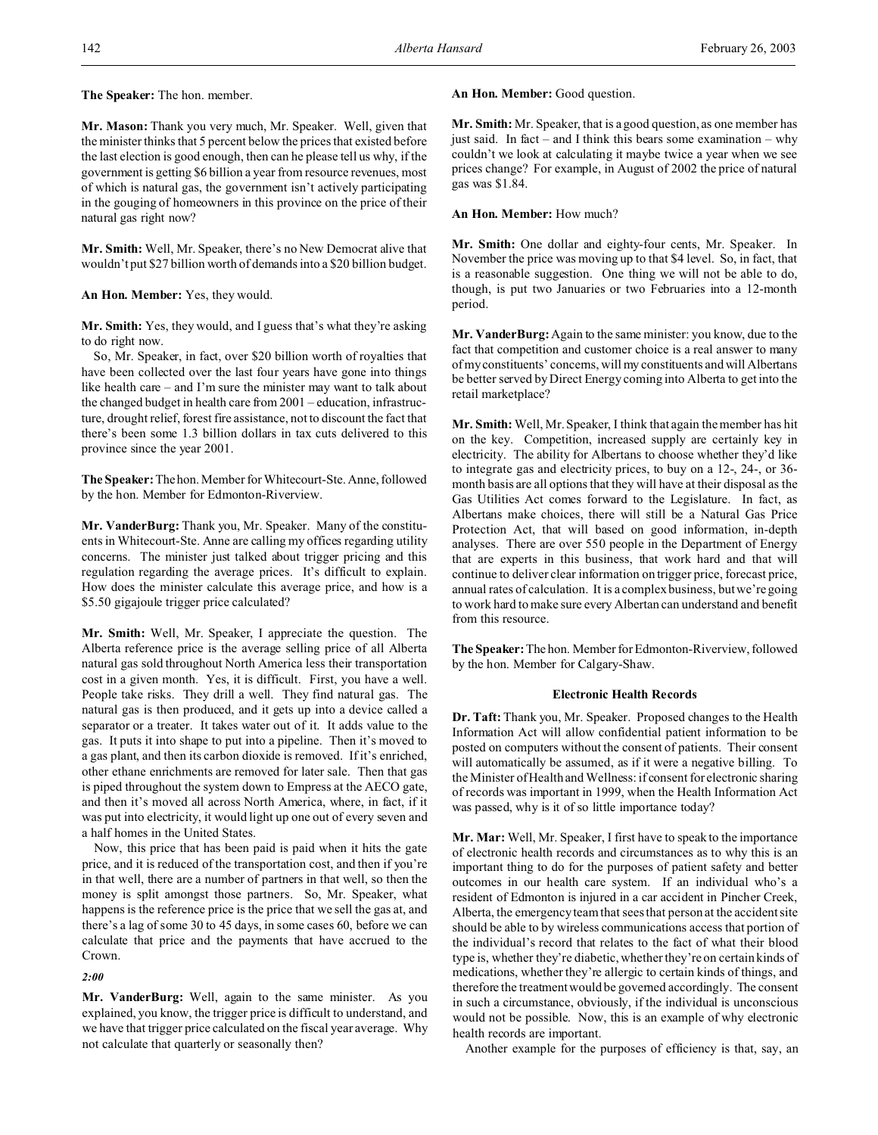**The Speaker:** The hon. member.

**Mr. Mason:** Thank you very much, Mr. Speaker. Well, given that the minister thinks that 5 percent below the prices that existed before the last election is good enough, then can he please tell us why, if the government is getting \$6 billion a year from resource revenues, most of which is natural gas, the government isn't actively participating in the gouging of homeowners in this province on the price of their natural gas right now?

**Mr. Smith:** Well, Mr. Speaker, there's no New Democrat alive that wouldn't put \$27 billion worth of demands into a \$20 billion budget.

**An Hon. Member:** Yes, they would.

**Mr. Smith:** Yes, they would, and I guess that's what they're asking to do right now.

So, Mr. Speaker, in fact, over \$20 billion worth of royalties that have been collected over the last four years have gone into things like health care – and I'm sure the minister may want to talk about the changed budget in health care from 2001 – education, infrastructure, drought relief, forest fire assistance, not to discount the fact that there's been some 1.3 billion dollars in tax cuts delivered to this province since the year 2001.

**The Speaker:** The hon. Member for Whitecourt-Ste. Anne, followed by the hon. Member for Edmonton-Riverview.

**Mr. VanderBurg:** Thank you, Mr. Speaker. Many of the constituents in Whitecourt-Ste. Anne are calling my offices regarding utility concerns. The minister just talked about trigger pricing and this regulation regarding the average prices. It's difficult to explain. How does the minister calculate this average price, and how is a \$5.50 gigajoule trigger price calculated?

**Mr. Smith:** Well, Mr. Speaker, I appreciate the question. The Alberta reference price is the average selling price of all Alberta natural gas sold throughout North America less their transportation cost in a given month. Yes, it is difficult. First, you have a well. People take risks. They drill a well. They find natural gas. The natural gas is then produced, and it gets up into a device called a separator or a treater. It takes water out of it. It adds value to the gas. It puts it into shape to put into a pipeline. Then it's moved to a gas plant, and then its carbon dioxide is removed. If it's enriched, other ethane enrichments are removed for later sale. Then that gas is piped throughout the system down to Empress at the AECO gate, and then it's moved all across North America, where, in fact, if it was put into electricity, it would light up one out of every seven and a half homes in the United States.

Now, this price that has been paid is paid when it hits the gate price, and it is reduced of the transportation cost, and then if you're in that well, there are a number of partners in that well, so then the money is split amongst those partners. So, Mr. Speaker, what happens is the reference price is the price that we sell the gas at, and there's a lag of some 30 to 45 days, in some cases 60, before we can calculate that price and the payments that have accrued to the Crown.

#### *2:00*

**Mr. VanderBurg:** Well, again to the same minister. As you explained, you know, the trigger price is difficult to understand, and we have that trigger price calculated on the fiscal year average. Why not calculate that quarterly or seasonally then?

## An Hon. Member: Good question.

**Mr. Smith:** Mr. Speaker, that is a good question, as one member has just said. In fact – and I think this bears some examination – why couldn't we look at calculating it maybe twice a year when we see prices change? For example, in August of 2002 the price of natural gas was \$1.84.

**An Hon. Member:** How much?

**Mr. Smith:** One dollar and eighty-four cents, Mr. Speaker. In November the price was moving up to that \$4 level. So, in fact, that is a reasonable suggestion. One thing we will not be able to do, though, is put two Januaries or two Februaries into a 12-month period.

**Mr. VanderBurg:**Again to the same minister: you know, due to the fact that competition and customer choice is a real answer to many of my constituents' concerns, will my constituents and will Albertans be better served by Direct Energy coming into Alberta to get into the retail marketplace?

**Mr. Smith:** Well, Mr. Speaker, I think that again the member has hit on the key. Competition, increased supply are certainly key in electricity. The ability for Albertans to choose whether they'd like to integrate gas and electricity prices, to buy on a 12-, 24-, or 36 month basis are all options that they will have at their disposal as the Gas Utilities Act comes forward to the Legislature. In fact, as Albertans make choices, there will still be a Natural Gas Price Protection Act, that will based on good information, in-depth analyses. There are over 550 people in the Department of Energy that are experts in this business, that work hard and that will continue to deliver clear information on trigger price, forecast price, annual rates of calculation. It is a complex business, but we're going to work hard to make sure every Albertan can understand and benefit from this resource.

**The Speaker:** The hon. Member for Edmonton-Riverview, followed by the hon. Member for Calgary-Shaw.

## **Electronic Health Records**

**Dr. Taft:** Thank you, Mr. Speaker. Proposed changes to the Health Information Act will allow confidential patient information to be posted on computers without the consent of patients. Their consent will automatically be assumed, as if it were a negative billing. To the Minister of Health and Wellness: if consent for electronic sharing of records was important in 1999, when the Health Information Act was passed, why is it of so little importance today?

**Mr. Mar:** Well, Mr. Speaker, I first have to speak to the importance of electronic health records and circumstances as to why this is an important thing to do for the purposes of patient safety and better outcomes in our health care system. If an individual who's a resident of Edmonton is injured in a car accident in Pincher Creek, Alberta, the emergency team that sees that person at the accident site should be able to by wireless communications access that portion of the individual's record that relates to the fact of what their blood type is, whether they're diabetic, whether they're on certain kinds of medications, whether they're allergic to certain kinds of things, and therefore the treatment would be governed accordingly. The consent in such a circumstance, obviously, if the individual is unconscious would not be possible. Now, this is an example of why electronic health records are important.

Another example for the purposes of efficiency is that, say, an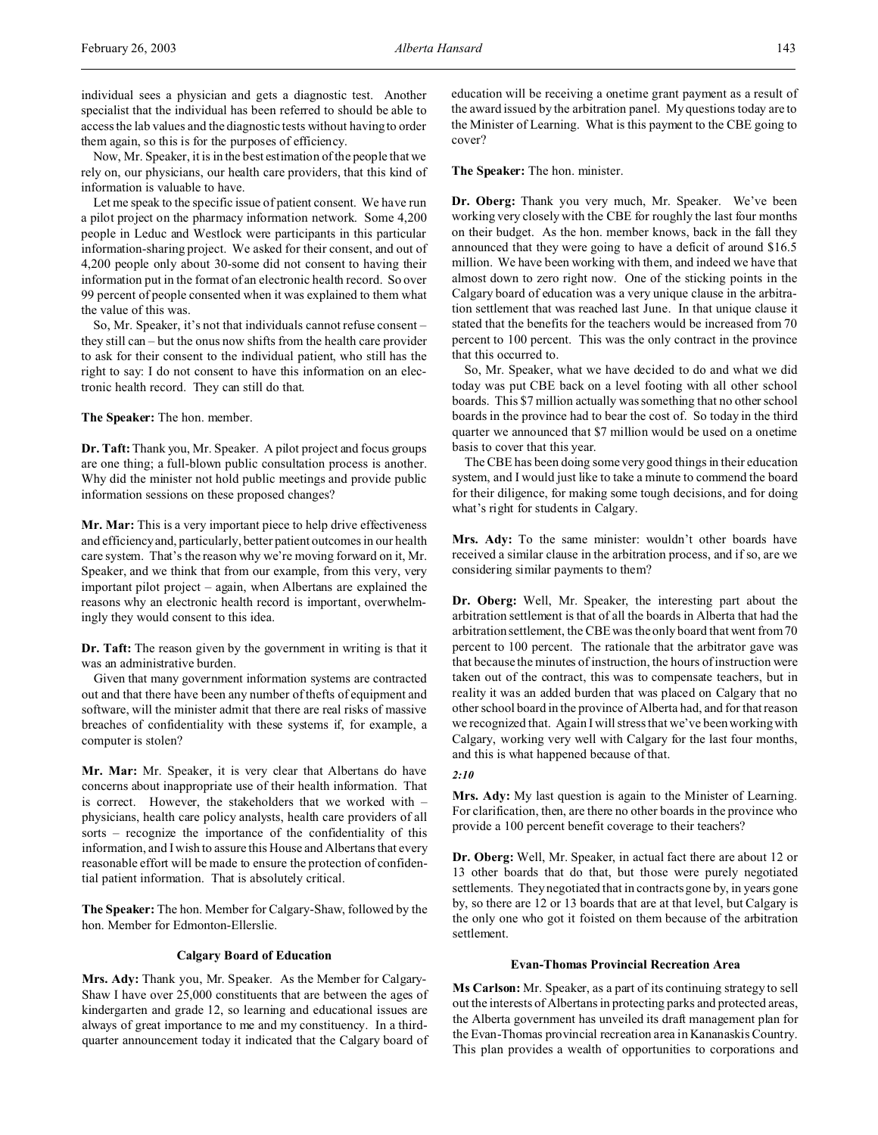individual sees a physician and gets a diagnostic test. Another specialist that the individual has been referred to should be able to access the lab values and the diagnostic tests without having to order them again, so this is for the purposes of efficiency.

Now, Mr. Speaker, it is in the best estimation of the people that we rely on, our physicians, our health care providers, that this kind of information is valuable to have.

Let me speak to the specific issue of patient consent. We have run a pilot project on the pharmacy information network. Some 4,200 people in Leduc and Westlock were participants in this particular information-sharing project. We asked for their consent, and out of 4,200 people only about 30-some did not consent to having their information put in the format of an electronic health record. So over 99 percent of people consented when it was explained to them what the value of this was.

So, Mr. Speaker, it's not that individuals cannot refuse consent – they still can – but the onus now shifts from the health care provider to ask for their consent to the individual patient, who still has the right to say: I do not consent to have this information on an electronic health record. They can still do that.

## **The Speaker:** The hon. member.

**Dr. Taft:**Thank you, Mr. Speaker. A pilot project and focus groups are one thing; a full-blown public consultation process is another. Why did the minister not hold public meetings and provide public information sessions on these proposed changes?

**Mr. Mar:** This is a very important piece to help drive effectiveness and efficiency and, particularly, better patient outcomes in our health care system. That's the reason why we're moving forward on it, Mr. Speaker, and we think that from our example, from this very, very important pilot project – again, when Albertans are explained the reasons why an electronic health record is important, overwhelmingly they would consent to this idea.

**Dr. Taft:** The reason given by the government in writing is that it was an administrative burden.

Given that many government information systems are contracted out and that there have been any number of thefts of equipment and software, will the minister admit that there are real risks of massive breaches of confidentiality with these systems if, for example, a computer is stolen?

**Mr. Mar:** Mr. Speaker, it is very clear that Albertans do have concerns about inappropriate use of their health information. That is correct. However, the stakeholders that we worked with – physicians, health care policy analysts, health care providers of all sorts – recognize the importance of the confidentiality of this information, and I wish to assure this House and Albertans that every reasonable effort will be made to ensure the protection of confidential patient information. That is absolutely critical.

**The Speaker:** The hon. Member for Calgary-Shaw, followed by the hon. Member for Edmonton-Ellerslie.

## **Calgary Board of Education**

**Mrs. Ady:** Thank you, Mr. Speaker. As the Member for Calgary-Shaw I have over 25,000 constituents that are between the ages of kindergarten and grade 12, so learning and educational issues are always of great importance to me and my constituency. In a thirdquarter announcement today it indicated that the Calgary board of education will be receiving a onetime grant payment as a result of the award issued by the arbitration panel. My questions today are to the Minister of Learning. What is this payment to the CBE going to cover?

**The Speaker:** The hon. minister.

**Dr. Oberg:** Thank you very much, Mr. Speaker. We've been working very closely with the CBE for roughly the last four months on their budget. As the hon. member knows, back in the fall they announced that they were going to have a deficit of around \$16.5 million. We have been working with them, and indeed we have that almost down to zero right now. One of the sticking points in the Calgary board of education was a very unique clause in the arbitration settlement that was reached last June. In that unique clause it stated that the benefits for the teachers would be increased from 70 percent to 100 percent. This was the only contract in the province that this occurred to.

So, Mr. Speaker, what we have decided to do and what we did today was put CBE back on a level footing with all other school boards. This \$7 million actually was something that no other school boards in the province had to bear the cost of. So today in the third quarter we announced that \$7 million would be used on a onetime basis to cover that this year.

The CBE has been doing some very good things in their education system, and I would just like to take a minute to commend the board for their diligence, for making some tough decisions, and for doing what's right for students in Calgary.

**Mrs. Ady:** To the same minister: wouldn't other boards have received a similar clause in the arbitration process, and if so, are we considering similar payments to them?

**Dr. Oberg:** Well, Mr. Speaker, the interesting part about the arbitration settlement is that of all the boards in Alberta that had the arbitration settlement, the CBE was the only board that went from 70 percent to 100 percent. The rationale that the arbitrator gave was that because the minutes of instruction, the hours of instruction were taken out of the contract, this was to compensate teachers, but in reality it was an added burden that was placed on Calgary that no other school board in the province of Alberta had, and for that reason we recognized that. Again I will stress that we've been working with Calgary, working very well with Calgary for the last four months, and this is what happened because of that.

#### *2:10*

**Mrs. Ady:** My last question is again to the Minister of Learning. For clarification, then, are there no other boards in the province who provide a 100 percent benefit coverage to their teachers?

**Dr. Oberg:** Well, Mr. Speaker, in actual fact there are about 12 or 13 other boards that do that, but those were purely negotiated settlements. They negotiated that in contracts gone by, in years gone by, so there are 12 or 13 boards that are at that level, but Calgary is the only one who got it foisted on them because of the arbitration settlement.

## **Evan-Thomas Provincial Recreation Area**

**Ms Carlson:** Mr. Speaker, as a part of its continuing strategy to sell out the interests of Albertans in protecting parks and protected areas, the Alberta government has unveiled its draft management plan for the Evan-Thomas provincial recreation area in Kananaskis Country. This plan provides a wealth of opportunities to corporations and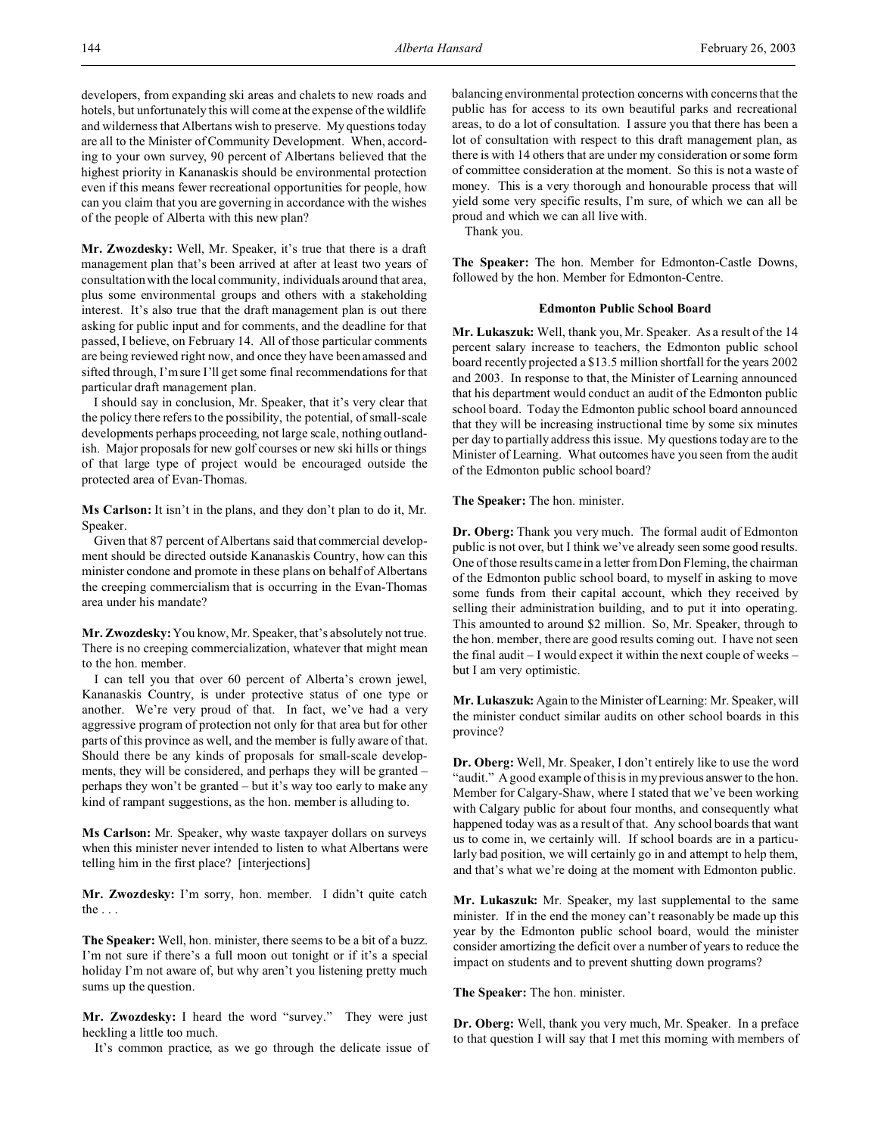developers, from expanding ski areas and chalets to new roads and hotels, but unfortunately this will come at the expense of the wildlife and wilderness that Albertans wish to preserve. My questions today are all to the Minister of Community Development. When, according to your own survey, 90 percent of Albertans believed that the highest priority in Kananaskis should be environmental protection even if this means fewer recreational opportunities for people, how can you claim that you are governing in accordance with the wishes of the people of Alberta with this new plan?

**Mr. Zwozdesky:** Well, Mr. Speaker, it's true that there is a draft management plan that's been arrived at after at least two years of consultation with the local community, individuals around that area, plus some environmental groups and others with a stakeholding interest. It's also true that the draft management plan is out there asking for public input and for comments, and the deadline for that passed, I believe, on February 14. All of those particular comments are being reviewed right now, and once they have been amassed and sifted through, I'm sure I'll get some final recommendations for that particular draft management plan.

I should say in conclusion, Mr. Speaker, that it's very clear that the policy there refers to the possibility, the potential, of small-scale developments perhaps proceeding, not large scale, nothing outlandish. Major proposals for new golf courses or new ski hills or things of that large type of project would be encouraged outside the protected area of Evan-Thomas.

**Ms Carlson:** It isn't in the plans, and they don't plan to do it, Mr. Speaker.

Given that 87 percent of Albertans said that commercial development should be directed outside Kananaskis Country, how can this minister condone and promote in these plans on behalf of Albertans the creeping commercialism that is occurring in the Evan-Thomas area under his mandate?

**Mr. Zwozdesky:** You know, Mr. Speaker, that's absolutely not true. There is no creeping commercialization, whatever that might mean to the hon. member.

I can tell you that over 60 percent of Alberta's crown jewel, Kananaskis Country, is under protective status of one type or another. We're very proud of that. In fact, we've had a very aggressive program of protection not only for that area but for other parts of this province as well, and the member is fully aware of that. Should there be any kinds of proposals for small-scale developments, they will be considered, and perhaps they will be granted – perhaps they won't be granted – but it's way too early to make any kind of rampant suggestions, as the hon. member is alluding to.

**Ms Carlson:** Mr. Speaker, why waste taxpayer dollars on surveys when this minister never intended to listen to what Albertans were telling him in the first place? [interjections]

**Mr. Zwozdesky:** I'm sorry, hon. member. I didn't quite catch the . . .

**The Speaker:** Well, hon. minister, there seems to be a bit of a buzz. I'm not sure if there's a full moon out tonight or if it's a special holiday I'm not aware of, but why aren't you listening pretty much sums up the question.

**Mr. Zwozdesky:** I heard the word "survey." They were just heckling a little too much.

It's common practice, as we go through the delicate issue of

balancing environmental protection concerns with concerns that the public has for access to its own beautiful parks and recreational areas, to do a lot of consultation. I assure you that there has been a lot of consultation with respect to this draft management plan, as there is with 14 others that are under my consideration or some form of committee consideration at the moment. So this is not a waste of money. This is a very thorough and honourable process that will yield some very specific results, I'm sure, of which we can all be proud and which we can all live with.

Thank you.

**The Speaker:** The hon. Member for Edmonton-Castle Downs, followed by the hon. Member for Edmonton-Centre.

#### **Edmonton Public School Board**

**Mr. Lukaszuk:** Well, thank you, Mr. Speaker. As a result of the 14 percent salary increase to teachers, the Edmonton public school board recently projected a \$13.5 million shortfall for the years 2002 and 2003. In response to that, the Minister of Learning announced that his department would conduct an audit of the Edmonton public school board. Today the Edmonton public school board announced that they will be increasing instructional time by some six minutes per day to partially address this issue. My questions today are to the Minister of Learning. What outcomes have you seen from the audit of the Edmonton public school board?

#### **The Speaker:** The hon. minister.

**Dr. Oberg:** Thank you very much. The formal audit of Edmonton public is not over, but I think we've already seen some good results. One of those results came in a letter from Don Fleming, the chairman of the Edmonton public school board, to myself in asking to move some funds from their capital account, which they received by selling their administration building, and to put it into operating. This amounted to around \$2 million. So, Mr. Speaker, through to the hon. member, there are good results coming out. I have not seen the final audit – I would expect it within the next couple of weeks – but I am very optimistic.

**Mr. Lukaszuk:** Again to the Minister of Learning: Mr. Speaker, will the minister conduct similar audits on other school boards in this province?

**Dr. Oberg:** Well, Mr. Speaker, I don't entirely like to use the word "audit." A good example of this is in my previous answer to the hon. Member for Calgary-Shaw, where I stated that we've been working with Calgary public for about four months, and consequently what happened today was as a result of that. Any school boards that want us to come in, we certainly will. If school boards are in a particularly bad position, we will certainly go in and attempt to help them, and that's what we're doing at the moment with Edmonton public.

**Mr. Lukaszuk:** Mr. Speaker, my last supplemental to the same minister. If in the end the money can't reasonably be made up this year by the Edmonton public school board, would the minister consider amortizing the deficit over a number of years to reduce the impact on students and to prevent shutting down programs?

## **The Speaker:** The hon. minister.

**Dr. Oberg:** Well, thank you very much, Mr. Speaker. In a preface to that question I will say that I met this morning with members of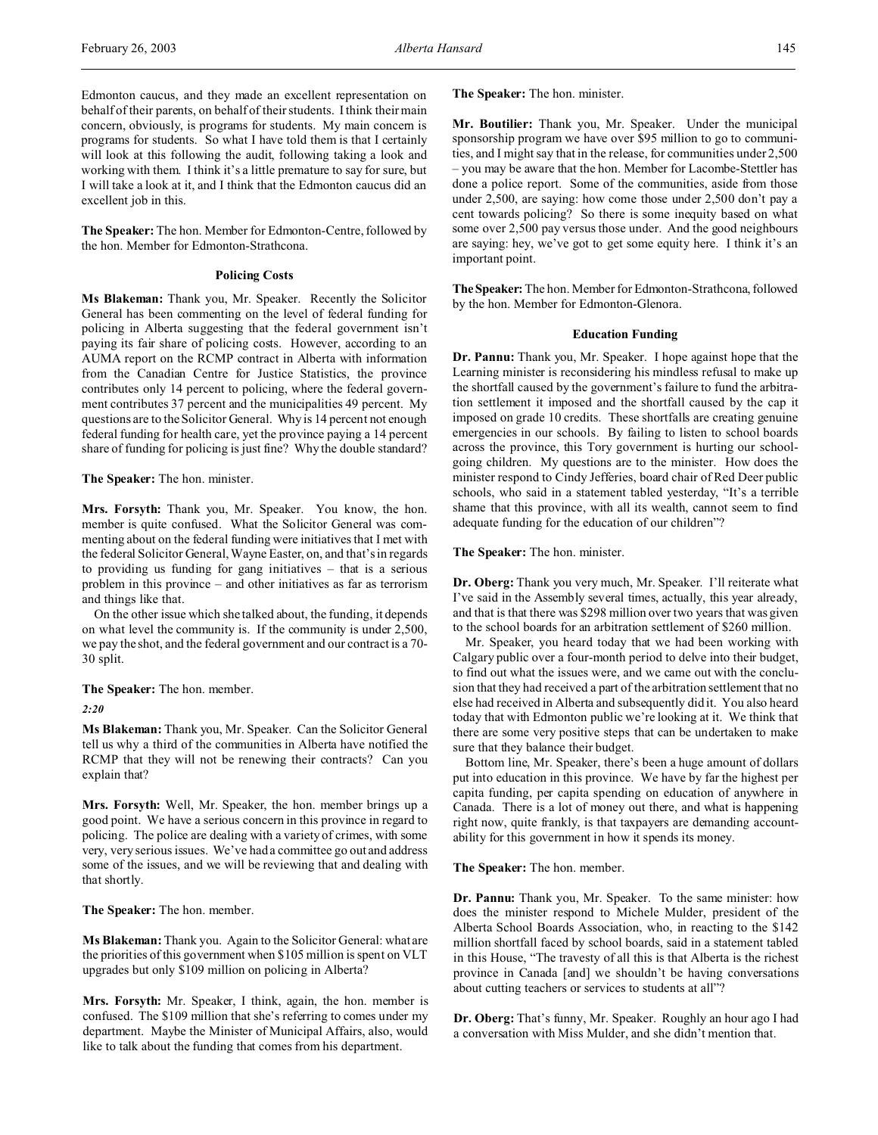Edmonton caucus, and they made an excellent representation on behalf of their parents, on behalf of their students. I think their main concern, obviously, is programs for students. My main concern is programs for students. So what I have told them is that I certainly will look at this following the audit, following taking a look and working with them. I think it's a little premature to say for sure, but I will take a look at it, and I think that the Edmonton caucus did an excellent job in this.

**The Speaker:** The hon. Member for Edmonton-Centre, followed by the hon. Member for Edmonton-Strathcona.

## **Policing Costs**

**Ms Blakeman:** Thank you, Mr. Speaker. Recently the Solicitor General has been commenting on the level of federal funding for policing in Alberta suggesting that the federal government isn't paying its fair share of policing costs. However, according to an AUMA report on the RCMP contract in Alberta with information from the Canadian Centre for Justice Statistics, the province contributes only 14 percent to policing, where the federal government contributes 37 percent and the municipalities 49 percent. My questions are to the Solicitor General. Why is 14 percent not enough federal funding for health care, yet the province paying a 14 percent share of funding for policing is just fine? Why the double standard?

## **The Speaker:** The hon. minister.

**Mrs. Forsyth:** Thank you, Mr. Speaker. You know, the hon. member is quite confused. What the Solicitor General was commenting about on the federal funding were initiatives that I met with the federal Solicitor General, Wayne Easter, on, and that's in regards to providing us funding for gang initiatives – that is a serious problem in this province – and other initiatives as far as terrorism and things like that.

On the other issue which she talked about, the funding, it depends on what level the community is. If the community is under 2,500, we pay the shot, and the federal government and our contract is a 70- 30 split.

#### **The Speaker:** The hon. member.

*2:20*

**Ms Blakeman:** Thank you, Mr. Speaker. Can the Solicitor General tell us why a third of the communities in Alberta have notified the RCMP that they will not be renewing their contracts? Can you explain that?

**Mrs. Forsyth:** Well, Mr. Speaker, the hon. member brings up a good point. We have a serious concern in this province in regard to policing. The police are dealing with a variety of crimes, with some very, very serious issues. We've had a committee go out and address some of the issues, and we will be reviewing that and dealing with that shortly.

**The Speaker:** The hon. member.

**Ms Blakeman:** Thank you. Again to the Solicitor General: what are the priorities of this government when \$105 million is spent on VLT upgrades but only \$109 million on policing in Alberta?

**Mrs. Forsyth:** Mr. Speaker, I think, again, the hon. member is confused. The \$109 million that she's referring to comes under my department. Maybe the Minister of Municipal Affairs, also, would like to talk about the funding that comes from his department.

**The Speaker:** The hon. minister.

**Mr. Boutilier:** Thank you, Mr. Speaker. Under the municipal sponsorship program we have over \$95 million to go to communities, and I might say that in the release, for communities under 2,500 – you may be aware that the hon. Member for Lacombe-Stettler has done a police report. Some of the communities, aside from those under 2,500, are saying: how come those under 2,500 don't pay a cent towards policing? So there is some inequity based on what some over 2,500 pay versus those under. And the good neighbours are saying: hey, we've got to get some equity here. I think it's an important point.

**TheSpeaker:** The hon. Member for Edmonton-Strathcona, followed by the hon. Member for Edmonton-Glenora.

#### **Education Funding**

**Dr. Pannu:** Thank you, Mr. Speaker. I hope against hope that the Learning minister is reconsidering his mindless refusal to make up the shortfall caused by the government's failure to fund the arbitration settlement it imposed and the shortfall caused by the cap it imposed on grade 10 credits. These shortfalls are creating genuine emergencies in our schools. By failing to listen to school boards across the province, this Tory government is hurting our schoolgoing children. My questions are to the minister. How does the minister respond to Cindy Jefferies, board chair of Red Deer public schools, who said in a statement tabled yesterday, "It's a terrible shame that this province, with all its wealth, cannot seem to find adequate funding for the education of our children"?

## **The Speaker:** The hon. minister.

**Dr. Oberg:** Thank you very much, Mr. Speaker. I'll reiterate what I've said in the Assembly several times, actually, this year already, and that is that there was \$298 million over two years that was given to the school boards for an arbitration settlement of \$260 million.

Mr. Speaker, you heard today that we had been working with Calgary public over a four-month period to delve into their budget, to find out what the issues were, and we came out with the conclusion that they had received a part of the arbitration settlement that no else had received in Alberta and subsequently did it. You also heard today that with Edmonton public we're looking at it. We think that there are some very positive steps that can be undertaken to make sure that they balance their budget.

Bottom line, Mr. Speaker, there's been a huge amount of dollars put into education in this province. We have by far the highest per capita funding, per capita spending on education of anywhere in Canada. There is a lot of money out there, and what is happening right now, quite frankly, is that taxpayers are demanding accountability for this government in how it spends its money.

## **The Speaker:** The hon. member.

**Dr. Pannu:** Thank you, Mr. Speaker. To the same minister: how does the minister respond to Michele Mulder, president of the Alberta School Boards Association, who, in reacting to the \$142 million shortfall faced by school boards, said in a statement tabled in this House, "The travesty of all this is that Alberta is the richest province in Canada [and] we shouldn't be having conversations about cutting teachers or services to students at all"?

**Dr. Oberg:** That's funny, Mr. Speaker. Roughly an hour ago I had a conversation with Miss Mulder, and she didn't mention that.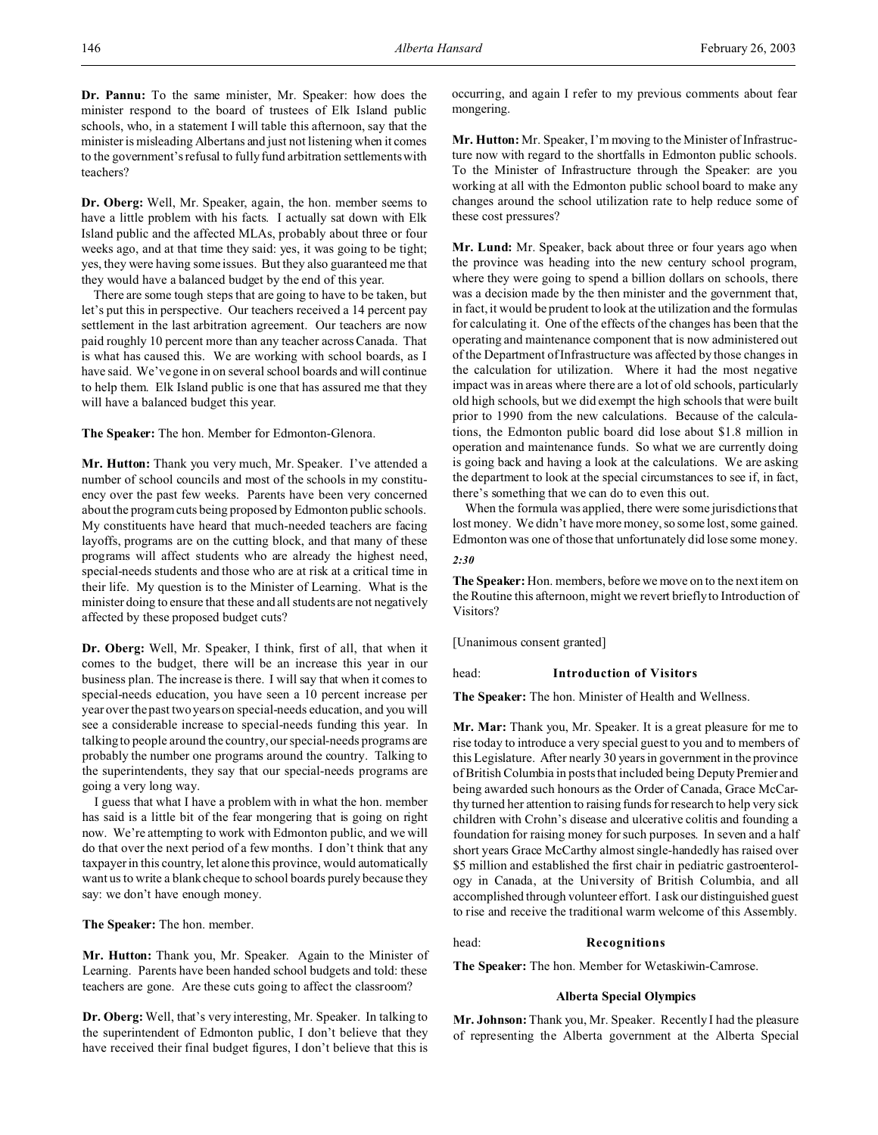**Dr. Pannu:** To the same minister, Mr. Speaker: how does the minister respond to the board of trustees of Elk Island public schools, who, in a statement I will table this afternoon, say that the minister is misleading Albertans and just not listening when it comes to the government's refusal to fully fund arbitration settlements with teachers?

**Dr. Oberg:** Well, Mr. Speaker, again, the hon. member seems to have a little problem with his facts. I actually sat down with Elk Island public and the affected MLAs, probably about three or four weeks ago, and at that time they said: yes, it was going to be tight; yes, they were having some issues. But they also guaranteed me that they would have a balanced budget by the end of this year.

There are some tough steps that are going to have to be taken, but let's put this in perspective. Our teachers received a 14 percent pay settlement in the last arbitration agreement. Our teachers are now paid roughly 10 percent more than any teacher across Canada. That is what has caused this. We are working with school boards, as I have said. We've gone in on several school boards and will continue to help them. Elk Island public is one that has assured me that they will have a balanced budget this year.

**The Speaker:** The hon. Member for Edmonton-Glenora.

**Mr. Hutton:** Thank you very much, Mr. Speaker. I've attended a number of school councils and most of the schools in my constituency over the past few weeks. Parents have been very concerned about the program cuts being proposed by Edmonton public schools. My constituents have heard that much-needed teachers are facing layoffs, programs are on the cutting block, and that many of these programs will affect students who are already the highest need, special-needs students and those who are at risk at a critical time in their life. My question is to the Minister of Learning. What is the minister doing to ensure that these and all students are not negatively affected by these proposed budget cuts?

**Dr. Oberg:** Well, Mr. Speaker, I think, first of all, that when it comes to the budget, there will be an increase this year in our business plan. The increase is there. I will say that when it comes to special-needs education, you have seen a 10 percent increase per year over the past two years on special-needs education, and you will see a considerable increase to special-needs funding this year. In talking to people around the country, our special-needs programs are probably the number one programs around the country. Talking to the superintendents, they say that our special-needs programs are going a very long way.

I guess that what I have a problem with in what the hon. member has said is a little bit of the fear mongering that is going on right now. We're attempting to work with Edmonton public, and we will do that over the next period of a few months. I don't think that any taxpayer in this country, let alone this province, would automatically want us to write a blank cheque to school boards purely because they say: we don't have enough money.

**The Speaker:** The hon. member.

**Mr. Hutton:** Thank you, Mr. Speaker. Again to the Minister of Learning. Parents have been handed school budgets and told: these teachers are gone. Are these cuts going to affect the classroom?

**Dr. Oberg:** Well, that's very interesting, Mr. Speaker. In talking to the superintendent of Edmonton public, I don't believe that they have received their final budget figures, I don't believe that this is occurring, and again I refer to my previous comments about fear mongering.

**Mr. Hutton:** Mr. Speaker, I'm moving to the Minister of Infrastructure now with regard to the shortfalls in Edmonton public schools. To the Minister of Infrastructure through the Speaker: are you working at all with the Edmonton public school board to make any changes around the school utilization rate to help reduce some of these cost pressures?

**Mr. Lund:** Mr. Speaker, back about three or four years ago when the province was heading into the new century school program, where they were going to spend a billion dollars on schools, there was a decision made by the then minister and the government that, in fact, it would be prudent to look at the utilization and the formulas for calculating it. One of the effects of the changes has been that the operating and maintenance component that is now administered out of the Department of Infrastructure was affected by those changes in the calculation for utilization. Where it had the most negative impact was in areas where there are a lot of old schools, particularly old high schools, but we did exempt the high schools that were built prior to 1990 from the new calculations. Because of the calculations, the Edmonton public board did lose about \$1.8 million in operation and maintenance funds. So what we are currently doing is going back and having a look at the calculations. We are asking the department to look at the special circumstances to see if, in fact, there's something that we can do to even this out.

When the formula was applied, there were some jurisdictions that lost money. We didn't have more money, so some lost, some gained. Edmonton was one of those that unfortunately did lose some money.

## *2:30*

**The Speaker:** Hon. members, before we move on to the next item on the Routine this afternoon, might we revert briefly to Introduction of Visitors?

[Unanimous consent granted]

## head: **Introduction of Visitors**

**The Speaker:** The hon. Minister of Health and Wellness.

**Mr. Mar:** Thank you, Mr. Speaker. It is a great pleasure for me to rise today to introduce a very special guest to you and to members of this Legislature. After nearly 30 years in government in the province of British Columbia in posts that included being Deputy Premier and being awarded such honours as the Order of Canada, Grace McCarthy turned her attention to raising funds for research to help very sick children with Crohn's disease and ulcerative colitis and founding a foundation for raising money for such purposes. In seven and a half short years Grace McCarthy almost single-handedly has raised over \$5 million and established the first chair in pediatric gastroenterology in Canada, at the University of British Columbia, and all accomplished through volunteer effort. I ask our distinguished guest to rise and receive the traditional warm welcome of this Assembly.

## head: **Recognitions**

**The Speaker:** The hon. Member for Wetaskiwin-Camrose.

### **Alberta Special Olympics**

**Mr. Johnson:** Thank you, Mr. Speaker. Recently I had the pleasure of representing the Alberta government at the Alberta Special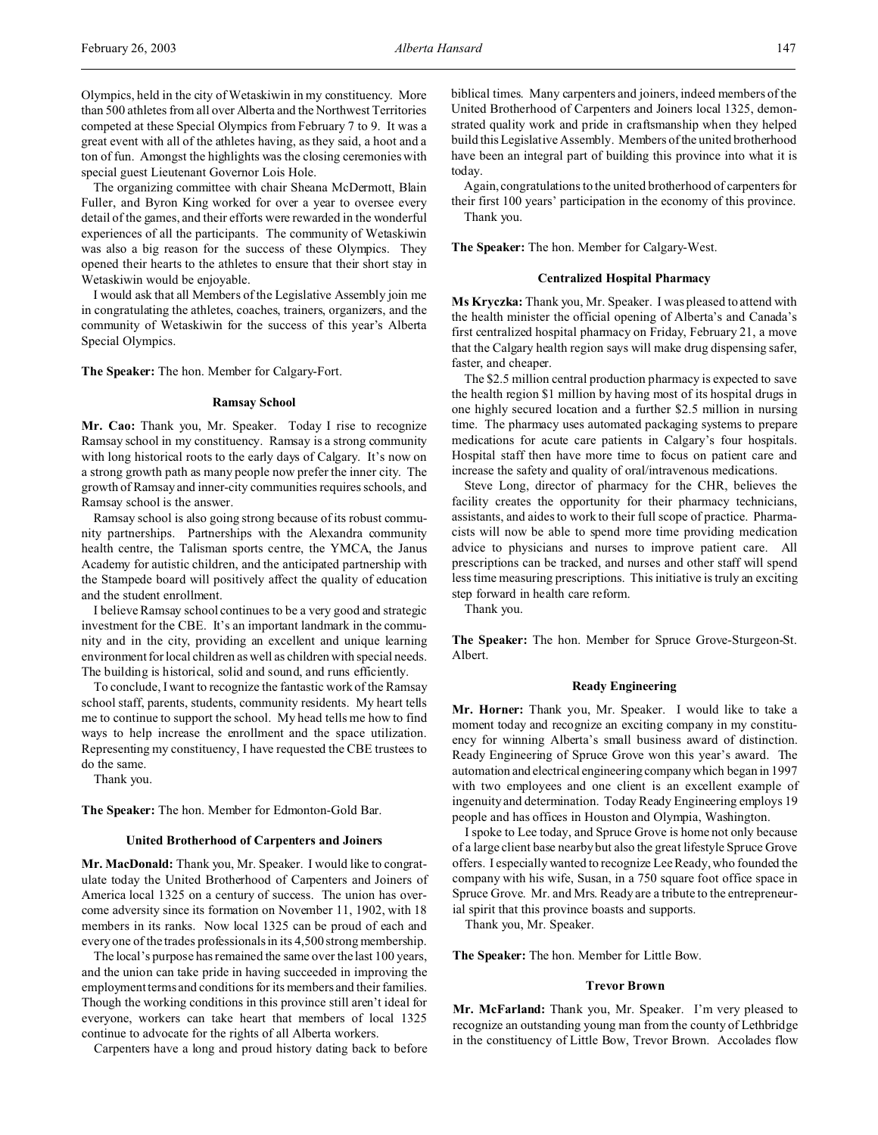The organizing committee with chair Sheana McDermott, Blain Fuller, and Byron King worked for over a year to oversee every detail of the games, and their efforts were rewarded in the wonderful experiences of all the participants. The community of Wetaskiwin was also a big reason for the success of these Olympics. They opened their hearts to the athletes to ensure that their short stay in Wetaskiwin would be enjoyable.

I would ask that all Members of the Legislative Assembly join me in congratulating the athletes, coaches, trainers, organizers, and the community of Wetaskiwin for the success of this year's Alberta Special Olympics.

**The Speaker:** The hon. Member for Calgary-Fort.

## **Ramsay School**

**Mr. Cao:** Thank you, Mr. Speaker. Today I rise to recognize Ramsay school in my constituency. Ramsay is a strong community with long historical roots to the early days of Calgary. It's now on a strong growth path as many people now prefer the inner city. The growth of Ramsay and inner-city communities requires schools, and Ramsay school is the answer.

Ramsay school is also going strong because of its robust community partnerships. Partnerships with the Alexandra community health centre, the Talisman sports centre, the YMCA, the Janus Academy for autistic children, and the anticipated partnership with the Stampede board will positively affect the quality of education and the student enrollment.

I believe Ramsay school continues to be a very good and strategic investment for the CBE. It's an important landmark in the community and in the city, providing an excellent and unique learning environment for local children as well as children with special needs. The building is historical, solid and sound, and runs efficiently.

To conclude, I want to recognize the fantastic work of the Ramsay school staff, parents, students, community residents. My heart tells me to continue to support the school. My head tells me how to find ways to help increase the enrollment and the space utilization. Representing my constituency, I have requested the CBE trustees to do the same.

Thank you.

**The Speaker:** The hon. Member for Edmonton-Gold Bar.

### **United Brotherhood of Carpenters and Joiners**

**Mr. MacDonald:** Thank you, Mr. Speaker. I would like to congratulate today the United Brotherhood of Carpenters and Joiners of America local 1325 on a century of success. The union has overcome adversity since its formation on November 11, 1902, with 18 members in its ranks. Now local 1325 can be proud of each and every one of the trades professionals in its 4,500 strong membership.

The local's purpose has remained the same over the last 100 years, and the union can take pride in having succeeded in improving the employment terms and conditions for its members and their families. Though the working conditions in this province still aren't ideal for everyone, workers can take heart that members of local 1325 continue to advocate for the rights of all Alberta workers.

Carpenters have a long and proud history dating back to before

biblical times. Many carpenters and joiners, indeed members of the United Brotherhood of Carpenters and Joiners local 1325, demonstrated quality work and pride in craftsmanship when they helped build this Legislative Assembly. Members of the united brotherhood have been an integral part of building this province into what it is today.

Again, congratulations to the united brotherhood of carpenters for their first 100 years' participation in the economy of this province. Thank you.

**The Speaker:** The hon. Member for Calgary-West.

#### **Centralized Hospital Pharmacy**

**Ms Kryczka:** Thank you, Mr. Speaker. I was pleased to attend with the health minister the official opening of Alberta's and Canada's first centralized hospital pharmacy on Friday, February 21, a move that the Calgary health region says will make drug dispensing safer, faster, and cheaper.

The \$2.5 million central production pharmacy is expected to save the health region \$1 million by having most of its hospital drugs in one highly secured location and a further \$2.5 million in nursing time. The pharmacy uses automated packaging systems to prepare medications for acute care patients in Calgary's four hospitals. Hospital staff then have more time to focus on patient care and increase the safety and quality of oral/intravenous medications.

Steve Long, director of pharmacy for the CHR, believes the facility creates the opportunity for their pharmacy technicians, assistants, and aides to work to their full scope of practice. Pharmacists will now be able to spend more time providing medication advice to physicians and nurses to improve patient care. All prescriptions can be tracked, and nurses and other staff will spend less time measuring prescriptions. This initiative is truly an exciting step forward in health care reform.

Thank you.

**The Speaker:** The hon. Member for Spruce Grove-Sturgeon-St. Albert.

### **Ready Engineering**

**Mr. Horner:** Thank you, Mr. Speaker. I would like to take a moment today and recognize an exciting company in my constituency for winning Alberta's small business award of distinction. Ready Engineering of Spruce Grove won this year's award. The automation and electrical engineering company which began in 1997 with two employees and one client is an excellent example of ingenuity and determination. Today Ready Engineering employs 19 people and has offices in Houston and Olympia, Washington.

I spoke to Lee today, and Spruce Grove is home not only because of a large client base nearby but also the great lifestyle Spruce Grove offers. I especially wanted to recognize Lee Ready, who founded the company with his wife, Susan, in a 750 square foot office space in Spruce Grove. Mr. and Mrs. Ready are a tribute to the entrepreneurial spirit that this province boasts and supports.

Thank you, Mr. Speaker.

**The Speaker:** The hon. Member for Little Bow.

## **Trevor Brown**

**Mr. McFarland:** Thank you, Mr. Speaker. I'm very pleased to recognize an outstanding young man from the county of Lethbridge in the constituency of Little Bow, Trevor Brown. Accolades flow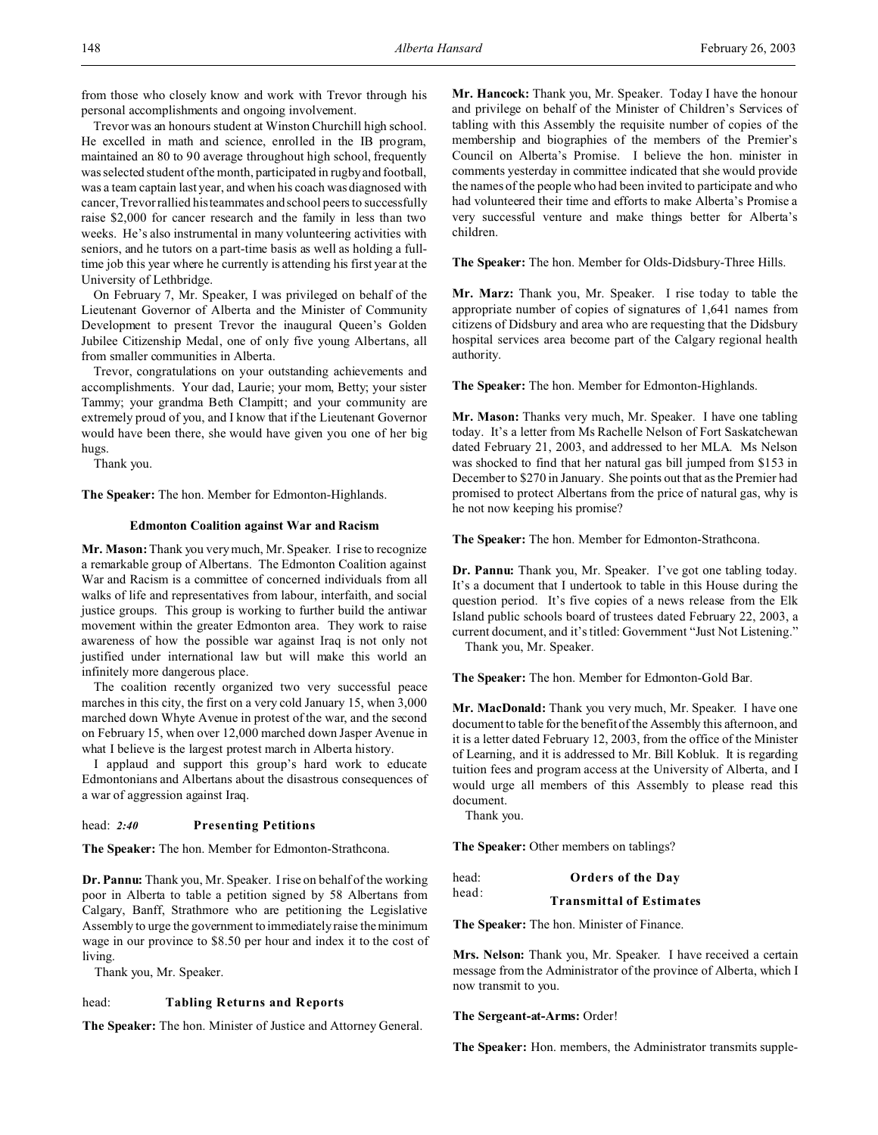from those who closely know and work with Trevor through his personal accomplishments and ongoing involvement.

Trevor was an honours student at Winston Churchill high school. He excelled in math and science, enrolled in the IB program, maintained an 80 to 90 average throughout high school, frequently was selected student of the month, participated in rugby and football, was a team captain last year, and when his coach was diagnosed with cancer, Trevor rallied his teammates and school peers to successfully raise \$2,000 for cancer research and the family in less than two weeks. He's also instrumental in many volunteering activities with seniors, and he tutors on a part-time basis as well as holding a fulltime job this year where he currently is attending his first year at the University of Lethbridge.

On February 7, Mr. Speaker, I was privileged on behalf of the Lieutenant Governor of Alberta and the Minister of Community Development to present Trevor the inaugural Queen's Golden Jubilee Citizenship Medal, one of only five young Albertans, all from smaller communities in Alberta.

Trevor, congratulations on your outstanding achievements and accomplishments. Your dad, Laurie; your mom, Betty; your sister Tammy; your grandma Beth Clampitt; and your community are extremely proud of you, and I know that if the Lieutenant Governor would have been there, she would have given you one of her big hugs.

Thank you.

**The Speaker:** The hon. Member for Edmonton-Highlands.

## **Edmonton Coalition against War and Racism**

**Mr. Mason:** Thank you very much, Mr. Speaker. I rise to recognize a remarkable group of Albertans. The Edmonton Coalition against War and Racism is a committee of concerned individuals from all walks of life and representatives from labour, interfaith, and social justice groups. This group is working to further build the antiwar movement within the greater Edmonton area. They work to raise awareness of how the possible war against Iraq is not only not justified under international law but will make this world an infinitely more dangerous place.

The coalition recently organized two very successful peace marches in this city, the first on a very cold January 15, when 3,000 marched down Whyte Avenue in protest of the war, and the second on February 15, when over 12,000 marched down Jasper Avenue in what I believe is the largest protest march in Alberta history.

I applaud and support this group's hard work to educate Edmontonians and Albertans about the disastrous consequences of a war of aggression against Iraq.

## head: *2:40* **Presenting Petitions**

**The Speaker:** The hon. Member for Edmonton-Strathcona.

**Dr. Pannu:** Thank you, Mr. Speaker. I rise on behalf of the working poor in Alberta to table a petition signed by 58 Albertans from Calgary, Banff, Strathmore who are petitioning the Legislative Assembly to urge the government to immediately raise the minimum wage in our province to \$8.50 per hour and index it to the cost of living.

Thank you, Mr. Speaker.

## head: **Tabling Returns and Reports**

**The Speaker:** The hon. Minister of Justice and Attorney General.

**Mr. Hancock:** Thank you, Mr. Speaker. Today I have the honour and privilege on behalf of the Minister of Children's Services of tabling with this Assembly the requisite number of copies of the membership and biographies of the members of the Premier's Council on Alberta's Promise. I believe the hon. minister in comments yesterday in committee indicated that she would provide the names of the people who had been invited to participate and who had volunteered their time and efforts to make Alberta's Promise a very successful venture and make things better for Alberta's children.

**The Speaker:** The hon. Member for Olds-Didsbury-Three Hills.

**Mr. Marz:** Thank you, Mr. Speaker. I rise today to table the appropriate number of copies of signatures of 1,641 names from citizens of Didsbury and area who are requesting that the Didsbury hospital services area become part of the Calgary regional health authority.

**The Speaker:** The hon. Member for Edmonton-Highlands.

**Mr. Mason:** Thanks very much, Mr. Speaker. I have one tabling today. It's a letter from Ms Rachelle Nelson of Fort Saskatchewan dated February 21, 2003, and addressed to her MLA. Ms Nelson was shocked to find that her natural gas bill jumped from \$153 in December to \$270 in January. She points out that as the Premier had promised to protect Albertans from the price of natural gas, why is he not now keeping his promise?

**The Speaker:** The hon. Member for Edmonton-Strathcona.

**Dr. Pannu:** Thank you, Mr. Speaker. I've got one tabling today. It's a document that I undertook to table in this House during the question period. It's five copies of a news release from the Elk Island public schools board of trustees dated February 22, 2003, a current document, and it's titled: Government "Just Not Listening."

Thank you, Mr. Speaker.

**The Speaker:** The hon. Member for Edmonton-Gold Bar.

**Mr. MacDonald:** Thank you very much, Mr. Speaker. I have one document to table for the benefit of the Assembly this afternoon, and it is a letter dated February 12, 2003, from the office of the Minister of Learning, and it is addressed to Mr. Bill Kobluk. It is regarding tuition fees and program access at the University of Alberta, and I would urge all members of this Assembly to please read this document.

Thank you.

**The Speaker:** Other members on tablings?

| head: | <b>Orders of the Day</b>        |
|-------|---------------------------------|
| head: | <b>Transmittal of Estimates</b> |

**The Speaker:** The hon. Minister of Finance.

**Mrs. Nelson:** Thank you, Mr. Speaker. I have received a certain message from the Administrator of the province of Alberta, which I now transmit to you.

## **The Sergeant-at-Arms:** Order!

**The Speaker:** Hon. members, the Administrator transmits supple-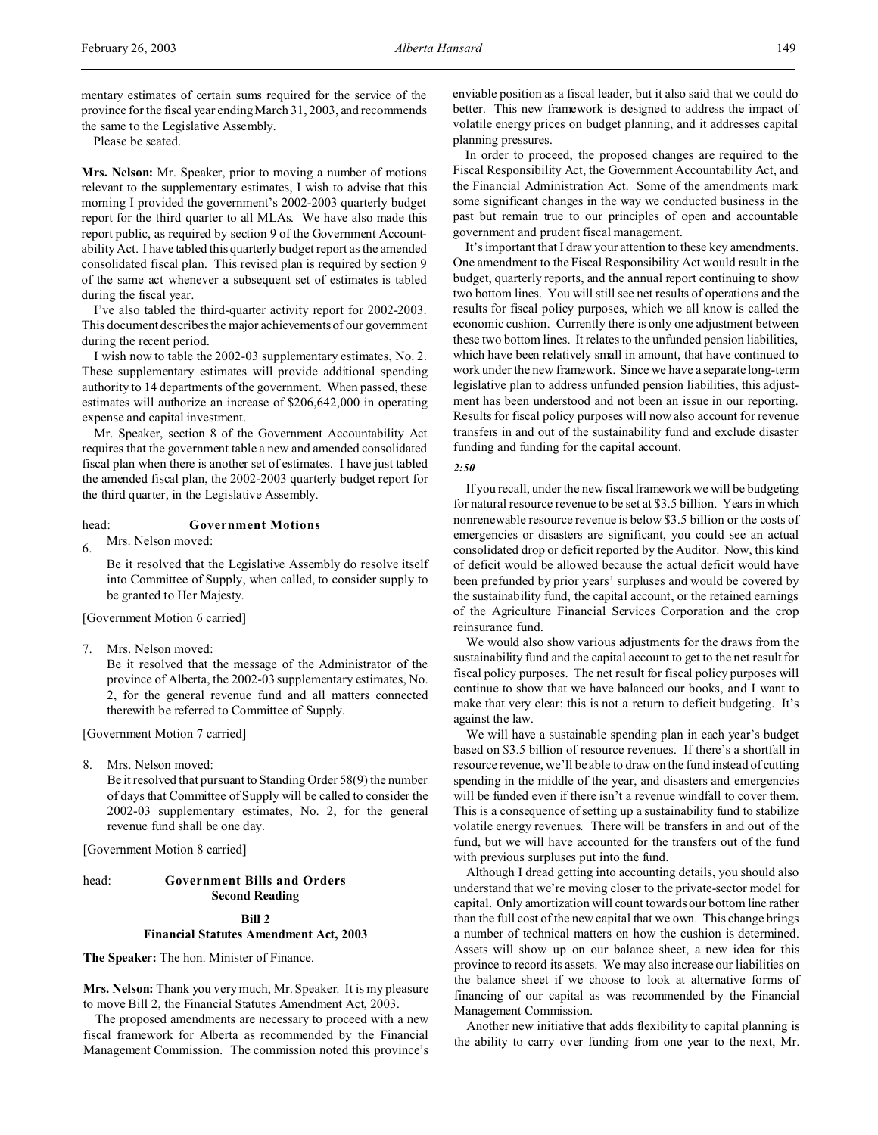mentary estimates of certain sums required for the service of the province for the fiscal year ending March 31, 2003, and recommends the same to the Legislative Assembly.

Please be seated.

**Mrs. Nelson:** Mr. Speaker, prior to moving a number of motions relevant to the supplementary estimates, I wish to advise that this morning I provided the government's 2002-2003 quarterly budget report for the third quarter to all MLAs. We have also made this report public, as required by section 9 of the Government Accountability Act. I have tabled this quarterly budget report as the amended consolidated fiscal plan. This revised plan is required by section 9 of the same act whenever a subsequent set of estimates is tabled during the fiscal year.

I've also tabled the third-quarter activity report for 2002-2003. This document describes the major achievements of our government during the recent period.

I wish now to table the 2002-03 supplementary estimates, No. 2. These supplementary estimates will provide additional spending authority to 14 departments of the government. When passed, these estimates will authorize an increase of \$206,642,000 in operating expense and capital investment.

Mr. Speaker, section 8 of the Government Accountability Act requires that the government table a new and amended consolidated fiscal plan when there is another set of estimates. I have just tabled the amended fiscal plan, the 2002-2003 quarterly budget report for the third quarter, in the Legislative Assembly.

# head: **Government Motions**

6. Mrs. Nelson moved:

Be it resolved that the Legislative Assembly do resolve itself into Committee of Supply, when called, to consider supply to be granted to Her Majesty.

[Government Motion 6 carried]

7. Mrs. Nelson moved:

Be it resolved that the message of the Administrator of the province of Alberta, the 2002-03 supplementary estimates, No. 2, for the general revenue fund and all matters connected therewith be referred to Committee of Supply.

[Government Motion 7 carried]

8. Mrs. Nelson moved:

Be it resolved that pursuant to Standing Order 58(9) the number of days that Committee of Supply will be called to consider the 2002-03 supplementary estimates, No. 2, for the general revenue fund shall be one day.

[Government Motion 8 carried]

# head: **Government Bills and Orders Second Reading**

## **Bill 2**

# **Financial Statutes Amendment Act, 2003**

**The Speaker:** The hon. Minister of Finance.

**Mrs. Nelson:** Thank you very much, Mr. Speaker. It is my pleasure to move Bill 2, the Financial Statutes Amendment Act, 2003.

The proposed amendments are necessary to proceed with a new fiscal framework for Alberta as recommended by the Financial Management Commission. The commission noted this province's

enviable position as a fiscal leader, but it also said that we could do better. This new framework is designed to address the impact of volatile energy prices on budget planning, and it addresses capital planning pressures.

In order to proceed, the proposed changes are required to the Fiscal Responsibility Act, the Government Accountability Act, and the Financial Administration Act. Some of the amendments mark some significant changes in the way we conducted business in the past but remain true to our principles of open and accountable government and prudent fiscal management.

It's important that I draw your attention to these key amendments. One amendment to the Fiscal Responsibility Act would result in the budget, quarterly reports, and the annual report continuing to show two bottom lines. You will still see net results of operations and the results for fiscal policy purposes, which we all know is called the economic cushion. Currently there is only one adjustment between these two bottom lines. It relates to the unfunded pension liabilities, which have been relatively small in amount, that have continued to work under the new framework. Since we have a separate long-term legislative plan to address unfunded pension liabilities, this adjustment has been understood and not been an issue in our reporting. Results for fiscal policy purposes will now also account for revenue transfers in and out of the sustainability fund and exclude disaster funding and funding for the capital account.

#### *2:50*

If you recall, under the new fiscal framework we will be budgeting for natural resource revenue to be set at \$3.5 billion. Years in which nonrenewable resource revenue is below \$3.5 billion or the costs of emergencies or disasters are significant, you could see an actual consolidated drop or deficit reported by the Auditor. Now, this kind of deficit would be allowed because the actual deficit would have been prefunded by prior years' surpluses and would be covered by the sustainability fund, the capital account, or the retained earnings of the Agriculture Financial Services Corporation and the crop reinsurance fund.

We would also show various adjustments for the draws from the sustainability fund and the capital account to get to the net result for fiscal policy purposes. The net result for fiscal policy purposes will continue to show that we have balanced our books, and I want to make that very clear: this is not a return to deficit budgeting. It's against the law.

We will have a sustainable spending plan in each year's budget based on \$3.5 billion of resource revenues. If there's a shortfall in resource revenue, we'll be able to draw on the fund instead of cutting spending in the middle of the year, and disasters and emergencies will be funded even if there isn't a revenue windfall to cover them. This is a consequence of setting up a sustainability fund to stabilize volatile energy revenues. There will be transfers in and out of the fund, but we will have accounted for the transfers out of the fund with previous surpluses put into the fund.

Although I dread getting into accounting details, you should also understand that we're moving closer to the private-sector model for capital. Only amortization will count towards our bottom line rather than the full cost of the new capital that we own. This change brings a number of technical matters on how the cushion is determined. Assets will show up on our balance sheet, a new idea for this province to record its assets. We may also increase our liabilities on the balance sheet if we choose to look at alternative forms of financing of our capital as was recommended by the Financial Management Commission.

Another new initiative that adds flexibility to capital planning is the ability to carry over funding from one year to the next, Mr.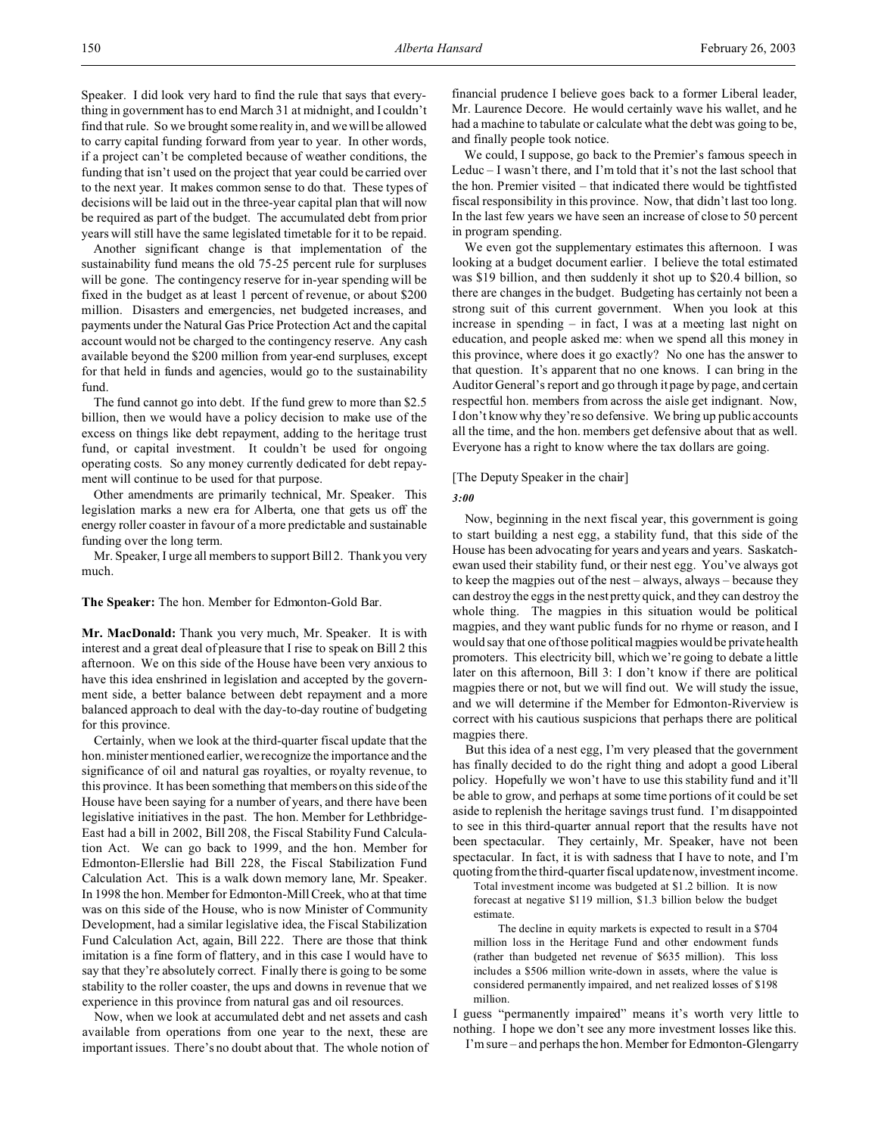Speaker. I did look very hard to find the rule that says that everything in government has to end March 31 at midnight, and I couldn't find that rule. So we brought some reality in, and we will be allowed to carry capital funding forward from year to year. In other words, if a project can't be completed because of weather conditions, the funding that isn't used on the project that year could be carried over to the next year. It makes common sense to do that. These types of decisions will be laid out in the three-year capital plan that will now be required as part of the budget. The accumulated debt from prior years will still have the same legislated timetable for it to be repaid.

Another significant change is that implementation of the sustainability fund means the old 75-25 percent rule for surpluses will be gone. The contingency reserve for in-year spending will be fixed in the budget as at least 1 percent of revenue, or about \$200 million. Disasters and emergencies, net budgeted increases, and payments under the Natural Gas Price Protection Act and the capital account would not be charged to the contingency reserve. Any cash available beyond the \$200 million from year-end surpluses, except for that held in funds and agencies, would go to the sustainability fund.

The fund cannot go into debt. If the fund grew to more than \$2.5 billion, then we would have a policy decision to make use of the excess on things like debt repayment, adding to the heritage trust fund, or capital investment. It couldn't be used for ongoing operating costs. So any money currently dedicated for debt repayment will continue to be used for that purpose.

Other amendments are primarily technical, Mr. Speaker. This legislation marks a new era for Alberta, one that gets us off the energy roller coaster in favour of a more predictable and sustainable funding over the long term.

Mr. Speaker, I urge all members to support Bill 2. Thank you very much.

**The Speaker:** The hon. Member for Edmonton-Gold Bar.

**Mr. MacDonald:** Thank you very much, Mr. Speaker. It is with interest and a great deal of pleasure that I rise to speak on Bill 2 this afternoon. We on this side of the House have been very anxious to have this idea enshrined in legislation and accepted by the government side, a better balance between debt repayment and a more balanced approach to deal with the day-to-day routine of budgeting for this province.

Certainly, when we look at the third-quarter fiscal update that the hon. minister mentioned earlier, we recognize the importance and the significance of oil and natural gas royalties, or royalty revenue, to this province. It has been something that members on this side of the House have been saying for a number of years, and there have been legislative initiatives in the past. The hon. Member for Lethbridge-East had a bill in 2002, Bill 208, the Fiscal Stability Fund Calculation Act. We can go back to 1999, and the hon. Member for Edmonton-Ellerslie had Bill 228, the Fiscal Stabilization Fund Calculation Act. This is a walk down memory lane, Mr. Speaker. In 1998 the hon. Member for Edmonton-Mill Creek, who at that time was on this side of the House, who is now Minister of Community Development, had a similar legislative idea, the Fiscal Stabilization Fund Calculation Act, again, Bill 222. There are those that think imitation is a fine form of flattery, and in this case I would have to say that they're absolutely correct. Finally there is going to be some stability to the roller coaster, the ups and downs in revenue that we experience in this province from natural gas and oil resources.

Now, when we look at accumulated debt and net assets and cash available from operations from one year to the next, these are important issues. There's no doubt about that. The whole notion of financial prudence I believe goes back to a former Liberal leader, Mr. Laurence Decore. He would certainly wave his wallet, and he had a machine to tabulate or calculate what the debt was going to be, and finally people took notice.

We could, I suppose, go back to the Premier's famous speech in Leduc – I wasn't there, and I'm told that it's not the last school that the hon. Premier visited – that indicated there would be tightfisted fiscal responsibility in this province. Now, that didn't last too long. In the last few years we have seen an increase of close to 50 percent in program spending.

We even got the supplementary estimates this afternoon. I was looking at a budget document earlier. I believe the total estimated was \$19 billion, and then suddenly it shot up to \$20.4 billion, so there are changes in the budget. Budgeting has certainly not been a strong suit of this current government. When you look at this increase in spending – in fact, I was at a meeting last night on education, and people asked me: when we spend all this money in this province, where does it go exactly? No one has the answer to that question. It's apparent that no one knows. I can bring in the Auditor General's report and go through it page by page, and certain respectful hon. members from across the aisle get indignant. Now, I don't know why they're so defensive. We bring up public accounts all the time, and the hon. members get defensive about that as well. Everyone has a right to know where the tax dollars are going.

#### [The Deputy Speaker in the chair]

*3:00*

Now, beginning in the next fiscal year, this government is going to start building a nest egg, a stability fund, that this side of the House has been advocating for years and years and years. Saskatchewan used their stability fund, or their nest egg. You've always got to keep the magpies out of the nest – always, always – because they can destroy the eggs in the nest pretty quick, and they can destroy the whole thing. The magpies in this situation would be political magpies, and they want public funds for no rhyme or reason, and I would say that one of those political magpies would be private health promoters. This electricity bill, which we're going to debate a little later on this afternoon, Bill 3: I don't know if there are political magpies there or not, but we will find out. We will study the issue, and we will determine if the Member for Edmonton-Riverview is correct with his cautious suspicions that perhaps there are political magpies there.

But this idea of a nest egg, I'm very pleased that the government has finally decided to do the right thing and adopt a good Liberal policy. Hopefully we won't have to use this stability fund and it'll be able to grow, and perhaps at some time portions of it could be set aside to replenish the heritage savings trust fund. I'm disappointed to see in this third-quarter annual report that the results have not been spectacular. They certainly, Mr. Speaker, have not been spectacular. In fact, it is with sadness that I have to note, and I'm quoting from the third-quarter fiscal update now, investment income.

Total investment income was budgeted at \$1.2 billion. It is now forecast at negative \$119 million, \$1.3 billion below the budget estimate.

The decline in equity markets is expected to result in a \$704 million loss in the Heritage Fund and other endowment funds (rather than budgeted net revenue of \$635 million). This loss includes a \$506 million write-down in assets, where the value is considered permanently impaired, and net realized losses of \$198 million.

I guess "permanently impaired" means it's worth very little to nothing. I hope we don't see any more investment losses like this.

I'm sure – and perhaps the hon. Member for Edmonton-Glengarry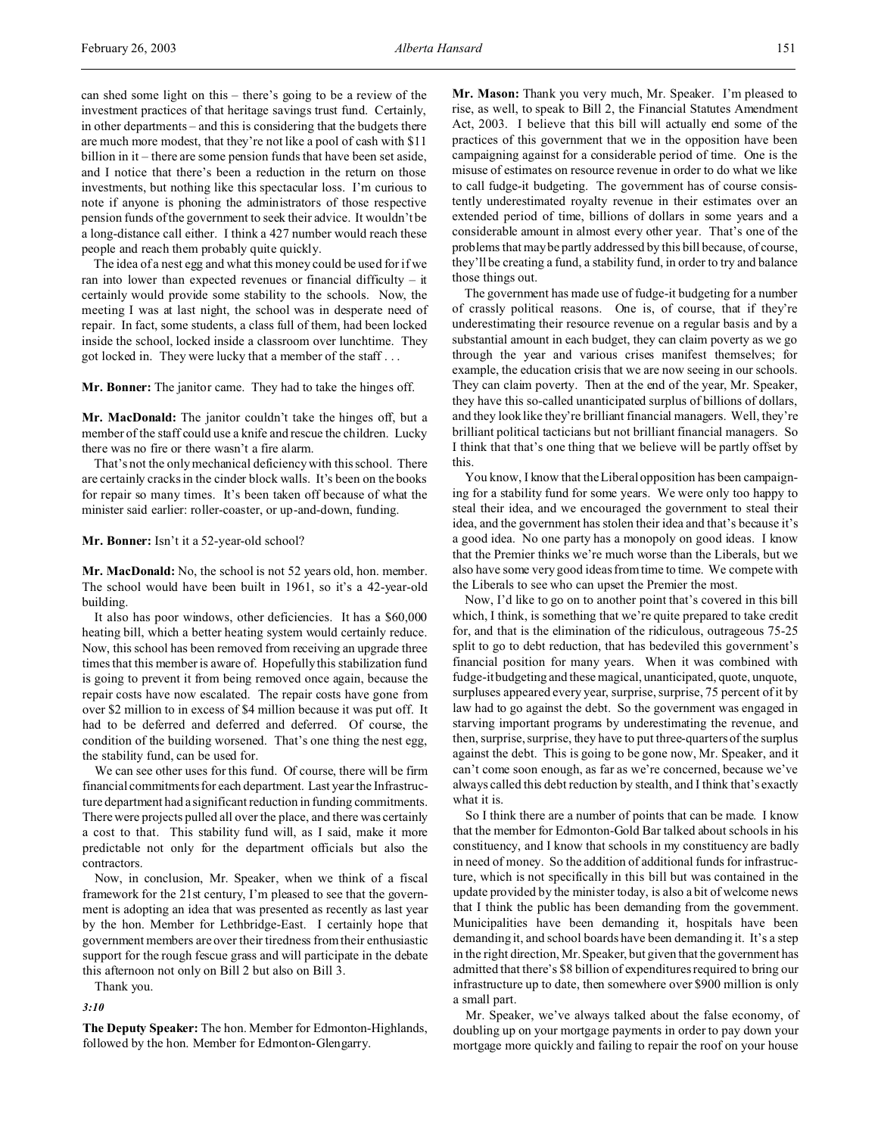can shed some light on this – there's going to be a review of the investment practices of that heritage savings trust fund. Certainly, in other departments – and this is considering that the budgets there are much more modest, that they're not like a pool of cash with \$11 billion in it – there are some pension funds that have been set aside, and I notice that there's been a reduction in the return on those investments, but nothing like this spectacular loss. I'm curious to note if anyone is phoning the administrators of those respective pension funds of the government to seek their advice. It wouldn't be a long-distance call either. I think a 427 number would reach these people and reach them probably quite quickly.

The idea of a nest egg and what this money could be used for if we ran into lower than expected revenues or financial difficulty – it certainly would provide some stability to the schools. Now, the meeting I was at last night, the school was in desperate need of repair. In fact, some students, a class full of them, had been locked inside the school, locked inside a classroom over lunchtime. They got locked in. They were lucky that a member of the staff . . .

**Mr. Bonner:** The janitor came. They had to take the hinges off.

**Mr. MacDonald:** The janitor couldn't take the hinges off, but a member of the staff could use a knife and rescue the children. Lucky there was no fire or there wasn't a fire alarm.

That's not the only mechanical deficiency with this school. There are certainly cracks in the cinder block walls. It's been on the books for repair so many times. It's been taken off because of what the minister said earlier: roller-coaster, or up-and-down, funding.

**Mr. Bonner:** Isn't it a 52-year-old school?

**Mr. MacDonald:** No, the school is not 52 years old, hon. member. The school would have been built in 1961, so it's a 42-year-old building.

It also has poor windows, other deficiencies. It has a \$60,000 heating bill, which a better heating system would certainly reduce. Now, this school has been removed from receiving an upgrade three times that this member is aware of. Hopefully this stabilization fund is going to prevent it from being removed once again, because the repair costs have now escalated. The repair costs have gone from over \$2 million to in excess of \$4 million because it was put off. It had to be deferred and deferred and deferred. Of course, the condition of the building worsened. That's one thing the nest egg, the stability fund, can be used for.

We can see other uses for this fund. Of course, there will be firm financial commitments for each department. Last year the Infrastructure department had a significant reduction in funding commitments. There were projects pulled all over the place, and there was certainly a cost to that. This stability fund will, as I said, make it more predictable not only for the department officials but also the contractors.

Now, in conclusion, Mr. Speaker, when we think of a fiscal framework for the 21st century, I'm pleased to see that the government is adopting an idea that was presented as recently as last year by the hon. Member for Lethbridge-East. I certainly hope that government members are over their tiredness from their enthusiastic support for the rough fescue grass and will participate in the debate this afternoon not only on Bill 2 but also on Bill 3.

Thank you.

*3:10*

**The Deputy Speaker:** The hon. Member for Edmonton-Highlands, followed by the hon. Member for Edmonton-Glengarry.

**Mr. Mason:** Thank you very much, Mr. Speaker. I'm pleased to rise, as well, to speak to Bill 2, the Financial Statutes Amendment Act, 2003. I believe that this bill will actually end some of the practices of this government that we in the opposition have been campaigning against for a considerable period of time. One is the misuse of estimates on resource revenue in order to do what we like to call fudge-it budgeting. The government has of course consistently underestimated royalty revenue in their estimates over an extended period of time, billions of dollars in some years and a considerable amount in almost every other year. That's one of the problems that may be partly addressed by this bill because, of course, they'll be creating a fund, a stability fund, in order to try and balance those things out.

The government has made use of fudge-it budgeting for a number of crassly political reasons. One is, of course, that if they're underestimating their resource revenue on a regular basis and by a substantial amount in each budget, they can claim poverty as we go through the year and various crises manifest themselves; for example, the education crisis that we are now seeing in our schools. They can claim poverty. Then at the end of the year, Mr. Speaker, they have this so-called unanticipated surplus of billions of dollars, and they look like they're brilliant financial managers. Well, they're brilliant political tacticians but not brilliant financial managers. So I think that that's one thing that we believe will be partly offset by this.

You know, I know that the Liberal opposition has been campaigning for a stability fund for some years. We were only too happy to steal their idea, and we encouraged the government to steal their idea, and the government has stolen their idea and that's because it's a good idea. No one party has a monopoly on good ideas. I know that the Premier thinks we're much worse than the Liberals, but we also have some very good ideas from time to time. We compete with the Liberals to see who can upset the Premier the most.

Now, I'd like to go on to another point that's covered in this bill which, I think, is something that we're quite prepared to take credit for, and that is the elimination of the ridiculous, outrageous 75-25 split to go to debt reduction, that has bedeviled this government's financial position for many years. When it was combined with fudge-it budgeting and these magical, unanticipated, quote, unquote, surpluses appeared every year, surprise, surprise, 75 percent of it by law had to go against the debt. So the government was engaged in starving important programs by underestimating the revenue, and then, surprise, surprise, they have to put three-quarters of the surplus against the debt. This is going to be gone now, Mr. Speaker, and it can't come soon enough, as far as we're concerned, because we've always called this debt reduction by stealth, and I think that's exactly what it is.

So I think there are a number of points that can be made. I know that the member for Edmonton-Gold Bar talked about schools in his constituency, and I know that schools in my constituency are badly in need of money. So the addition of additional funds for infrastructure, which is not specifically in this bill but was contained in the update provided by the minister today, is also a bit of welcome news that I think the public has been demanding from the government. Municipalities have been demanding it, hospitals have been demanding it, and school boards have been demanding it. It's a step in the right direction, Mr. Speaker, but given that the government has admitted that there's \$8 billion of expenditures required to bring our infrastructure up to date, then somewhere over \$900 million is only a small part.

Mr. Speaker, we've always talked about the false economy, of doubling up on your mortgage payments in order to pay down your mortgage more quickly and failing to repair the roof on your house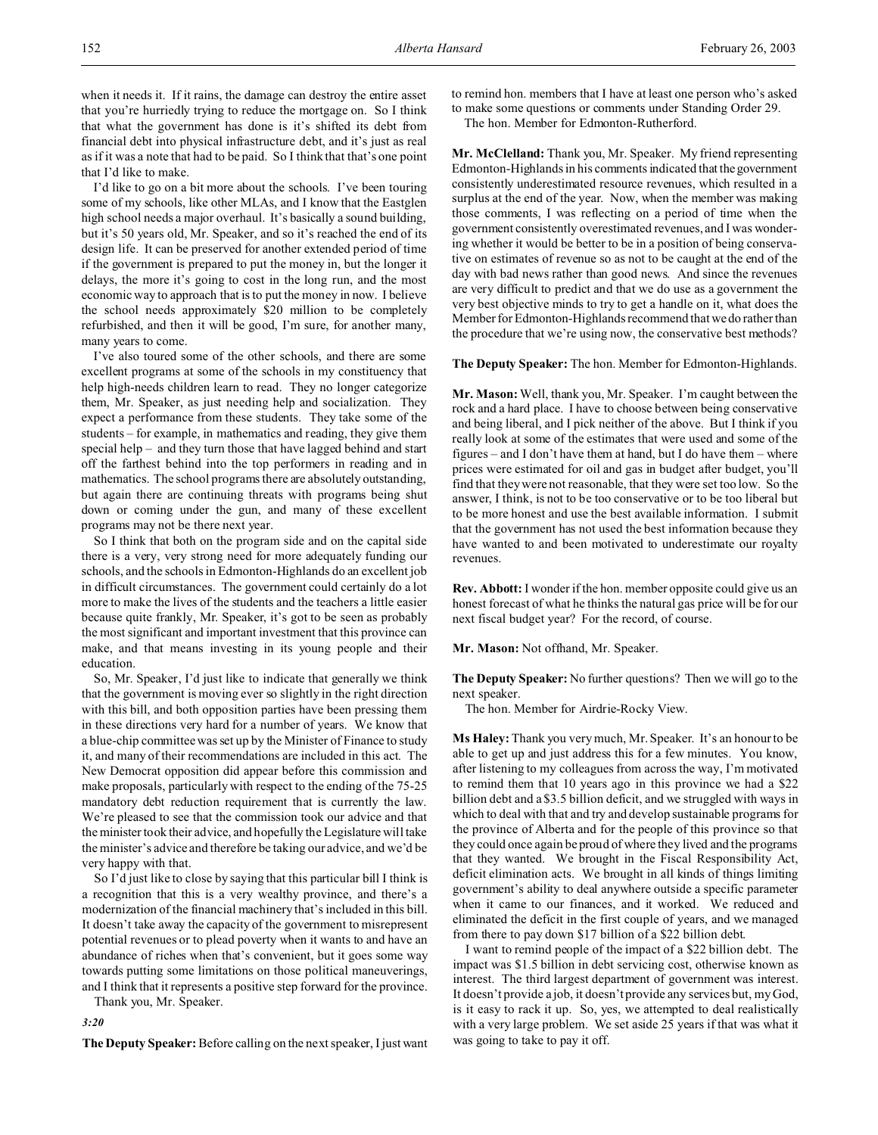when it needs it. If it rains, the damage can destroy the entire asset that you're hurriedly trying to reduce the mortgage on. So I think that what the government has done is it's shifted its debt from financial debt into physical infrastructure debt, and it's just as real as if it was a note that had to be paid. So I think that that's one point that I'd like to make.

I'd like to go on a bit more about the schools. I've been touring some of my schools, like other MLAs, and I know that the Eastglen high school needs a major overhaul. It's basically a sound building, but it's 50 years old, Mr. Speaker, and so it's reached the end of its design life. It can be preserved for another extended period of time if the government is prepared to put the money in, but the longer it delays, the more it's going to cost in the long run, and the most economic way to approach that is to put the money in now. I believe the school needs approximately \$20 million to be completely refurbished, and then it will be good, I'm sure, for another many, many years to come.

I've also toured some of the other schools, and there are some excellent programs at some of the schools in my constituency that help high-needs children learn to read. They no longer categorize them, Mr. Speaker, as just needing help and socialization. They expect a performance from these students. They take some of the students – for example, in mathematics and reading, they give them special help – and they turn those that have lagged behind and start off the farthest behind into the top performers in reading and in mathematics. The school programs there are absolutely outstanding, but again there are continuing threats with programs being shut down or coming under the gun, and many of these excellent programs may not be there next year.

So I think that both on the program side and on the capital side there is a very, very strong need for more adequately funding our schools, and the schools in Edmonton-Highlands do an excellent job in difficult circumstances. The government could certainly do a lot more to make the lives of the students and the teachers a little easier because quite frankly, Mr. Speaker, it's got to be seen as probably the most significant and important investment that this province can make, and that means investing in its young people and their education.

So, Mr. Speaker, I'd just like to indicate that generally we think that the government is moving ever so slightly in the right direction with this bill, and both opposition parties have been pressing them in these directions very hard for a number of years. We know that a blue-chip committee was set up by the Minister of Finance to study it, and many of their recommendations are included in this act. The New Democrat opposition did appear before this commission and make proposals, particularly with respect to the ending of the 75-25 mandatory debt reduction requirement that is currently the law. We're pleased to see that the commission took our advice and that the minister took their advice, and hopefully the Legislature will take the minister's advice and therefore be taking our advice, and we'd be very happy with that.

So I'd just like to close by saying that this particular bill I think is a recognition that this is a very wealthy province, and there's a modernization of the financial machinery that's included in this bill. It doesn't take away the capacity of the government to misrepresent potential revenues or to plead poverty when it wants to and have an abundance of riches when that's convenient, but it goes some way towards putting some limitations on those political maneuverings, and I think that it represents a positive step forward for the province.

Thank you, Mr. Speaker.

*3:20*

**The Deputy Speaker:**Before calling on the next speaker, I just want

to remind hon. members that I have at least one person who's asked to make some questions or comments under Standing Order 29.

The hon. Member for Edmonton-Rutherford.

**Mr. McClelland:** Thank you, Mr. Speaker. My friend representing Edmonton-Highlands in his comments indicated that the government consistently underestimated resource revenues, which resulted in a surplus at the end of the year. Now, when the member was making those comments, I was reflecting on a period of time when the government consistently overestimated revenues, and I was wondering whether it would be better to be in a position of being conservative on estimates of revenue so as not to be caught at the end of the day with bad news rather than good news. And since the revenues are very difficult to predict and that we do use as a government the very best objective minds to try to get a handle on it, what does the Member for Edmonton-Highlands recommend that we do rather than the procedure that we're using now, the conservative best methods?

**The Deputy Speaker:** The hon. Member for Edmonton-Highlands.

**Mr. Mason:** Well, thank you, Mr. Speaker. I'm caught between the rock and a hard place. I have to choose between being conservative and being liberal, and I pick neither of the above. But I think if you really look at some of the estimates that were used and some of the figures – and I don't have them at hand, but I do have them – where prices were estimated for oil and gas in budget after budget, you'll find that they were not reasonable, that they were set too low. So the answer, I think, is not to be too conservative or to be too liberal but to be more honest and use the best available information. I submit that the government has not used the best information because they have wanted to and been motivated to underestimate our royalty revenues.

**Rev. Abbott:** I wonder if the hon. member opposite could give us an honest forecast of what he thinks the natural gas price will be for our next fiscal budget year? For the record, of course.

**Mr. Mason:** Not offhand, Mr. Speaker.

**The Deputy Speaker:** No further questions? Then we will go to the next speaker.

The hon. Member for Airdrie-Rocky View.

**Ms Haley:** Thank you very much, Mr. Speaker. It's an honour to be able to get up and just address this for a few minutes. You know, after listening to my colleagues from across the way, I'm motivated to remind them that 10 years ago in this province we had a \$22 billion debt and a \$3.5 billion deficit, and we struggled with ways in which to deal with that and try and develop sustainable programs for the province of Alberta and for the people of this province so that they could once again be proud of where they lived and the programs that they wanted. We brought in the Fiscal Responsibility Act, deficit elimination acts. We brought in all kinds of things limiting government's ability to deal anywhere outside a specific parameter when it came to our finances, and it worked. We reduced and eliminated the deficit in the first couple of years, and we managed from there to pay down \$17 billion of a \$22 billion debt.

I want to remind people of the impact of a \$22 billion debt. The impact was \$1.5 billion in debt servicing cost, otherwise known as interest. The third largest department of government was interest. It doesn't provide a job, it doesn't provide any services but, my God, is it easy to rack it up. So, yes, we attempted to deal realistically with a very large problem. We set aside 25 years if that was what it was going to take to pay it off.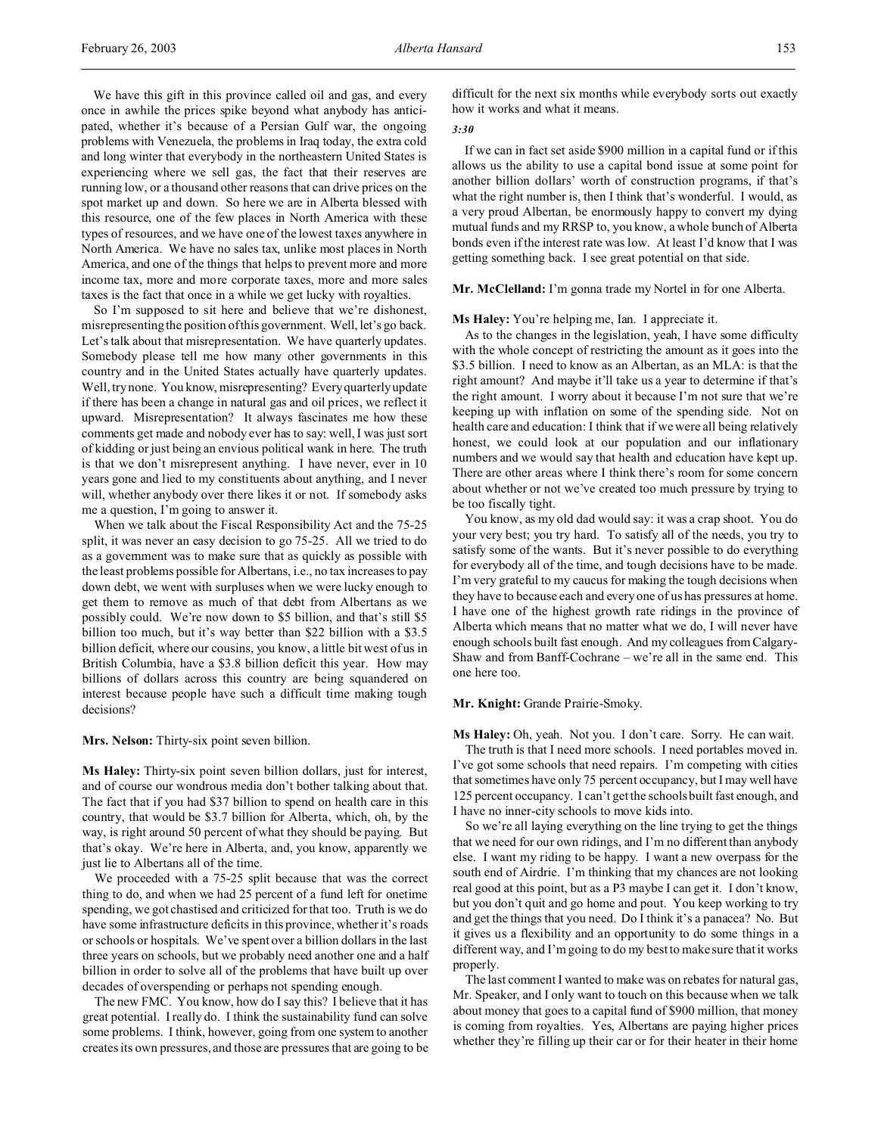We have this gift in this province called oil and gas, and every once in awhile the prices spike beyond what anybody has anticipated, whether it's because of a Persian Gulf war, the ongoing problems with Venezuela, the problems in Iraq today, the extra cold and long winter that everybody in the northeastern United States is experiencing where we sell gas, the fact that their reserves are running low, or a thousand other reasons that can drive prices on the spot market up and down. So here we are in Alberta blessed with this resource, one of the few places in North America with these types of resources, and we have one of the lowest taxes anywhere in North America. We have no sales tax, unlike most places in North America, and one of the things that helps to prevent more and more income tax, more and more corporate taxes, more and more sales taxes is the fact that once in a while we get lucky with royalties.

So I'm supposed to sit here and believe that we're dishonest, misrepresenting the position of this government. Well, let's go back. Let's talk about that misrepresentation. We have quarterly updates. Somebody please tell me how many other governments in this country and in the United States actually have quarterly updates. Well, try none. You know, misrepresenting? Every quarterly update if there has been a change in natural gas and oil prices, we reflect it upward. Misrepresentation? It always fascinates me how these comments get made and nobody ever has to say: well, I was just sort of kidding or just being an envious political wank in here. The truth is that we don't misrepresent anything. I have never, ever in 10 years gone and lied to my constituents about anything, and I never will, whether anybody over there likes it or not. If somebody asks me a question, I'm going to answer it.

When we talk about the Fiscal Responsibility Act and the 75-25 split, it was never an easy decision to go 75-25. All we tried to do as a government was to make sure that as quickly as possible with the least problems possible for Albertans, i.e., no tax increases to pay down debt, we went with surpluses when we were lucky enough to get them to remove as much of that debt from Albertans as we possibly could. We're now down to \$5 billion, and that's still \$5 billion too much, but it's way better than \$22 billion with a \$3.5 billion deficit, where our cousins, you know, a little bit west of us in British Columbia, have a \$3.8 billion deficit this year. How may billions of dollars across this country are being squandered on interest because people have such a difficult time making tough decisions?

**Mrs. Nelson:** Thirty-six point seven billion.

**Ms Haley:** Thirty-six point seven billion dollars, just for interest, and of course our wondrous media don't bother talking about that. The fact that if you had \$37 billion to spend on health care in this country, that would be \$3.7 billion for Alberta, which, oh, by the way, is right around 50 percent of what they should be paying. But that's okay. We're here in Alberta, and, you know, apparently we just lie to Albertans all of the time.

We proceeded with a 75-25 split because that was the correct thing to do, and when we had 25 percent of a fund left for onetime spending, we got chastised and criticized for that too. Truth is we do have some infrastructure deficits in this province, whether it's roads or schools or hospitals. We've spent over a billion dollars in the last three years on schools, but we probably need another one and a half billion in order to solve all of the problems that have built up over decades of overspending or perhaps not spending enough.

The new FMC. You know, how do I say this? I believe that it has great potential. I really do. I think the sustainability fund can solve some problems. I think, however, going from one system to another creates its own pressures, and those are pressures that are going to be

difficult for the next six months while everybody sorts out exactly how it works and what it means.

# *3:30*

If we can in fact set aside \$900 million in a capital fund or if this allows us the ability to use a capital bond issue at some point for another billion dollars' worth of construction programs, if that's what the right number is, then I think that's wonderful. I would, as a very proud Albertan, be enormously happy to convert my dying mutual funds and my RRSP to, you know, a whole bunch of Alberta bonds even if the interest rate was low. At least I'd know that I was getting something back. I see great potential on that side.

**Mr. McClelland:** I'm gonna trade my Nortel in for one Alberta.

#### **Ms Haley:** You're helping me, Ian. I appreciate it.

As to the changes in the legislation, yeah, I have some difficulty with the whole concept of restricting the amount as it goes into the \$3.5 billion. I need to know as an Albertan, as an MLA: is that the right amount? And maybe it'll take us a year to determine if that's the right amount. I worry about it because I'm not sure that we're keeping up with inflation on some of the spending side. Not on health care and education: I think that if we were all being relatively honest, we could look at our population and our inflationary numbers and we would say that health and education have kept up. There are other areas where I think there's room for some concern about whether or not we've created too much pressure by trying to be too fiscally tight.

You know, as my old dad would say: it was a crap shoot. You do your very best; you try hard. To satisfy all of the needs, you try to satisfy some of the wants. But it's never possible to do everything for everybody all of the time, and tough decisions have to be made. I'm very grateful to my caucus for making the tough decisions when they have to because each and every one of us has pressures at home. I have one of the highest growth rate ridings in the province of Alberta which means that no matter what we do, I will never have enough schools built fast enough. And my colleagues from Calgary-Shaw and from Banff-Cochrane – we're all in the same end. This one here too.

## **Mr. Knight:** Grande Prairie-Smoky.

**Ms Haley:** Oh, yeah. Not you. I don't care. Sorry. He can wait.

The truth is that I need more schools. I need portables moved in. I've got some schools that need repairs. I'm competing with cities that sometimes have only 75 percent occupancy, but I may well have 125 percent occupancy. I can't get the schools built fast enough, and I have no inner-city schools to move kids into.

So we're all laying everything on the line trying to get the things that we need for our own ridings, and I'm no different than anybody else. I want my riding to be happy. I want a new overpass for the south end of Airdrie. I'm thinking that my chances are not looking real good at this point, but as a P3 maybe I can get it. I don't know, but you don't quit and go home and pout. You keep working to try and get the things that you need. Do I think it's a panacea? No. But it gives us a flexibility and an opportunity to do some things in a different way, and I'm going to do my best to make sure that it works properly.

The last comment I wanted to make was on rebates for natural gas, Mr. Speaker, and I only want to touch on this because when we talk about money that goes to a capital fund of \$900 million, that money is coming from royalties. Yes, Albertans are paying higher prices whether they're filling up their car or for their heater in their home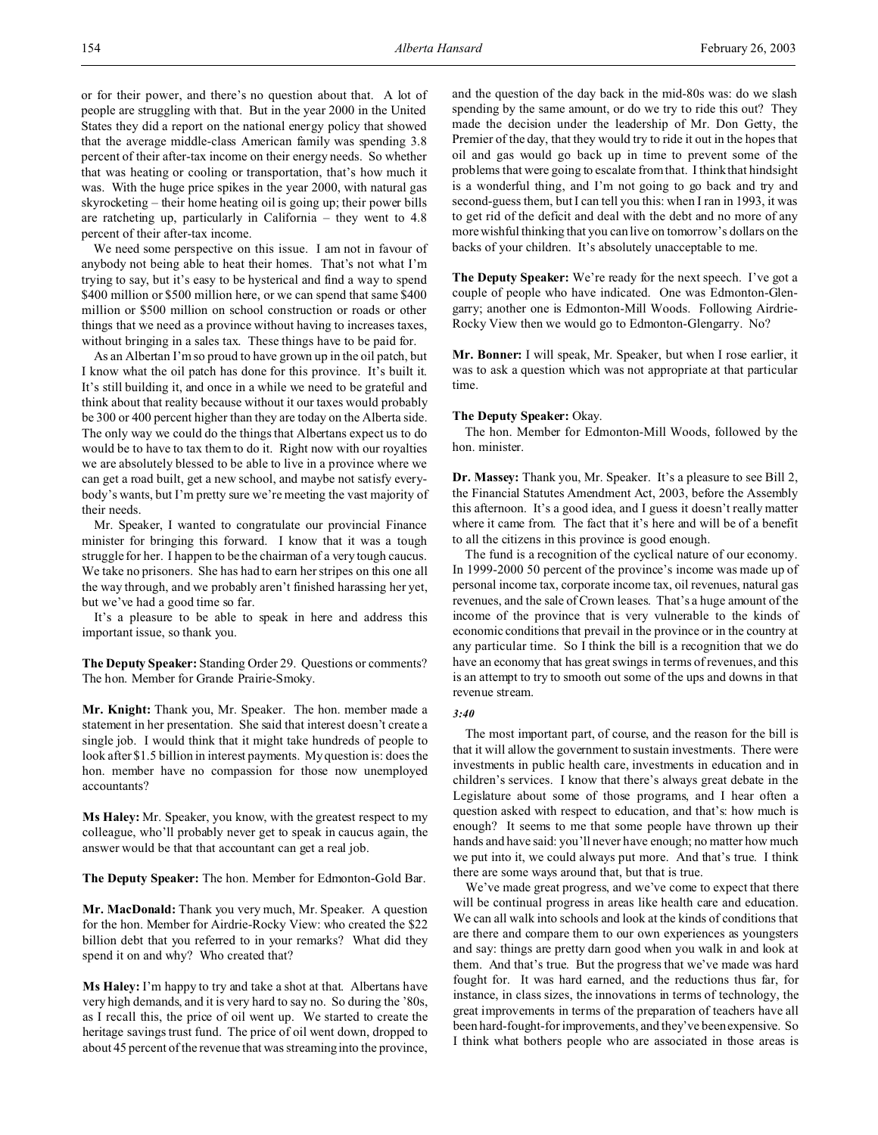or for their power, and there's no question about that. A lot of people are struggling with that. But in the year 2000 in the United States they did a report on the national energy policy that showed that the average middle-class American family was spending 3.8 percent of their after-tax income on their energy needs. So whether that was heating or cooling or transportation, that's how much it was. With the huge price spikes in the year 2000, with natural gas skyrocketing – their home heating oil is going up; their power bills are ratcheting up, particularly in California – they went to 4.8 percent of their after-tax income.

We need some perspective on this issue. I am not in favour of anybody not being able to heat their homes. That's not what I'm trying to say, but it's easy to be hysterical and find a way to spend \$400 million or \$500 million here, or we can spend that same \$400 million or \$500 million on school construction or roads or other things that we need as a province without having to increases taxes, without bringing in a sales tax. These things have to be paid for.

As an Albertan I'm so proud to have grown up in the oil patch, but I know what the oil patch has done for this province. It's built it. It's still building it, and once in a while we need to be grateful and think about that reality because without it our taxes would probably be 300 or 400 percent higher than they are today on the Alberta side. The only way we could do the things that Albertans expect us to do would be to have to tax them to do it. Right now with our royalties we are absolutely blessed to be able to live in a province where we can get a road built, get a new school, and maybe not satisfy everybody's wants, but I'm pretty sure we're meeting the vast majority of their needs.

Mr. Speaker, I wanted to congratulate our provincial Finance minister for bringing this forward. I know that it was a tough struggle for her. I happen to be the chairman of a very tough caucus. We take no prisoners. She has had to earn her stripes on this one all the way through, and we probably aren't finished harassing her yet, but we've had a good time so far.

It's a pleasure to be able to speak in here and address this important issue, so thank you.

**The Deputy Speaker:** Standing Order 29. Questions or comments? The hon. Member for Grande Prairie-Smoky.

**Mr. Knight:** Thank you, Mr. Speaker. The hon. member made a statement in her presentation. She said that interest doesn't create a single job. I would think that it might take hundreds of people to look after \$1.5 billion in interest payments. My question is: does the hon. member have no compassion for those now unemployed accountants?

**Ms Haley:** Mr. Speaker, you know, with the greatest respect to my colleague, who'll probably never get to speak in caucus again, the answer would be that that accountant can get a real job.

**The Deputy Speaker:** The hon. Member for Edmonton-Gold Bar.

**Mr. MacDonald:** Thank you very much, Mr. Speaker. A question for the hon. Member for Airdrie-Rocky View: who created the \$22 billion debt that you referred to in your remarks? What did they spend it on and why? Who created that?

**Ms Haley:** I'm happy to try and take a shot at that. Albertans have very high demands, and it is very hard to say no. So during the '80s, as I recall this, the price of oil went up. We started to create the heritage savings trust fund. The price of oil went down, dropped to about 45 percent of the revenue that was streaming into the province,

and the question of the day back in the mid-80s was: do we slash spending by the same amount, or do we try to ride this out? They made the decision under the leadership of Mr. Don Getty, the Premier of the day, that they would try to ride it out in the hopes that oil and gas would go back up in time to prevent some of the problems that were going to escalate from that. I think that hindsight is a wonderful thing, and I'm not going to go back and try and second-guess them, but I can tell you this: when I ran in 1993, it was to get rid of the deficit and deal with the debt and no more of any more wishful thinking that you can live on tomorrow's dollars on the backs of your children. It's absolutely unacceptable to me.

**The Deputy Speaker:** We're ready for the next speech. I've got a couple of people who have indicated. One was Edmonton-Glengarry; another one is Edmonton-Mill Woods. Following Airdrie-Rocky View then we would go to Edmonton-Glengarry. No?

**Mr. Bonner:** I will speak, Mr. Speaker, but when I rose earlier, it was to ask a question which was not appropriate at that particular time.

## **The Deputy Speaker:** Okay.

The hon. Member for Edmonton-Mill Woods, followed by the hon. minister.

**Dr. Massey:** Thank you, Mr. Speaker. It's a pleasure to see Bill 2, the Financial Statutes Amendment Act, 2003, before the Assembly this afternoon. It's a good idea, and I guess it doesn't really matter where it came from. The fact that it's here and will be of a benefit to all the citizens in this province is good enough.

The fund is a recognition of the cyclical nature of our economy. In 1999-2000 50 percent of the province's income was made up of personal income tax, corporate income tax, oil revenues, natural gas revenues, and the sale of Crown leases. That's a huge amount of the income of the province that is very vulnerable to the kinds of economic conditions that prevail in the province or in the country at any particular time. So I think the bill is a recognition that we do have an economy that has great swings in terms of revenues, and this is an attempt to try to smooth out some of the ups and downs in that revenue stream.

#### *3:40*

The most important part, of course, and the reason for the bill is that it will allow the government to sustain investments. There were investments in public health care, investments in education and in children's services. I know that there's always great debate in the Legislature about some of those programs, and I hear often a question asked with respect to education, and that's: how much is enough? It seems to me that some people have thrown up their hands and have said: you'll never have enough; no matter how much we put into it, we could always put more. And that's true. I think there are some ways around that, but that is true.

We've made great progress, and we've come to expect that there will be continual progress in areas like health care and education. We can all walk into schools and look at the kinds of conditions that are there and compare them to our own experiences as youngsters and say: things are pretty darn good when you walk in and look at them. And that's true. But the progress that we've made was hard fought for. It was hard earned, and the reductions thus far, for instance, in class sizes, the innovations in terms of technology, the great improvements in terms of the preparation of teachers have all been hard-fought-for improvements, and they've been expensive. So I think what bothers people who are associated in those areas is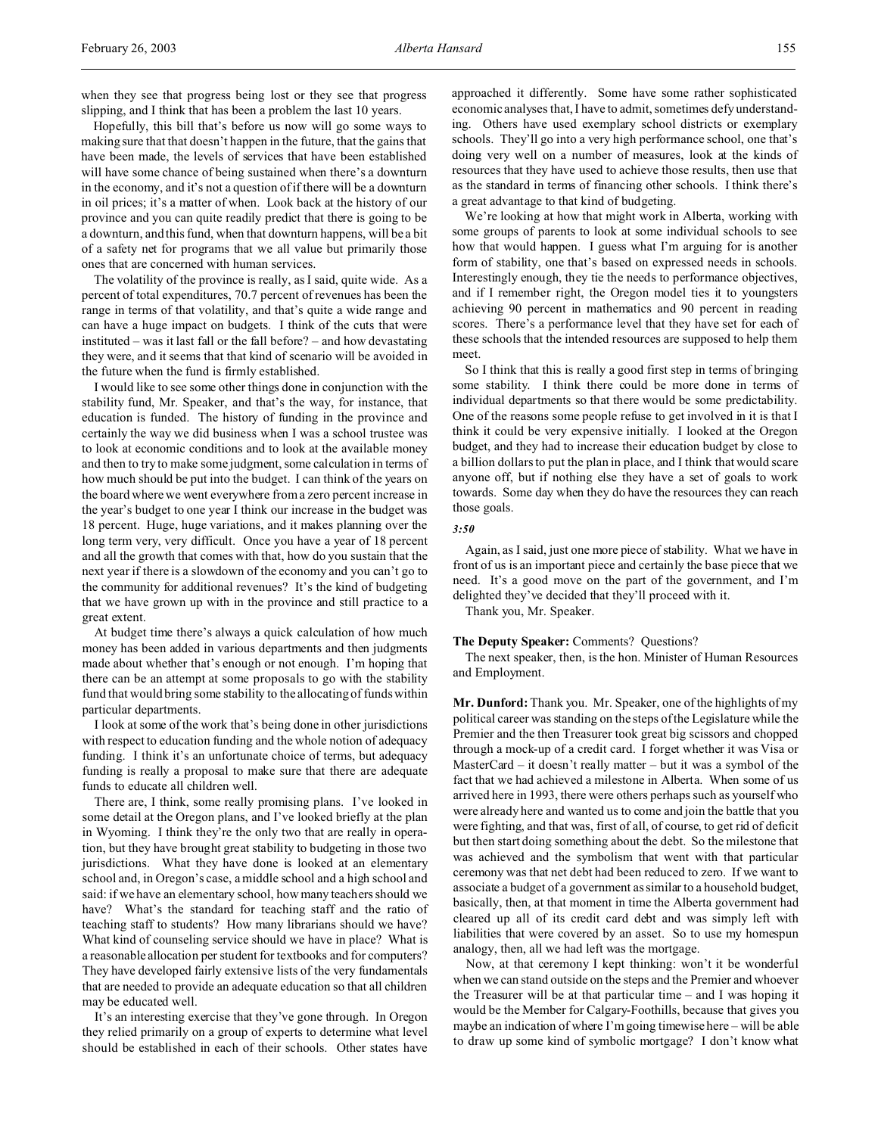when they see that progress being lost or they see that progress slipping, and I think that has been a problem the last 10 years.

Hopefully, this bill that's before us now will go some ways to making sure that that doesn't happen in the future, that the gains that have been made, the levels of services that have been established will have some chance of being sustained when there's a downturn in the economy, and it's not a question of if there will be a downturn in oil prices; it's a matter of when. Look back at the history of our province and you can quite readily predict that there is going to be a downturn, and this fund, when that downturn happens, will be a bit of a safety net for programs that we all value but primarily those ones that are concerned with human services.

The volatility of the province is really, as I said, quite wide. As a percent of total expenditures, 70.7 percent of revenues has been the range in terms of that volatility, and that's quite a wide range and can have a huge impact on budgets. I think of the cuts that were instituted – was it last fall or the fall before? – and how devastating they were, and it seems that that kind of scenario will be avoided in the future when the fund is firmly established.

I would like to see some other things done in conjunction with the stability fund, Mr. Speaker, and that's the way, for instance, that education is funded. The history of funding in the province and certainly the way we did business when I was a school trustee was to look at economic conditions and to look at the available money and then to try to make some judgment, some calculation in terms of how much should be put into the budget. I can think of the years on the board where we went everywhere from a zero percent increase in the year's budget to one year I think our increase in the budget was 18 percent. Huge, huge variations, and it makes planning over the long term very, very difficult. Once you have a year of 18 percent and all the growth that comes with that, how do you sustain that the next year if there is a slowdown of the economy and you can't go to the community for additional revenues? It's the kind of budgeting that we have grown up with in the province and still practice to a great extent.

At budget time there's always a quick calculation of how much money has been added in various departments and then judgments made about whether that's enough or not enough. I'm hoping that there can be an attempt at some proposals to go with the stability fund that would bring some stability to the allocating of funds within particular departments.

I look at some of the work that's being done in other jurisdictions with respect to education funding and the whole notion of adequacy funding. I think it's an unfortunate choice of terms, but adequacy funding is really a proposal to make sure that there are adequate funds to educate all children well.

There are, I think, some really promising plans. I've looked in some detail at the Oregon plans, and I've looked briefly at the plan in Wyoming. I think they're the only two that are really in operation, but they have brought great stability to budgeting in those two jurisdictions. What they have done is looked at an elementary school and, in Oregon's case, a middle school and a high school and said: if we have an elementary school, how many teachers should we have? What's the standard for teaching staff and the ratio of teaching staff to students? How many librarians should we have? What kind of counseling service should we have in place? What is a reasonable allocation per student for textbooks and for computers? They have developed fairly extensive lists of the very fundamentals that are needed to provide an adequate education so that all children may be educated well.

It's an interesting exercise that they've gone through. In Oregon they relied primarily on a group of experts to determine what level should be established in each of their schools. Other states have

approached it differently. Some have some rather sophisticated economic analyses that, I have to admit, sometimes defy understanding. Others have used exemplary school districts or exemplary schools. They'll go into a very high performance school, one that's doing very well on a number of measures, look at the kinds of resources that they have used to achieve those results, then use that as the standard in terms of financing other schools. I think there's a great advantage to that kind of budgeting.

We're looking at how that might work in Alberta, working with some groups of parents to look at some individual schools to see how that would happen. I guess what I'm arguing for is another form of stability, one that's based on expressed needs in schools. Interestingly enough, they tie the needs to performance objectives, and if I remember right, the Oregon model ties it to youngsters achieving 90 percent in mathematics and 90 percent in reading scores. There's a performance level that they have set for each of these schools that the intended resources are supposed to help them meet.

So I think that this is really a good first step in terms of bringing some stability. I think there could be more done in terms of individual departments so that there would be some predictability. One of the reasons some people refuse to get involved in it is that I think it could be very expensive initially. I looked at the Oregon budget, and they had to increase their education budget by close to a billion dollars to put the plan in place, and I think that would scare anyone off, but if nothing else they have a set of goals to work towards. Some day when they do have the resources they can reach those goals.

*3:50*

Again, as I said, just one more piece of stability. What we have in front of us is an important piece and certainly the base piece that we need. It's a good move on the part of the government, and I'm delighted they've decided that they'll proceed with it.

Thank you, Mr. Speaker.

## **The Deputy Speaker:** Comments? Questions?

The next speaker, then, is the hon. Minister of Human Resources and Employment.

**Mr. Dunford:** Thank you. Mr. Speaker, one of the highlights of my political career was standing on the steps of the Legislature while the Premier and the then Treasurer took great big scissors and chopped through a mock-up of a credit card. I forget whether it was Visa or MasterCard – it doesn't really matter – but it was a symbol of the fact that we had achieved a milestone in Alberta. When some of us arrived here in 1993, there were others perhaps such as yourself who were already here and wanted us to come and join the battle that you were fighting, and that was, first of all, of course, to get rid of deficit but then start doing something about the debt. So the milestone that was achieved and the symbolism that went with that particular ceremony was that net debt had been reduced to zero. If we want to associate a budget of a government as similar to a household budget, basically, then, at that moment in time the Alberta government had cleared up all of its credit card debt and was simply left with liabilities that were covered by an asset. So to use my homespun analogy, then, all we had left was the mortgage.

Now, at that ceremony I kept thinking: won't it be wonderful when we can stand outside on the steps and the Premier and whoever the Treasurer will be at that particular time – and I was hoping it would be the Member for Calgary-Foothills, because that gives you maybe an indication of where I'm going timewise here – will be able to draw up some kind of symbolic mortgage? I don't know what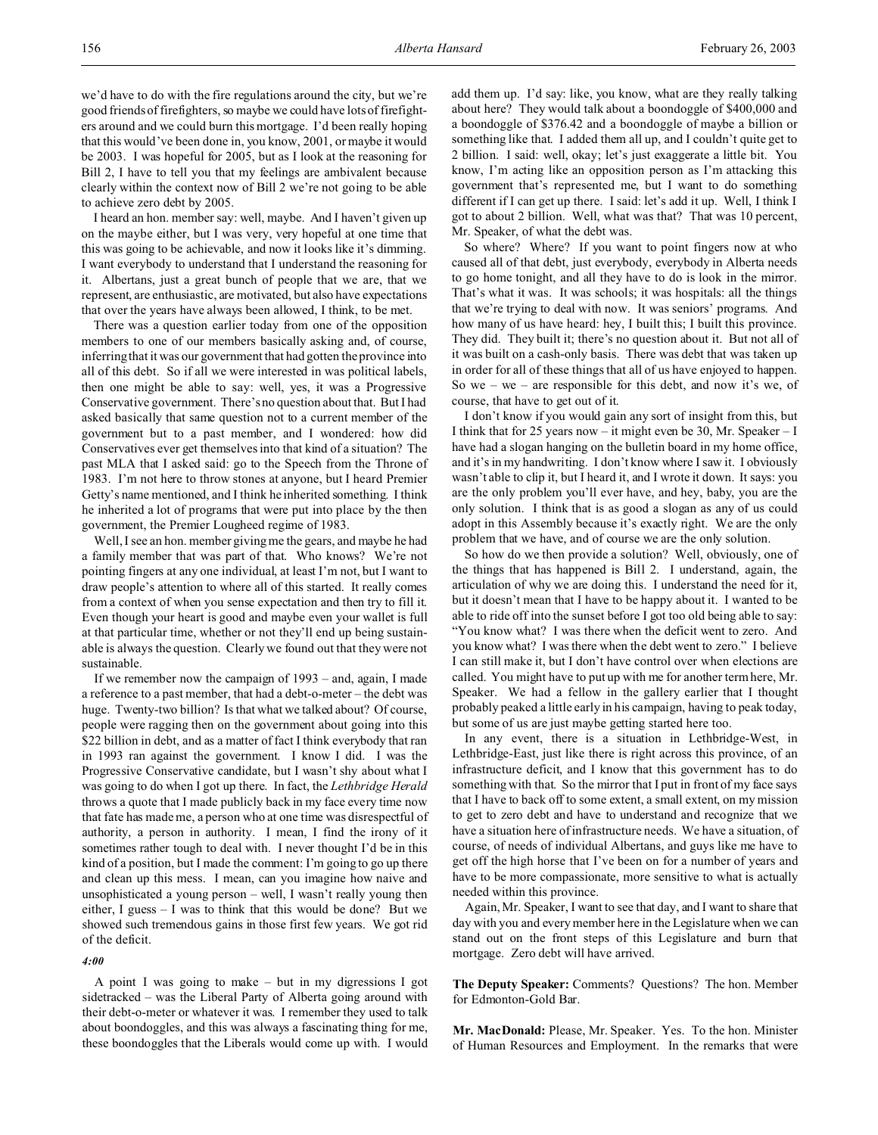we'd have to do with the fire regulations around the city, but we're good friends of firefighters, so maybe we could have lots of firefighters around and we could burn this mortgage. I'd been really hoping that this would've been done in, you know, 2001, or maybe it would be 2003. I was hopeful for 2005, but as I look at the reasoning for Bill 2, I have to tell you that my feelings are ambivalent because clearly within the context now of Bill 2 we're not going to be able to achieve zero debt by 2005.

I heard an hon. member say: well, maybe. And I haven't given up on the maybe either, but I was very, very hopeful at one time that this was going to be achievable, and now it looks like it's dimming. I want everybody to understand that I understand the reasoning for it. Albertans, just a great bunch of people that we are, that we represent, are enthusiastic, are motivated, but also have expectations that over the years have always been allowed, I think, to be met.

There was a question earlier today from one of the opposition members to one of our members basically asking and, of course, inferring that it was our government that had gotten the province into all of this debt. So if all we were interested in was political labels, then one might be able to say: well, yes, it was a Progressive Conservative government. There's no question about that. But I had asked basically that same question not to a current member of the government but to a past member, and I wondered: how did Conservatives ever get themselves into that kind of a situation? The past MLA that I asked said: go to the Speech from the Throne of 1983. I'm not here to throw stones at anyone, but I heard Premier Getty's name mentioned, and I think he inherited something. I think he inherited a lot of programs that were put into place by the then government, the Premier Lougheed regime of 1983.

Well, I see an hon. member giving me the gears, and maybe he had a family member that was part of that. Who knows? We're not pointing fingers at any one individual, at least I'm not, but I want to draw people's attention to where all of this started. It really comes from a context of when you sense expectation and then try to fill it. Even though your heart is good and maybe even your wallet is full at that particular time, whether or not they'll end up being sustainable is always the question. Clearly we found out that they were not sustainable.

If we remember now the campaign of 1993 – and, again, I made a reference to a past member, that had a debt-o-meter – the debt was huge. Twenty-two billion? Is that what we talked about? Of course, people were ragging then on the government about going into this \$22 billion in debt, and as a matter of fact I think everybody that ran in 1993 ran against the government. I know I did. I was the Progressive Conservative candidate, but I wasn't shy about what I was going to do when I got up there. In fact, the *Lethbridge Herald* throws a quote that I made publicly back in my face every time now that fate has made me, a person who at one time was disrespectful of authority, a person in authority. I mean, I find the irony of it sometimes rather tough to deal with. I never thought I'd be in this kind of a position, but I made the comment: I'm going to go up there and clean up this mess. I mean, can you imagine how naive and unsophisticated a young person – well, I wasn't really young then either, I guess – I was to think that this would be done? But we showed such tremendous gains in those first few years. We got rid of the deficit.

#### *4:00*

A point I was going to make – but in my digressions I got sidetracked – was the Liberal Party of Alberta going around with their debt-o-meter or whatever it was. I remember they used to talk about boondoggles, and this was always a fascinating thing for me, these boondoggles that the Liberals would come up with. I would add them up. I'd say: like, you know, what are they really talking about here? They would talk about a boondoggle of \$400,000 and a boondoggle of \$376.42 and a boondoggle of maybe a billion or something like that. I added them all up, and I couldn't quite get to 2 billion. I said: well, okay; let's just exaggerate a little bit. You know, I'm acting like an opposition person as I'm attacking this government that's represented me, but I want to do something different if I can get up there. I said: let's add it up. Well, I think I got to about 2 billion. Well, what was that? That was 10 percent, Mr. Speaker, of what the debt was.

So where? Where? If you want to point fingers now at who caused all of that debt, just everybody, everybody in Alberta needs to go home tonight, and all they have to do is look in the mirror. That's what it was. It was schools; it was hospitals: all the things that we're trying to deal with now. It was seniors' programs. And how many of us have heard: hey, I built this; I built this province. They did. They built it; there's no question about it. But not all of it was built on a cash-only basis. There was debt that was taken up in order for all of these things that all of us have enjoyed to happen. So we – we – are responsible for this debt, and now it's we, of course, that have to get out of it.

I don't know if you would gain any sort of insight from this, but I think that for 25 years now – it might even be 30, Mr. Speaker – I have had a slogan hanging on the bulletin board in my home office, and it's in my handwriting. I don't know where I saw it. I obviously wasn't able to clip it, but I heard it, and I wrote it down. It says: you are the only problem you'll ever have, and hey, baby, you are the only solution. I think that is as good a slogan as any of us could adopt in this Assembly because it's exactly right. We are the only problem that we have, and of course we are the only solution.

So how do we then provide a solution? Well, obviously, one of the things that has happened is Bill 2. I understand, again, the articulation of why we are doing this. I understand the need for it, but it doesn't mean that I have to be happy about it. I wanted to be able to ride off into the sunset before I got too old being able to say: "You know what? I was there when the deficit went to zero. And you know what? I was there when the debt went to zero." I believe I can still make it, but I don't have control over when elections are called. You might have to put up with me for another term here, Mr. Speaker. We had a fellow in the gallery earlier that I thought probably peaked a little early in his campaign, having to peak today, but some of us are just maybe getting started here too.

In any event, there is a situation in Lethbridge-West, in Lethbridge-East, just like there is right across this province, of an infrastructure deficit, and I know that this government has to do something with that. So the mirror that I put in front of my face says that I have to back off to some extent, a small extent, on my mission to get to zero debt and have to understand and recognize that we have a situation here of infrastructure needs. We have a situation, of course, of needs of individual Albertans, and guys like me have to get off the high horse that I've been on for a number of years and have to be more compassionate, more sensitive to what is actually needed within this province.

Again, Mr. Speaker, I want to see that day, and I want to share that day with you and every member here in the Legislature when we can stand out on the front steps of this Legislature and burn that mortgage. Zero debt will have arrived.

**The Deputy Speaker:** Comments? Questions? The hon. Member for Edmonton-Gold Bar.

**Mr. MacDonald:** Please, Mr. Speaker. Yes. To the hon. Minister of Human Resources and Employment. In the remarks that were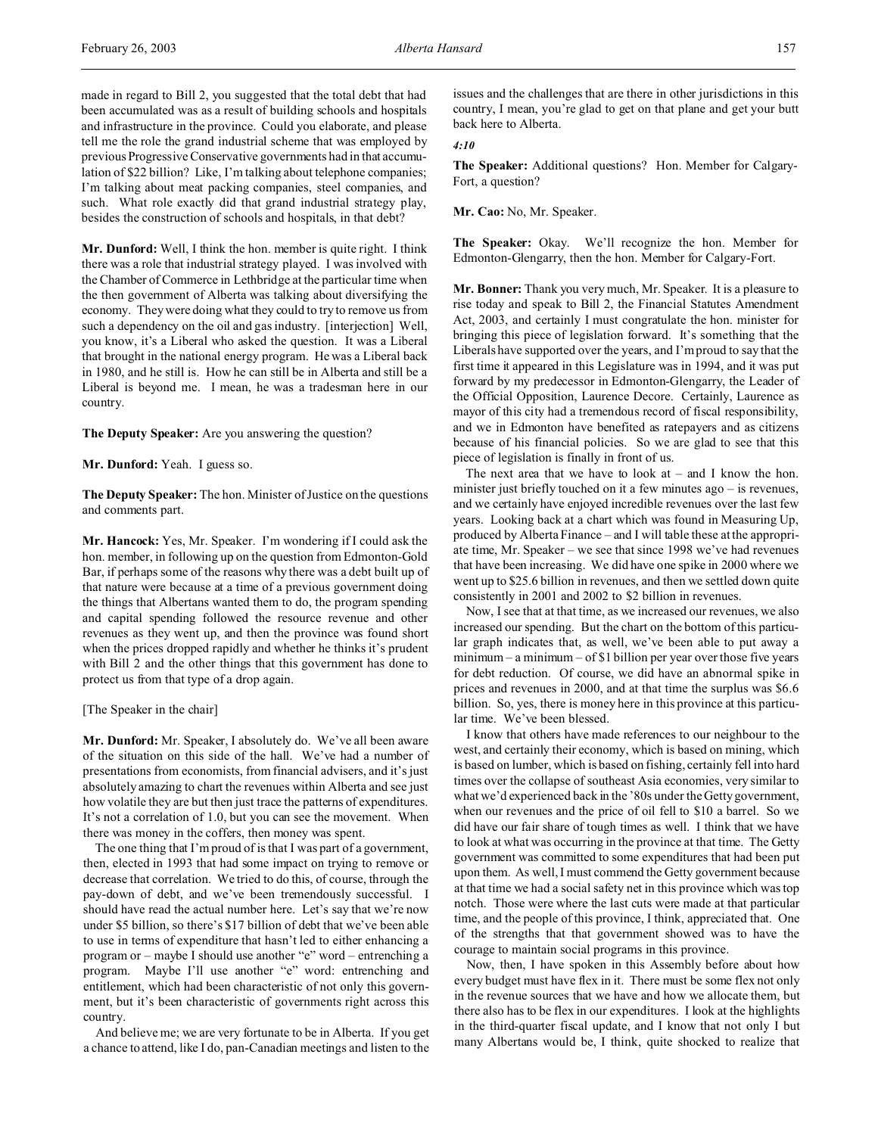made in regard to Bill 2, you suggested that the total debt that had been accumulated was as a result of building schools and hospitals and infrastructure in the province. Could you elaborate, and please tell me the role the grand industrial scheme that was employed by previous Progressive Conservative governments had in that accumulation of \$22 billion? Like, I'm talking about telephone companies; I'm talking about meat packing companies, steel companies, and such. What role exactly did that grand industrial strategy play, besides the construction of schools and hospitals, in that debt?

**Mr. Dunford:** Well, I think the hon. member is quite right. I think there was a role that industrial strategy played. I was involved with the Chamber of Commerce in Lethbridge at the particular time when the then government of Alberta was talking about diversifying the economy. They were doing what they could to try to remove us from such a dependency on the oil and gas industry. [interjection] Well, you know, it's a Liberal who asked the question. It was a Liberal that brought in the national energy program. He was a Liberal back in 1980, and he still is. How he can still be in Alberta and still be a Liberal is beyond me. I mean, he was a tradesman here in our country.

**The Deputy Speaker:** Are you answering the question?

**Mr. Dunford:** Yeah. I guess so.

**The Deputy Speaker:** The hon. Minister of Justice on the questions and comments part.

**Mr. Hancock:** Yes, Mr. Speaker. I'm wondering if I could ask the hon. member, in following up on the question from Edmonton-Gold Bar, if perhaps some of the reasons why there was a debt built up of that nature were because at a time of a previous government doing the things that Albertans wanted them to do, the program spending and capital spending followed the resource revenue and other revenues as they went up, and then the province was found short when the prices dropped rapidly and whether he thinks it's prudent with Bill 2 and the other things that this government has done to protect us from that type of a drop again.

[The Speaker in the chair]

**Mr. Dunford:** Mr. Speaker, I absolutely do. We've all been aware of the situation on this side of the hall. We've had a number of presentations from economists, from financial advisers, and it's just absolutely amazing to chart the revenues within Alberta and see just how volatile they are but then just trace the patterns of expenditures. It's not a correlation of 1.0, but you can see the movement. When there was money in the coffers, then money was spent.

The one thing that I'm proud of is that I was part of a government, then, elected in 1993 that had some impact on trying to remove or decrease that correlation. We tried to do this, of course, through the pay-down of debt, and we've been tremendously successful. I should have read the actual number here. Let's say that we're now under \$5 billion, so there's \$17 billion of debt that we've been able to use in terms of expenditure that hasn't led to either enhancing a program or – maybe I should use another "e" word – entrenching a program. Maybe I'll use another "e" word: entrenching and entitlement, which had been characteristic of not only this government, but it's been characteristic of governments right across this country.

And believe me; we are very fortunate to be in Alberta. If you get a chance to attend, like I do, pan-Canadian meetings and listen to the issues and the challenges that are there in other jurisdictions in this country, I mean, you're glad to get on that plane and get your butt back here to Alberta.

*4:10*

**The Speaker:** Additional questions? Hon. Member for Calgary-Fort, a question?

**Mr. Cao:** No, Mr. Speaker.

**The Speaker:** Okay. We'll recognize the hon. Member for Edmonton-Glengarry, then the hon. Member for Calgary-Fort.

**Mr. Bonner:** Thank you very much, Mr. Speaker. It is a pleasure to rise today and speak to Bill 2, the Financial Statutes Amendment Act, 2003, and certainly I must congratulate the hon. minister for bringing this piece of legislation forward. It's something that the Liberals have supported over the years, and I'm proud to say that the first time it appeared in this Legislature was in 1994, and it was put forward by my predecessor in Edmonton-Glengarry, the Leader of the Official Opposition, Laurence Decore. Certainly, Laurence as mayor of this city had a tremendous record of fiscal responsibility, and we in Edmonton have benefited as ratepayers and as citizens because of his financial policies. So we are glad to see that this piece of legislation is finally in front of us.

The next area that we have to look at – and I know the hon. minister just briefly touched on it a few minutes ago – is revenues, and we certainly have enjoyed incredible revenues over the last few years. Looking back at a chart which was found in Measuring Up, produced by Alberta Finance – and I will table these at the appropriate time, Mr. Speaker – we see that since 1998 we've had revenues that have been increasing. We did have one spike in 2000 where we went up to \$25.6 billion in revenues, and then we settled down quite consistently in 2001 and 2002 to \$2 billion in revenues.

Now, I see that at that time, as we increased our revenues, we also increased our spending. But the chart on the bottom of this particular graph indicates that, as well, we've been able to put away a minimum – a minimum – of \$1 billion per year over those five years for debt reduction. Of course, we did have an abnormal spike in prices and revenues in 2000, and at that time the surplus was \$6.6 billion. So, yes, there is money here in this province at this particular time. We've been blessed.

I know that others have made references to our neighbour to the west, and certainly their economy, which is based on mining, which is based on lumber, which is based on fishing, certainly fell into hard times over the collapse of southeast Asia economies, very similar to what we'd experienced back in the '80s under the Getty government, when our revenues and the price of oil fell to \$10 a barrel. So we did have our fair share of tough times as well. I think that we have to look at what was occurring in the province at that time. The Getty government was committed to some expenditures that had been put upon them. As well, I must commend the Getty government because at that time we had a social safety net in this province which was top notch. Those were where the last cuts were made at that particular time, and the people of this province, I think, appreciated that. One of the strengths that that government showed was to have the courage to maintain social programs in this province.

Now, then, I have spoken in this Assembly before about how every budget must have flex in it. There must be some flex not only in the revenue sources that we have and how we allocate them, but there also has to be flex in our expenditures. I look at the highlights in the third-quarter fiscal update, and I know that not only I but many Albertans would be, I think, quite shocked to realize that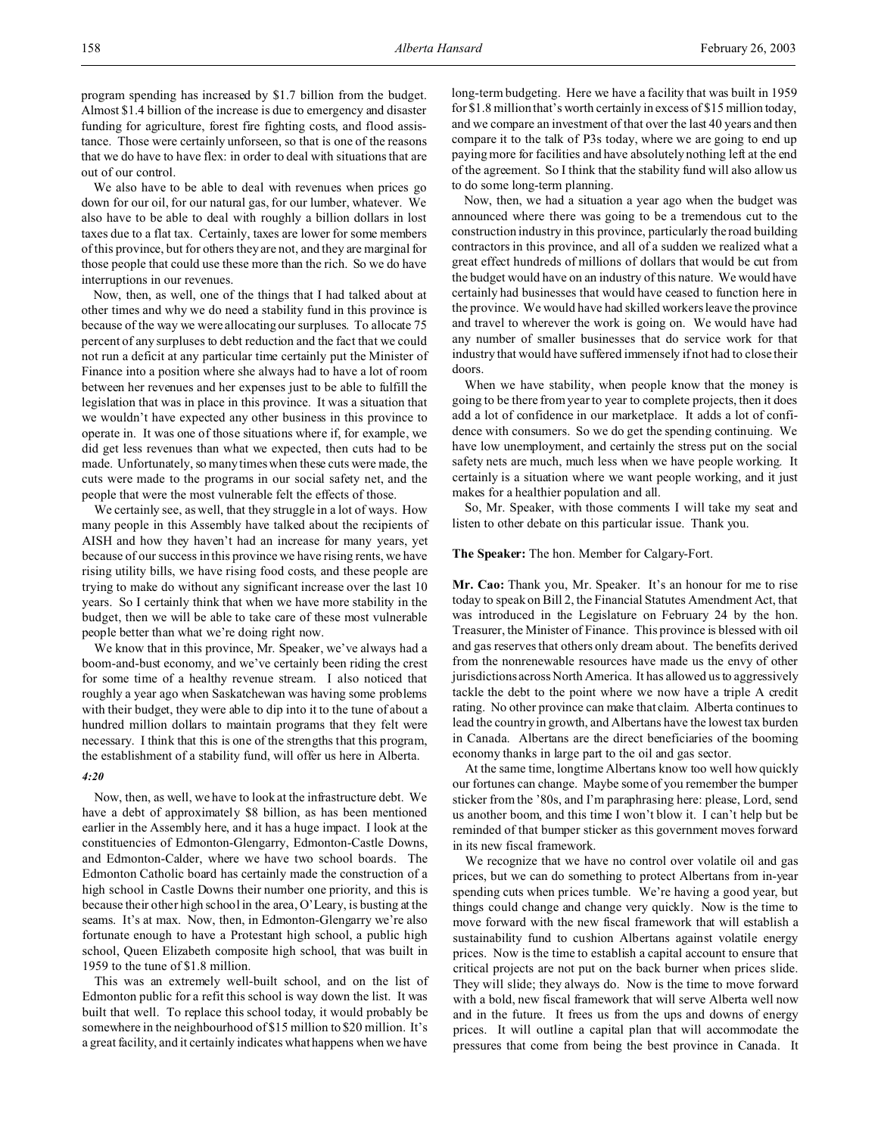We also have to be able to deal with revenues when prices go down for our oil, for our natural gas, for our lumber, whatever. We also have to be able to deal with roughly a billion dollars in lost taxes due to a flat tax. Certainly, taxes are lower for some members of this province, but for others they are not, and they are marginal for those people that could use these more than the rich. So we do have interruptions in our revenues.

Now, then, as well, one of the things that I had talked about at other times and why we do need a stability fund in this province is because of the way we were allocating our surpluses. To allocate 75 percent of any surpluses to debt reduction and the fact that we could not run a deficit at any particular time certainly put the Minister of Finance into a position where she always had to have a lot of room between her revenues and her expenses just to be able to fulfill the legislation that was in place in this province. It was a situation that we wouldn't have expected any other business in this province to operate in. It was one of those situations where if, for example, we did get less revenues than what we expected, then cuts had to be made. Unfortunately, so many times when these cuts were made, the cuts were made to the programs in our social safety net, and the people that were the most vulnerable felt the effects of those.

We certainly see, as well, that they struggle in a lot of ways. How many people in this Assembly have talked about the recipients of AISH and how they haven't had an increase for many years, yet because of our success in this province we have rising rents, we have rising utility bills, we have rising food costs, and these people are trying to make do without any significant increase over the last 10 years. So I certainly think that when we have more stability in the budget, then we will be able to take care of these most vulnerable people better than what we're doing right now.

We know that in this province, Mr. Speaker, we've always had a boom-and-bust economy, and we've certainly been riding the crest for some time of a healthy revenue stream. I also noticed that roughly a year ago when Saskatchewan was having some problems with their budget, they were able to dip into it to the tune of about a hundred million dollars to maintain programs that they felt were necessary. I think that this is one of the strengths that this program, the establishment of a stability fund, will offer us here in Alberta.

## *4:20*

Now, then, as well, we have to look at the infrastructure debt. We have a debt of approximately \$8 billion, as has been mentioned earlier in the Assembly here, and it has a huge impact. I look at the constituencies of Edmonton-Glengarry, Edmonton-Castle Downs, and Edmonton-Calder, where we have two school boards. The Edmonton Catholic board has certainly made the construction of a high school in Castle Downs their number one priority, and this is because their other high school in the area, O'Leary, is busting at the seams. It's at max. Now, then, in Edmonton-Glengarry we're also fortunate enough to have a Protestant high school, a public high school, Queen Elizabeth composite high school, that was built in 1959 to the tune of \$1.8 million.

This was an extremely well-built school, and on the list of Edmonton public for a refit this school is way down the list. It was built that well. To replace this school today, it would probably be somewhere in the neighbourhood of \$15 million to \$20 million. It's a great facility, and it certainly indicates what happens when we have

long-term budgeting. Here we have a facility that was built in 1959 for \$1.8 million that's worth certainly in excess of \$15 million today, and we compare an investment of that over the last 40 years and then compare it to the talk of P3s today, where we are going to end up paying more for facilities and have absolutely nothing left at the end of the agreement. So I think that the stability fund will also allow us to do some long-term planning.

Now, then, we had a situation a year ago when the budget was announced where there was going to be a tremendous cut to the construction industry in this province, particularly the road building contractors in this province, and all of a sudden we realized what a great effect hundreds of millions of dollars that would be cut from the budget would have on an industry of this nature. We would have certainly had businesses that would have ceased to function here in the province. We would have had skilled workers leave the province and travel to wherever the work is going on. We would have had any number of smaller businesses that do service work for that industry that would have suffered immensely if not had to close their doors.

When we have stability, when people know that the money is going to be there from year to year to complete projects, then it does add a lot of confidence in our marketplace. It adds a lot of confidence with consumers. So we do get the spending continuing. We have low unemployment, and certainly the stress put on the social safety nets are much, much less when we have people working. It certainly is a situation where we want people working, and it just makes for a healthier population and all.

So, Mr. Speaker, with those comments I will take my seat and listen to other debate on this particular issue. Thank you.

#### **The Speaker:** The hon. Member for Calgary-Fort.

**Mr. Cao:** Thank you, Mr. Speaker. It's an honour for me to rise today to speak on Bill 2, the Financial Statutes Amendment Act, that was introduced in the Legislature on February 24 by the hon. Treasurer, the Minister of Finance. This province is blessed with oil and gas reserves that others only dream about. The benefits derived from the nonrenewable resources have made us the envy of other jurisdictions across North America. It has allowed us to aggressively tackle the debt to the point where we now have a triple A credit rating. No other province can make that claim. Alberta continues to lead the country in growth, and Albertans have the lowest tax burden in Canada. Albertans are the direct beneficiaries of the booming economy thanks in large part to the oil and gas sector.

At the same time, longtime Albertans know too well how quickly our fortunes can change. Maybe some of you remember the bumper sticker from the '80s, and I'm paraphrasing here: please, Lord, send us another boom, and this time I won't blow it. I can't help but be reminded of that bumper sticker as this government moves forward in its new fiscal framework.

We recognize that we have no control over volatile oil and gas prices, but we can do something to protect Albertans from in-year spending cuts when prices tumble. We're having a good year, but things could change and change very quickly. Now is the time to move forward with the new fiscal framework that will establish a sustainability fund to cushion Albertans against volatile energy prices. Now is the time to establish a capital account to ensure that critical projects are not put on the back burner when prices slide. They will slide; they always do. Now is the time to move forward with a bold, new fiscal framework that will serve Alberta well now and in the future. It frees us from the ups and downs of energy prices. It will outline a capital plan that will accommodate the pressures that come from being the best province in Canada. It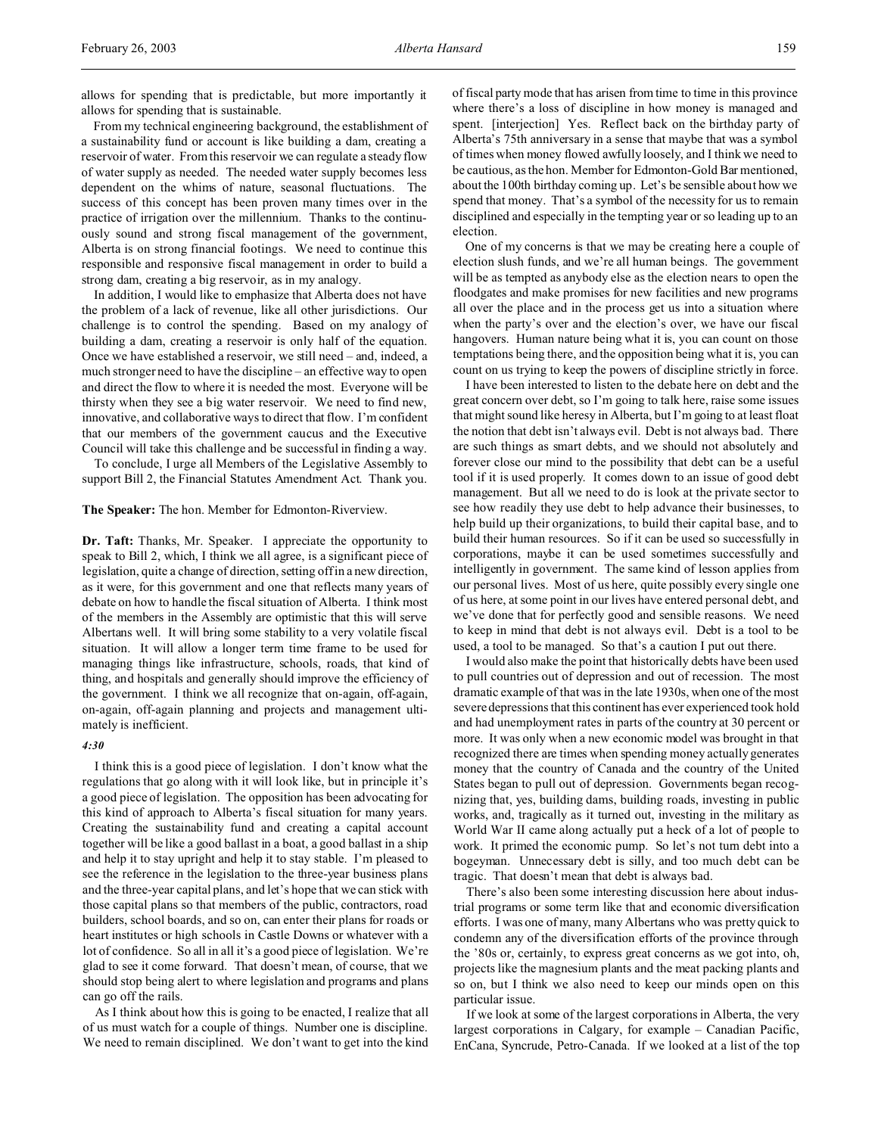allows for spending that is predictable, but more importantly it allows for spending that is sustainable.

From my technical engineering background, the establishment of a sustainability fund or account is like building a dam, creating a reservoir of water. From this reservoir we can regulate a steady flow of water supply as needed. The needed water supply becomes less dependent on the whims of nature, seasonal fluctuations. The success of this concept has been proven many times over in the practice of irrigation over the millennium. Thanks to the continuously sound and strong fiscal management of the government, Alberta is on strong financial footings. We need to continue this responsible and responsive fiscal management in order to build a strong dam, creating a big reservoir, as in my analogy.

In addition, I would like to emphasize that Alberta does not have the problem of a lack of revenue, like all other jurisdictions. Our challenge is to control the spending. Based on my analogy of building a dam, creating a reservoir is only half of the equation. Once we have established a reservoir, we still need – and, indeed, a much stronger need to have the discipline – an effective way to open and direct the flow to where it is needed the most. Everyone will be thirsty when they see a big water reservoir. We need to find new, innovative, and collaborative ways to direct that flow. I'm confident that our members of the government caucus and the Executive Council will take this challenge and be successful in finding a way.

To conclude, I urge all Members of the Legislative Assembly to support Bill 2, the Financial Statutes Amendment Act. Thank you.

## **The Speaker:** The hon. Member for Edmonton-Riverview.

**Dr. Taft:** Thanks, Mr. Speaker. I appreciate the opportunity to speak to Bill 2, which, I think we all agree, is a significant piece of legislation, quite a change of direction, setting off in a new direction, as it were, for this government and one that reflects many years of debate on how to handle the fiscal situation of Alberta. I think most of the members in the Assembly are optimistic that this will serve Albertans well. It will bring some stability to a very volatile fiscal situation. It will allow a longer term time frame to be used for managing things like infrastructure, schools, roads, that kind of thing, and hospitals and generally should improve the efficiency of the government. I think we all recognize that on-again, off-again, on-again, off-again planning and projects and management ultimately is inefficient.

# *4:30*

I think this is a good piece of legislation. I don't know what the regulations that go along with it will look like, but in principle it's a good piece of legislation. The opposition has been advocating for this kind of approach to Alberta's fiscal situation for many years. Creating the sustainability fund and creating a capital account together will be like a good ballast in a boat, a good ballast in a ship and help it to stay upright and help it to stay stable. I'm pleased to see the reference in the legislation to the three-year business plans and the three-year capital plans, and let's hope that we can stick with those capital plans so that members of the public, contractors, road builders, school boards, and so on, can enter their plans for roads or heart institutes or high schools in Castle Downs or whatever with a lot of confidence. So all in all it's a good piece of legislation. We're glad to see it come forward. That doesn't mean, of course, that we should stop being alert to where legislation and programs and plans can go off the rails.

As I think about how this is going to be enacted, I realize that all of us must watch for a couple of things. Number one is discipline. We need to remain disciplined. We don't want to get into the kind of fiscal party mode that has arisen from time to time in this province where there's a loss of discipline in how money is managed and spent. [interjection] Yes. Reflect back on the birthday party of Alberta's 75th anniversary in a sense that maybe that was a symbol of times when money flowed awfully loosely, and I think we need to be cautious, as the hon. Member for Edmonton-Gold Bar mentioned, about the 100th birthday coming up. Let's be sensible about how we spend that money. That's a symbol of the necessity for us to remain disciplined and especially in the tempting year or so leading up to an election.

One of my concerns is that we may be creating here a couple of election slush funds, and we're all human beings. The government will be as tempted as anybody else as the election nears to open the floodgates and make promises for new facilities and new programs all over the place and in the process get us into a situation where when the party's over and the election's over, we have our fiscal hangovers. Human nature being what it is, you can count on those temptations being there, and the opposition being what it is, you can count on us trying to keep the powers of discipline strictly in force.

I have been interested to listen to the debate here on debt and the great concern over debt, so I'm going to talk here, raise some issues that might sound like heresy in Alberta, but I'm going to at least float the notion that debt isn't always evil. Debt is not always bad. There are such things as smart debts, and we should not absolutely and forever close our mind to the possibility that debt can be a useful tool if it is used properly. It comes down to an issue of good debt management. But all we need to do is look at the private sector to see how readily they use debt to help advance their businesses, to help build up their organizations, to build their capital base, and to build their human resources. So if it can be used so successfully in corporations, maybe it can be used sometimes successfully and intelligently in government. The same kind of lesson applies from our personal lives. Most of us here, quite possibly every single one of us here, at some point in our lives have entered personal debt, and we've done that for perfectly good and sensible reasons. We need to keep in mind that debt is not always evil. Debt is a tool to be used, a tool to be managed. So that's a caution I put out there.

I would also make the point that historically debts have been used to pull countries out of depression and out of recession. The most dramatic example of that was in the late 1930s, when one of the most severe depressions that this continent has ever experienced took hold and had unemployment rates in parts of the country at 30 percent or more. It was only when a new economic model was brought in that recognized there are times when spending money actually generates money that the country of Canada and the country of the United States began to pull out of depression. Governments began recognizing that, yes, building dams, building roads, investing in public works, and, tragically as it turned out, investing in the military as World War II came along actually put a heck of a lot of people to work. It primed the economic pump. So let's not turn debt into a bogeyman. Unnecessary debt is silly, and too much debt can be tragic. That doesn't mean that debt is always bad.

There's also been some interesting discussion here about industrial programs or some term like that and economic diversification efforts. I was one of many, many Albertans who was pretty quick to condemn any of the diversification efforts of the province through the '80s or, certainly, to express great concerns as we got into, oh, projects like the magnesium plants and the meat packing plants and so on, but I think we also need to keep our minds open on this particular issue.

If we look at some of the largest corporations in Alberta, the very largest corporations in Calgary, for example – Canadian Pacific, EnCana, Syncrude, Petro-Canada. If we looked at a list of the top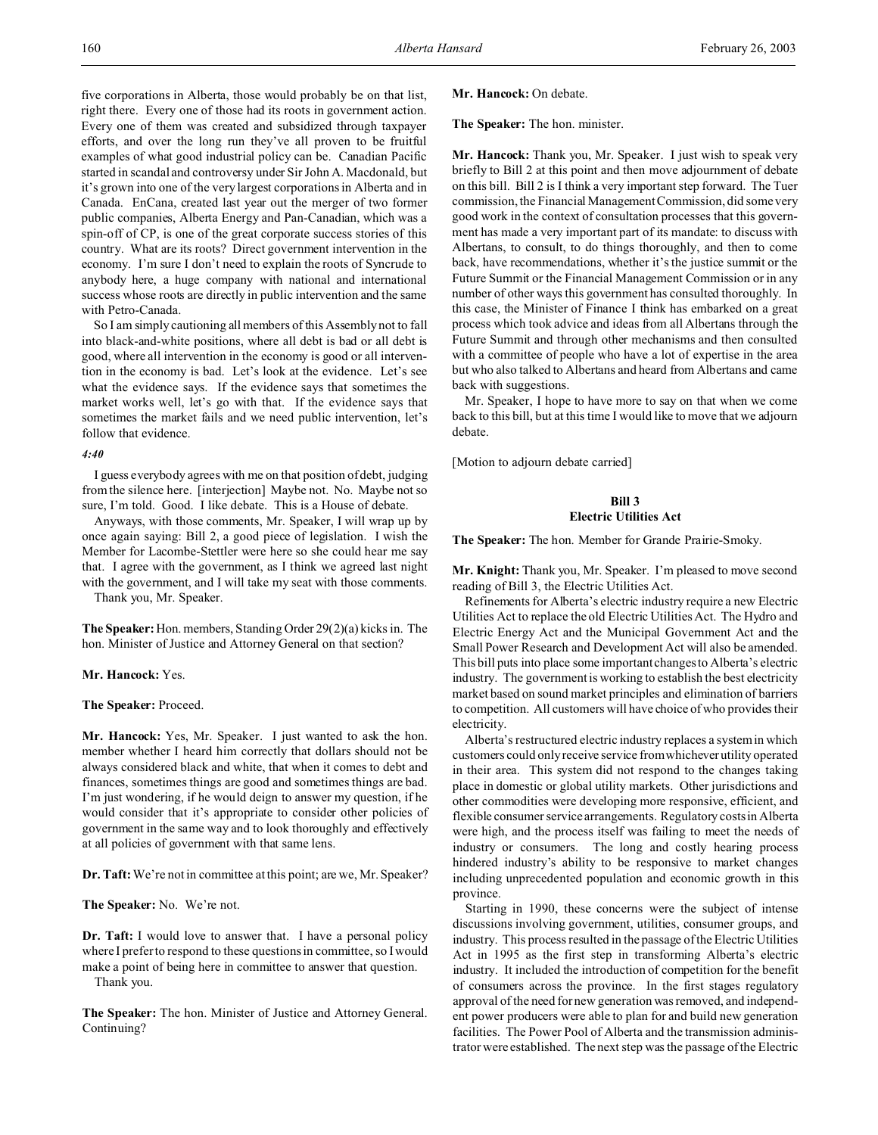five corporations in Alberta, those would probably be on that list, right there. Every one of those had its roots in government action. Every one of them was created and subsidized through taxpayer efforts, and over the long run they've all proven to be fruitful examples of what good industrial policy can be. Canadian Pacific started in scandal and controversy under Sir John A. Macdonald, but it's grown into one of the very largest corporations in Alberta and in Canada. EnCana, created last year out the merger of two former public companies, Alberta Energy and Pan-Canadian, which was a spin-off of CP, is one of the great corporate success stories of this country. What are its roots? Direct government intervention in the economy. I'm sure I don't need to explain the roots of Syncrude to anybody here, a huge company with national and international success whose roots are directly in public intervention and the same with Petro-Canada.

So I am simply cautioning all members of this Assembly not to fall into black-and-white positions, where all debt is bad or all debt is good, where all intervention in the economy is good or all intervention in the economy is bad. Let's look at the evidence. Let's see what the evidence says. If the evidence says that sometimes the market works well, let's go with that. If the evidence says that sometimes the market fails and we need public intervention, let's follow that evidence.

#### *4:40*

I guess everybody agrees with me on that position of debt, judging from the silence here. [interjection] Maybe not. No. Maybe not so sure, I'm told. Good. I like debate. This is a House of debate.

Anyways, with those comments, Mr. Speaker, I will wrap up by once again saying: Bill 2, a good piece of legislation. I wish the Member for Lacombe-Stettler were here so she could hear me say that. I agree with the government, as I think we agreed last night with the government, and I will take my seat with those comments.

Thank you, Mr. Speaker.

**The Speaker:** Hon. members, Standing Order 29(2)(a) kicks in. The hon. Minister of Justice and Attorney General on that section?

**Mr. Hancock:** Yes.

**The Speaker:** Proceed.

**Mr. Hancock:** Yes, Mr. Speaker. I just wanted to ask the hon. member whether I heard him correctly that dollars should not be always considered black and white, that when it comes to debt and finances, sometimes things are good and sometimes things are bad. I'm just wondering, if he would deign to answer my question, if he would consider that it's appropriate to consider other policies of government in the same way and to look thoroughly and effectively at all policies of government with that same lens.

**Dr. Taft:** We're not in committee at this point; are we, Mr. Speaker?

**The Speaker:** No. We're not.

**Dr. Taft:** I would love to answer that. I have a personal policy where I prefer to respond to these questions in committee, so I would make a point of being here in committee to answer that question. Thank you.

**The Speaker:** The hon. Minister of Justice and Attorney General. Continuing?

#### **Mr. Hancock:** On debate.

**The Speaker:** The hon. minister.

**Mr. Hancock:** Thank you, Mr. Speaker. I just wish to speak very briefly to Bill 2 at this point and then move adjournment of debate on this bill. Bill 2 is I think a very important step forward. The Tuer commission, the Financial Management Commission, did some very good work in the context of consultation processes that this government has made a very important part of its mandate: to discuss with Albertans, to consult, to do things thoroughly, and then to come back, have recommendations, whether it's the justice summit or the Future Summit or the Financial Management Commission or in any number of other ways this government has consulted thoroughly. In this case, the Minister of Finance I think has embarked on a great process which took advice and ideas from all Albertans through the Future Summit and through other mechanisms and then consulted with a committee of people who have a lot of expertise in the area but who also talked to Albertans and heard from Albertans and came back with suggestions.

Mr. Speaker, I hope to have more to say on that when we come back to this bill, but at this time I would like to move that we adjourn debate.

[Motion to adjourn debate carried]

# **Bill 3 Electric Utilities Act**

**The Speaker:** The hon. Member for Grande Prairie-Smoky.

**Mr. Knight:** Thank you, Mr. Speaker. I'm pleased to move second reading of Bill 3, the Electric Utilities Act.

Refinements for Alberta's electric industry require a new Electric Utilities Act to replace the old Electric Utilities Act. The Hydro and Electric Energy Act and the Municipal Government Act and the Small Power Research and Development Act will also be amended. This bill puts into place some important changes to Alberta's electric industry. The government is working to establish the best electricity market based on sound market principles and elimination of barriers to competition. All customers will have choice of who provides their electricity.

Alberta's restructured electric industry replaces a system in which customers could only receive service from whicheverutility operated in their area. This system did not respond to the changes taking place in domestic or global utility markets. Other jurisdictions and other commodities were developing more responsive, efficient, and flexible consumer service arrangements. Regulatory costs in Alberta were high, and the process itself was failing to meet the needs of industry or consumers. The long and costly hearing process hindered industry's ability to be responsive to market changes including unprecedented population and economic growth in this province.

Starting in 1990, these concerns were the subject of intense discussions involving government, utilities, consumer groups, and industry. This process resulted in the passage of the Electric Utilities Act in 1995 as the first step in transforming Alberta's electric industry. It included the introduction of competition for the benefit of consumers across the province. In the first stages regulatory approval of the need for new generation was removed, and independent power producers were able to plan for and build new generation facilities. The Power Pool of Alberta and the transmission administrator were established. The next step was the passage of the Electric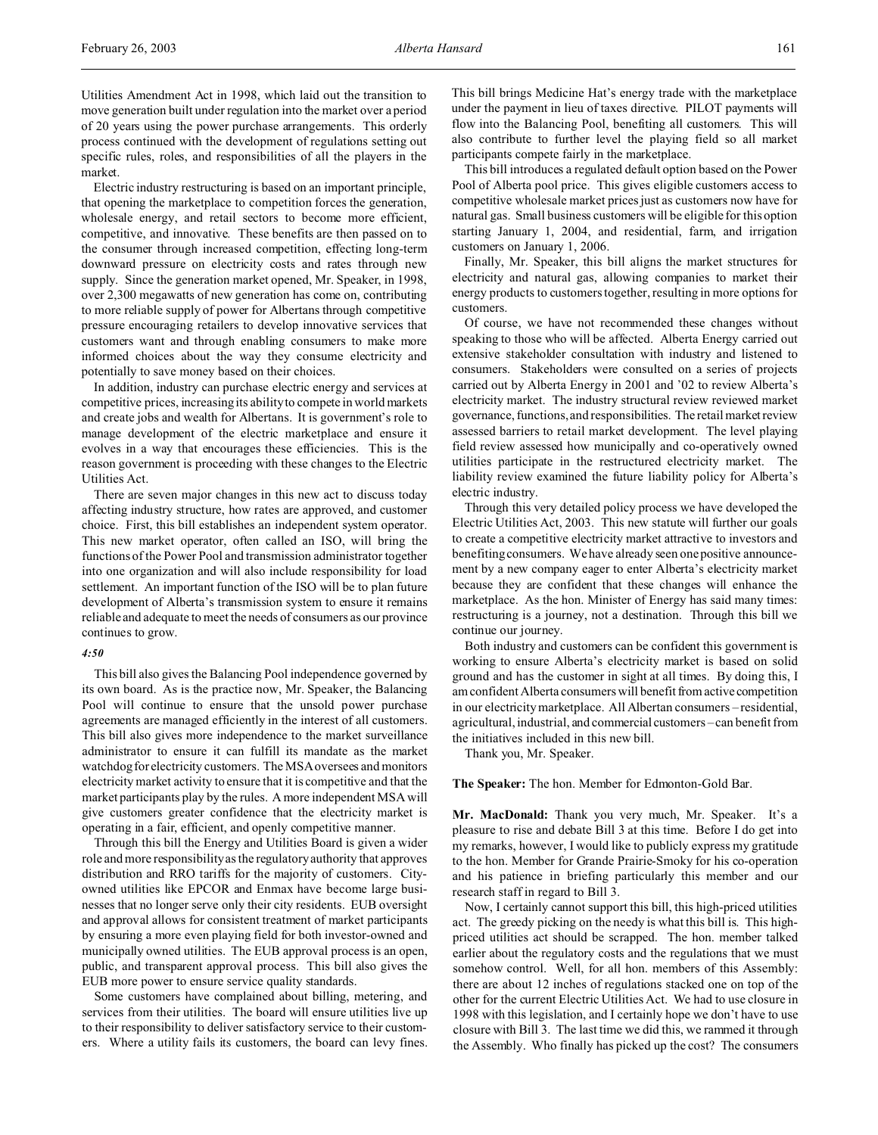Utilities Amendment Act in 1998, which laid out the transition to move generation built under regulation into the market over a period of 20 years using the power purchase arrangements. This orderly process continued with the development of regulations setting out specific rules, roles, and responsibilities of all the players in the market.

Electric industry restructuring is based on an important principle, that opening the marketplace to competition forces the generation, wholesale energy, and retail sectors to become more efficient, competitive, and innovative. These benefits are then passed on to the consumer through increased competition, effecting long-term downward pressure on electricity costs and rates through new supply. Since the generation market opened, Mr. Speaker, in 1998, over 2,300 megawatts of new generation has come on, contributing to more reliable supply of power for Albertans through competitive pressure encouraging retailers to develop innovative services that customers want and through enabling consumers to make more informed choices about the way they consume electricity and potentially to save money based on their choices.

In addition, industry can purchase electric energy and services at competitive prices, increasing its ability to compete in world markets and create jobs and wealth for Albertans. It is government's role to manage development of the electric marketplace and ensure it evolves in a way that encourages these efficiencies. This is the reason government is proceeding with these changes to the Electric Utilities Act.

There are seven major changes in this new act to discuss today affecting industry structure, how rates are approved, and customer choice. First, this bill establishes an independent system operator. This new market operator, often called an ISO, will bring the functions of the Power Pool and transmission administrator together into one organization and will also include responsibility for load settlement. An important function of the ISO will be to plan future development of Alberta's transmission system to ensure it remains reliable and adequate to meet the needs of consumers as our province continues to grow.

## *4:50*

This bill also gives the Balancing Pool independence governed by its own board. As is the practice now, Mr. Speaker, the Balancing Pool will continue to ensure that the unsold power purchase agreements are managed efficiently in the interest of all customers. This bill also gives more independence to the market surveillance administrator to ensure it can fulfill its mandate as the market watchdog for electricity customers. The MSA oversees and monitors electricity market activity to ensure that it is competitive and that the market participants play by the rules. A more independent MSA will give customers greater confidence that the electricity market is operating in a fair, efficient, and openly competitive manner.

Through this bill the Energy and Utilities Board is given a wider role and more responsibility as the regulatory authority that approves distribution and RRO tariffs for the majority of customers. Cityowned utilities like EPCOR and Enmax have become large businesses that no longer serve only their city residents. EUB oversight and approval allows for consistent treatment of market participants by ensuring a more even playing field for both investor-owned and municipally owned utilities. The EUB approval process is an open, public, and transparent approval process. This bill also gives the EUB more power to ensure service quality standards.

Some customers have complained about billing, metering, and services from their utilities. The board will ensure utilities live up to their responsibility to deliver satisfactory service to their customers. Where a utility fails its customers, the board can levy fines. This bill brings Medicine Hat's energy trade with the marketplace under the payment in lieu of taxes directive. PILOT payments will flow into the Balancing Pool, benefiting all customers. This will also contribute to further level the playing field so all market participants compete fairly in the marketplace.

This bill introduces a regulated default option based on the Power Pool of Alberta pool price. This gives eligible customers access to competitive wholesale market prices just as customers now have for natural gas. Small business customers will be eligible for this option starting January 1, 2004, and residential, farm, and irrigation customers on January 1, 2006.

Finally, Mr. Speaker, this bill aligns the market structures for electricity and natural gas, allowing companies to market their energy products to customers together, resulting in more options for customers.

Of course, we have not recommended these changes without speaking to those who will be affected. Alberta Energy carried out extensive stakeholder consultation with industry and listened to consumers. Stakeholders were consulted on a series of projects carried out by Alberta Energy in 2001 and '02 to review Alberta's electricity market. The industry structural review reviewed market governance, functions, and responsibilities. The retail market review assessed barriers to retail market development. The level playing field review assessed how municipally and co-operatively owned utilities participate in the restructured electricity market. The liability review examined the future liability policy for Alberta's electric industry.

Through this very detailed policy process we have developed the Electric Utilities Act, 2003. This new statute will further our goals to create a competitive electricity market attractive to investors and benefiting consumers. We have already seen one positive announcement by a new company eager to enter Alberta's electricity market because they are confident that these changes will enhance the marketplace. As the hon. Minister of Energy has said many times: restructuring is a journey, not a destination. Through this bill we continue our journey.

Both industry and customers can be confident this government is working to ensure Alberta's electricity market is based on solid ground and has the customer in sight at all times. By doing this, I am confident Alberta consumers will benefit from active competition in our electricity marketplace. All Albertan consumers – residential, agricultural, industrial, and commercial customers – can benefit from the initiatives included in this new bill.

Thank you, Mr. Speaker.

**The Speaker:** The hon. Member for Edmonton-Gold Bar.

**Mr. MacDonald:** Thank you very much, Mr. Speaker. It's a pleasure to rise and debate Bill 3 at this time. Before I do get into my remarks, however, I would like to publicly express my gratitude to the hon. Member for Grande Prairie-Smoky for his co-operation and his patience in briefing particularly this member and our research staff in regard to Bill 3.

Now, I certainly cannot support this bill, this high-priced utilities act. The greedy picking on the needy is what this bill is. This highpriced utilities act should be scrapped. The hon. member talked earlier about the regulatory costs and the regulations that we must somehow control. Well, for all hon. members of this Assembly: there are about 12 inches of regulations stacked one on top of the other for the current Electric Utilities Act. We had to use closure in 1998 with this legislation, and I certainly hope we don't have to use closure with Bill 3. The last time we did this, we rammed it through the Assembly. Who finally has picked up the cost? The consumers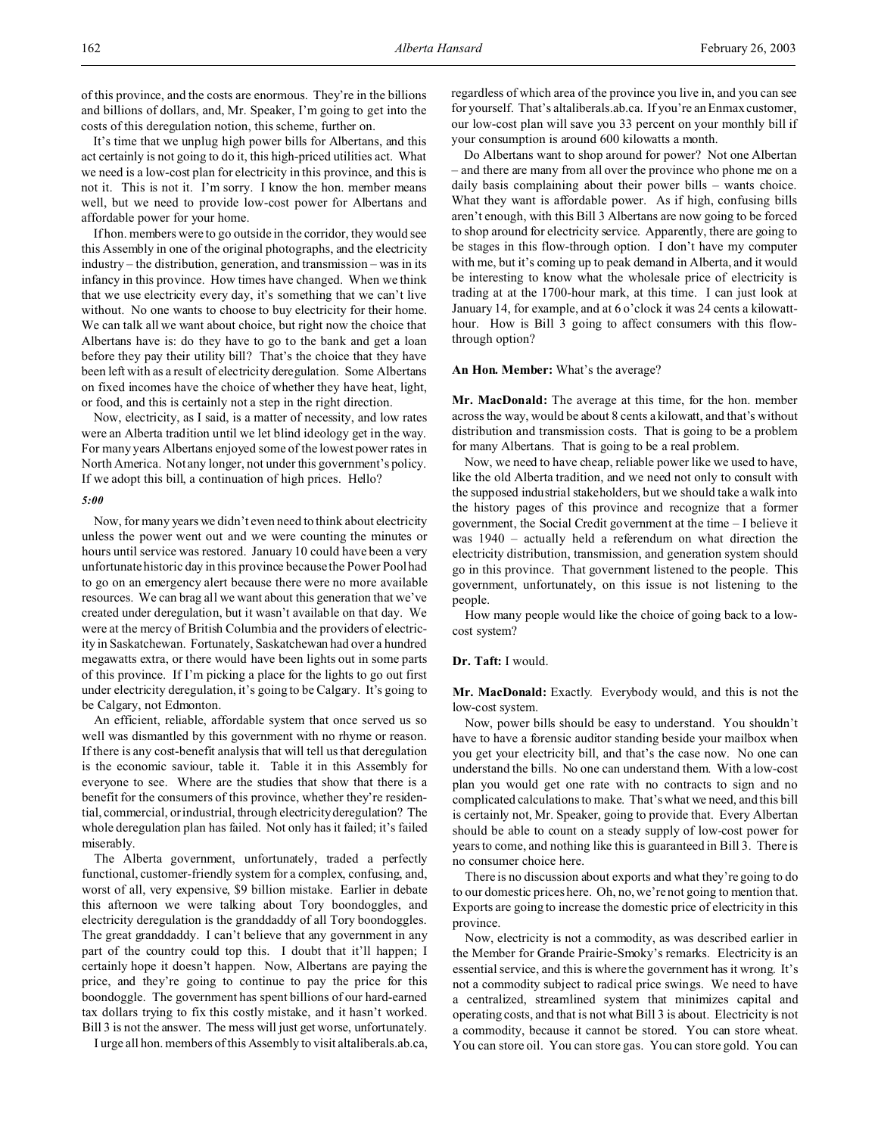of this province, and the costs are enormous. They're in the billions and billions of dollars, and, Mr. Speaker, I'm going to get into the costs of this deregulation notion, this scheme, further on.

It's time that we unplug high power bills for Albertans, and this act certainly is not going to do it, this high-priced utilities act. What we need is a low-cost plan for electricity in this province, and this is not it. This is not it. I'm sorry. I know the hon. member means well, but we need to provide low-cost power for Albertans and affordable power for your home.

If hon. members were to go outside in the corridor, they would see this Assembly in one of the original photographs, and the electricity industry – the distribution, generation, and transmission – was in its infancy in this province. How times have changed. When we think that we use electricity every day, it's something that we can't live without. No one wants to choose to buy electricity for their home. We can talk all we want about choice, but right now the choice that Albertans have is: do they have to go to the bank and get a loan before they pay their utility bill? That's the choice that they have been left with as a result of electricity deregulation. Some Albertans on fixed incomes have the choice of whether they have heat, light, or food, and this is certainly not a step in the right direction.

Now, electricity, as I said, is a matter of necessity, and low rates were an Alberta tradition until we let blind ideology get in the way. For many years Albertans enjoyed some of the lowest power rates in North America. Not any longer, not under this government's policy. If we adopt this bill, a continuation of high prices. Hello?

#### *5:00*

Now, for many years we didn't even need to think about electricity unless the power went out and we were counting the minutes or hours until service was restored. January 10 could have been a very unfortunate historic day in this province because the Power Pool had to go on an emergency alert because there were no more available resources. We can brag all we want about this generation that we've created under deregulation, but it wasn't available on that day. We were at the mercy of British Columbia and the providers of electricity in Saskatchewan. Fortunately, Saskatchewan had over a hundred megawatts extra, or there would have been lights out in some parts of this province. If I'm picking a place for the lights to go out first under electricity deregulation, it's going to be Calgary. It's going to be Calgary, not Edmonton.

An efficient, reliable, affordable system that once served us so well was dismantled by this government with no rhyme or reason. If there is any cost-benefit analysis that will tell us that deregulation is the economic saviour, table it. Table it in this Assembly for everyone to see. Where are the studies that show that there is a benefit for the consumers of this province, whether they're residential, commercial, or industrial, through electricity deregulation? The whole deregulation plan has failed. Not only has it failed; it's failed miserably.

The Alberta government, unfortunately, traded a perfectly functional, customer-friendly system for a complex, confusing, and, worst of all, very expensive, \$9 billion mistake. Earlier in debate this afternoon we were talking about Tory boondoggles, and electricity deregulation is the granddaddy of all Tory boondoggles. The great granddaddy. I can't believe that any government in any part of the country could top this. I doubt that it'll happen; I certainly hope it doesn't happen. Now, Albertans are paying the price, and they're going to continue to pay the price for this boondoggle. The government has spent billions of our hard-earned tax dollars trying to fix this costly mistake, and it hasn't worked. Bill 3 is not the answer. The mess will just get worse, unfortunately.

I urge all hon. members of this Assembly to visit altaliberals.ab.ca,

regardless of which area of the province you live in, and you can see for yourself. That's altaliberals.ab.ca. If you're an Enmax customer, our low-cost plan will save you 33 percent on your monthly bill if your consumption is around 600 kilowatts a month.

Do Albertans want to shop around for power? Not one Albertan – and there are many from all over the province who phone me on a daily basis complaining about their power bills – wants choice. What they want is affordable power. As if high, confusing bills aren't enough, with this Bill 3 Albertans are now going to be forced to shop around for electricity service. Apparently, there are going to be stages in this flow-through option. I don't have my computer with me, but it's coming up to peak demand in Alberta, and it would be interesting to know what the wholesale price of electricity is trading at at the 1700-hour mark, at this time. I can just look at January 14, for example, and at 6 o'clock it was 24 cents a kilowatthour. How is Bill 3 going to affect consumers with this flowthrough option?

## **An Hon. Member:** What's the average?

**Mr. MacDonald:** The average at this time, for the hon. member across the way, would be about 8 cents a kilowatt, and that's without distribution and transmission costs. That is going to be a problem for many Albertans. That is going to be a real problem.

Now, we need to have cheap, reliable power like we used to have, like the old Alberta tradition, and we need not only to consult with the supposed industrial stakeholders, but we should take a walk into the history pages of this province and recognize that a former government, the Social Credit government at the time – I believe it was 1940 – actually held a referendum on what direction the electricity distribution, transmission, and generation system should go in this province. That government listened to the people. This government, unfortunately, on this issue is not listening to the people.

How many people would like the choice of going back to a lowcost system?

#### **Dr. Taft:** I would.

**Mr. MacDonald:** Exactly. Everybody would, and this is not the low-cost system.

Now, power bills should be easy to understand. You shouldn't have to have a forensic auditor standing beside your mailbox when you get your electricity bill, and that's the case now. No one can understand the bills. No one can understand them. With a low-cost plan you would get one rate with no contracts to sign and no complicated calculations to make. That's what we need, and this bill is certainly not, Mr. Speaker, going to provide that. Every Albertan should be able to count on a steady supply of low-cost power for years to come, and nothing like this is guaranteed in Bill 3. There is no consumer choice here.

There is no discussion about exports and what they're going to do to our domestic prices here. Oh, no, we're not going to mention that. Exports are going to increase the domestic price of electricity in this province.

Now, electricity is not a commodity, as was described earlier in the Member for Grande Prairie-Smoky's remarks. Electricity is an essential service, and this is where the government has it wrong. It's not a commodity subject to radical price swings. We need to have a centralized, streamlined system that minimizes capital and operating costs, and that is not what Bill 3 is about. Electricity is not a commodity, because it cannot be stored. You can store wheat. You can store oil. You can store gas. You can store gold. You can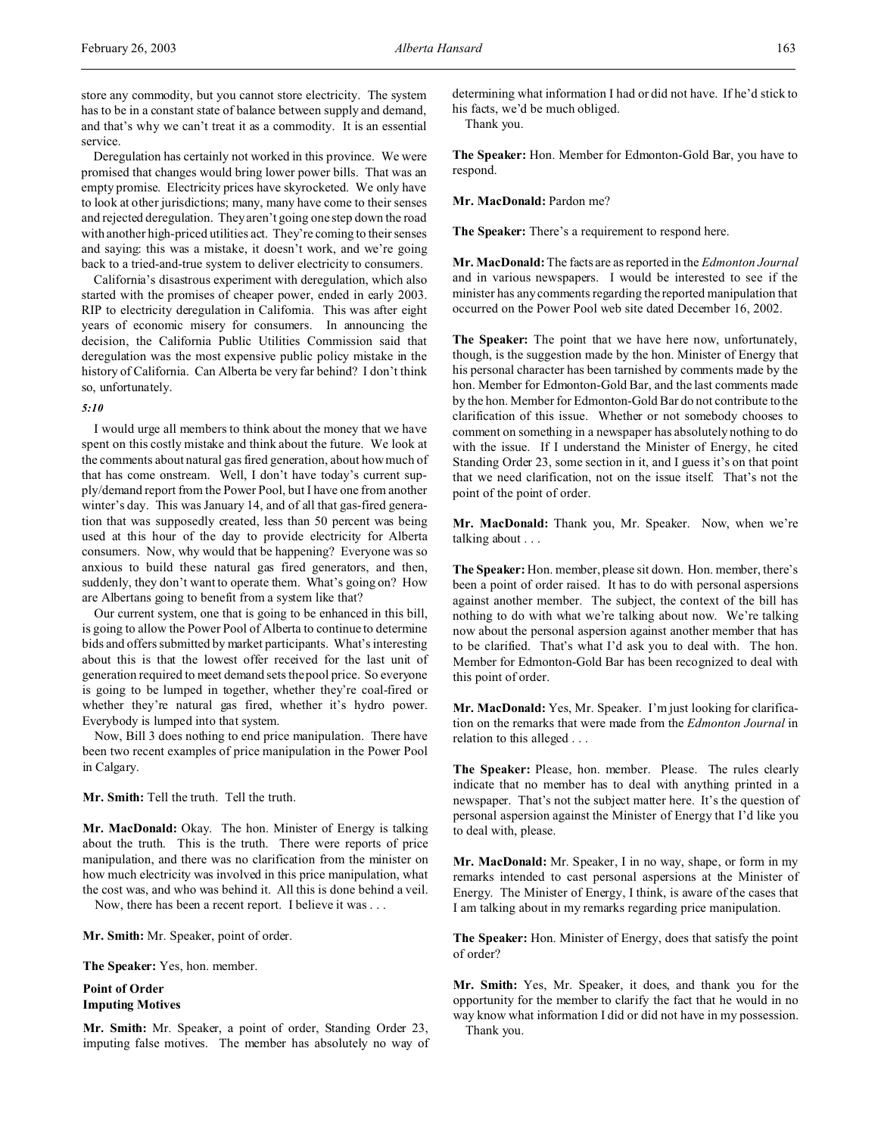store any commodity, but you cannot store electricity. The system has to be in a constant state of balance between supply and demand, and that's why we can't treat it as a commodity. It is an essential service.

Deregulation has certainly not worked in this province. We were promised that changes would bring lower power bills. That was an empty promise. Electricity prices have skyrocketed. We only have to look at other jurisdictions; many, many have come to their senses and rejected deregulation. They aren't going one step down the road with another high-priced utilities act. They're coming to their senses and saying: this was a mistake, it doesn't work, and we're going back to a tried-and-true system to deliver electricity to consumers.

California's disastrous experiment with deregulation, which also started with the promises of cheaper power, ended in early 2003. RIP to electricity deregulation in California. This was after eight years of economic misery for consumers. In announcing the decision, the California Public Utilities Commission said that deregulation was the most expensive public policy mistake in the history of California. Can Alberta be very far behind? I don't think so, unfortunately.

## *5:10*

I would urge all members to think about the money that we have spent on this costly mistake and think about the future. We look at the comments about natural gas fired generation, about how much of that has come onstream. Well, I don't have today's current supply/demand report from the Power Pool, but I have one from another winter's day. This was January 14, and of all that gas-fired generation that was supposedly created, less than 50 percent was being used at this hour of the day to provide electricity for Alberta consumers. Now, why would that be happening? Everyone was so anxious to build these natural gas fired generators, and then, suddenly, they don't want to operate them. What's going on? How are Albertans going to benefit from a system like that?

Our current system, one that is going to be enhanced in this bill, is going to allow the Power Pool of Alberta to continue to determine bids and offers submitted by market participants. What's interesting about this is that the lowest offer received for the last unit of generation required to meet demand sets the pool price. So everyone is going to be lumped in together, whether they're coal-fired or whether they're natural gas fired, whether it's hydro power. Everybody is lumped into that system.

Now, Bill 3 does nothing to end price manipulation. There have been two recent examples of price manipulation in the Power Pool in Calgary.

**Mr. Smith:** Tell the truth. Tell the truth.

**Mr. MacDonald:** Okay. The hon. Minister of Energy is talking about the truth. This is the truth. There were reports of price manipulation, and there was no clarification from the minister on how much electricity was involved in this price manipulation, what the cost was, and who was behind it. All this is done behind a veil. Now, there has been a recent report. I believe it was . . .

**Mr. Smith:** Mr. Speaker, point of order.

**The Speaker:** Yes, hon. member.

**Point of Order Imputing Motives**

**Mr. Smith:** Mr. Speaker, a point of order, Standing Order 23, imputing false motives. The member has absolutely no way of

determining what information I had or did not have. If he'd stick to his facts, we'd be much obliged.

Thank you.

**The Speaker:** Hon. Member for Edmonton-Gold Bar, you have to respond.

**Mr. MacDonald:** Pardon me?

**The Speaker:** There's a requirement to respond here.

**Mr. MacDonald:** The facts are as reported in the *Edmonton Journal* and in various newspapers. I would be interested to see if the minister has any comments regarding the reported manipulation that occurred on the Power Pool web site dated December 16, 2002.

**The Speaker:** The point that we have here now, unfortunately, though, is the suggestion made by the hon. Minister of Energy that his personal character has been tarnished by comments made by the hon. Member for Edmonton-Gold Bar, and the last comments made by the hon. Member for Edmonton-Gold Bar do not contribute to the clarification of this issue. Whether or not somebody chooses to comment on something in a newspaper has absolutely nothing to do with the issue. If I understand the Minister of Energy, he cited Standing Order 23, some section in it, and I guess it's on that point that we need clarification, not on the issue itself. That's not the point of the point of order.

**Mr. MacDonald:** Thank you, Mr. Speaker. Now, when we're talking about . . .

**The Speaker:** Hon. member, please sit down. Hon. member, there's been a point of order raised. It has to do with personal aspersions against another member. The subject, the context of the bill has nothing to do with what we're talking about now. We're talking now about the personal aspersion against another member that has to be clarified. That's what I'd ask you to deal with. The hon. Member for Edmonton-Gold Bar has been recognized to deal with this point of order.

**Mr. MacDonald:** Yes, Mr. Speaker. I'm just looking for clarification on the remarks that were made from the *Edmonton Journal* in relation to this alleged . . .

**The Speaker:** Please, hon. member. Please. The rules clearly indicate that no member has to deal with anything printed in a newspaper. That's not the subject matter here. It's the question of personal aspersion against the Minister of Energy that I'd like you to deal with, please.

**Mr. MacDonald:** Mr. Speaker, I in no way, shape, or form in my remarks intended to cast personal aspersions at the Minister of Energy. The Minister of Energy, I think, is aware of the cases that I am talking about in my remarks regarding price manipulation.

**The Speaker:** Hon. Minister of Energy, does that satisfy the point of order?

**Mr. Smith:** Yes, Mr. Speaker, it does, and thank you for the opportunity for the member to clarify the fact that he would in no way know what information I did or did not have in my possession. Thank you.